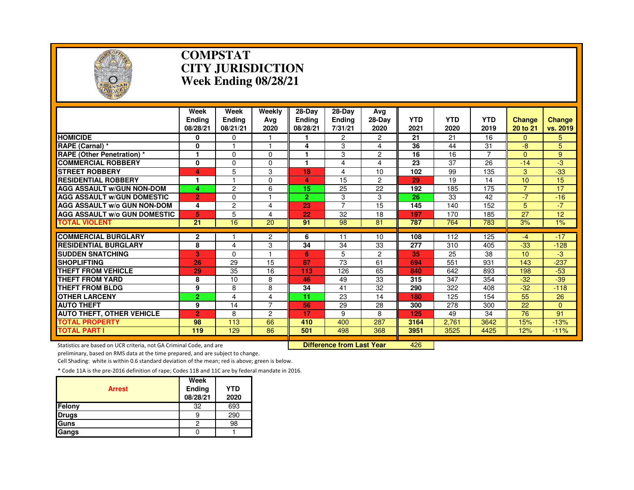

### **COMPSTAT CITY JURISDICTIONWeek Ending 08/28/21**

|                                                           | Week<br><b>Endina</b><br>08/28/21 | Week<br><b>Endina</b><br>08/21/21 | Weekly<br>Ava<br>2020 | 28-Dav<br><b>Endina</b><br>08/28/21 | 28-Dav<br><b>Ending</b><br>7/31/21 | Avg<br>28-Day<br>2020 | <b>YTD</b><br>2021 | <b>YTD</b><br>2020 | <b>YTD</b><br>2019 | <b>Change</b><br>20 to 21 | <b>Change</b><br>vs. 2019 |
|-----------------------------------------------------------|-----------------------------------|-----------------------------------|-----------------------|-------------------------------------|------------------------------------|-----------------------|--------------------|--------------------|--------------------|---------------------------|---------------------------|
| <b>HOMICIDE</b>                                           | 0                                 | 0                                 |                       |                                     | 2                                  | 2                     | 21                 | 21                 | 16                 | 0                         | 5.                        |
| RAPE (Carnal) *                                           | 0                                 |                                   |                       | 4                                   | 3                                  | 4                     | 36                 | 44                 | 31                 | -8                        | 5                         |
| <b>RAPE (Other Penetration) *</b>                         | 1                                 | $\Omega$                          | $\Omega$              | 1                                   | 3                                  | $\overline{2}$        | 16                 | 16                 | $\overline{7}$     | $\Omega$                  | 9                         |
| <b>COMMERCIAL ROBBERY</b>                                 | 0                                 | 0                                 | $\Omega$              |                                     | 4                                  | 4                     | 23                 | 37                 | 26                 | $-14$                     | -3                        |
| <b>STREET ROBBERY</b>                                     | 4                                 | 5                                 | 3                     | 18                                  | 4                                  | 10                    | 102                | 99                 | 135                | 3                         | $-33$                     |
| <b>RESIDENTIAL ROBBERY</b>                                | 1                                 | н                                 | $\Omega$              | 4                                   | 15                                 | 2                     | 29                 | 19                 | 14                 | 10                        | 15                        |
| <b>AGG ASSAULT W/GUN NON-DOM</b>                          | 4                                 | $\overline{c}$                    | 6                     | 15                                  | 25                                 | 22                    | 192                | 185                | 175                | 7                         | 17                        |
| <b>AGG ASSAULT W/GUN DOMESTIC</b>                         | $\overline{2}$                    | $\Omega$                          |                       | $\overline{2}$                      | 3                                  | 3                     | 26                 | 33                 | 42                 | $-7$                      | $-16$                     |
| <b>AGG ASSAULT W/o GUN NON-DOM</b>                        | 4                                 | $\overline{c}$                    | 4                     | 23                                  | $\overline{7}$                     | 15                    | 145                | 140                | 152                | 5                         | $-7$                      |
| <b>AGG ASSAULT w/o GUN DOMESTIC</b>                       | 5                                 | 5                                 | 4                     | 22                                  | 32                                 | 18                    | 197                | 170                | 185                | 27                        | 12                        |
| <b>TOTAL VIOLENT</b>                                      | $\overline{21}$                   | 16                                | $\overline{20}$       | 91                                  | 98                                 | 81                    | 787                | 764                | 783                | 3%                        | $1\%$                     |
|                                                           |                                   |                                   |                       |                                     |                                    |                       |                    |                    |                    |                           |                           |
| <b>COMMERCIAL BURGLARY</b><br><b>RESIDENTIAL BURGLARY</b> | 2                                 |                                   | $\overline{2}$        | 6                                   | 11                                 | 10                    | 108                | 112                | 125                | -4                        | $-17$                     |
|                                                           | 8                                 | 4                                 | 3                     | 34                                  | 34                                 | 33                    | 277                | 310                | 405                | $-33$                     | $-128$                    |
| <b>SUDDEN SNATCHING</b>                                   | 3                                 | $\Omega$                          |                       | 6                                   | 5                                  | $\overline{2}$        | 35                 | 25                 | 38                 | 10                        | -3                        |
| <b>SHOPLIFTING</b>                                        | 26                                | 29                                | 15                    | 87                                  | 73                                 | 61                    | 694                | 551                | 931                | 143                       | $-237$                    |
| <b>THEFT FROM VEHICLE</b>                                 | 29                                | 35                                | 16                    | 113                                 | 126                                | 65                    | 840                | 642                | 893                | 198                       | $-53$                     |
| <b>THEFT FROM YARD</b>                                    | 8                                 | 10                                | 8                     | 46                                  | 49                                 | 33                    | 315                | 347                | 354                | $-32$                     | $-39$                     |
| <b>THEFT FROM BLDG</b>                                    | 9                                 | 8                                 | 8                     | 34                                  | 41                                 | 32                    | 290                | 322                | 408                | $-32$                     | $-118$                    |
| <b>OTHER LARCENY</b>                                      | $\overline{2}$                    | 4                                 | 4                     | 11                                  | 23                                 | 14                    | 180                | 125                | 154                | 55                        | 26                        |
| <b>AUTO THEFT</b>                                         | 9                                 | 14                                | $\overline{7}$        | 56                                  | 29                                 | 28                    | 300                | 278                | 300                | 22                        | $\Omega$                  |
| <b>AUTO THEFT, OTHER VEHICLE</b>                          | $\overline{2}$                    | 8                                 | $\overline{c}$        | 17                                  | 9                                  | 8                     | 125                | 49                 | 34                 | 76                        | 91                        |
| <b>TOTAL PROPERTY</b>                                     | 98                                | 113                               | 66                    | 410                                 | 400                                | 287                   | 3164               | 2.761              | 3642               | 15%                       | $-13%$                    |
| <b>TOTAL PART I</b>                                       | 119                               | 129                               | 86                    | 501                                 | 498                                | 368                   | 3951               | 3525               | 4425               | 12%                       | $-11%$                    |

Statistics are based on UCR criteria, not GA Criminal Code, and are **Difference from Last Year** 

<sup>426</sup>

preliminary, based on RMS data at the time prepared, and are subject to change.

Cell Shading: white is within 0.6 standard deviation of the mean; red is above; green is below.

| <b>Arrest</b> | Week<br>Ending<br>08/28/21 | <b>YTD</b><br>2020 |
|---------------|----------------------------|--------------------|
| Felony        | 32                         | 693                |
| <b>Drugs</b>  |                            | 290                |
| Guns          | 2                          | 98                 |
| Gangs         |                            |                    |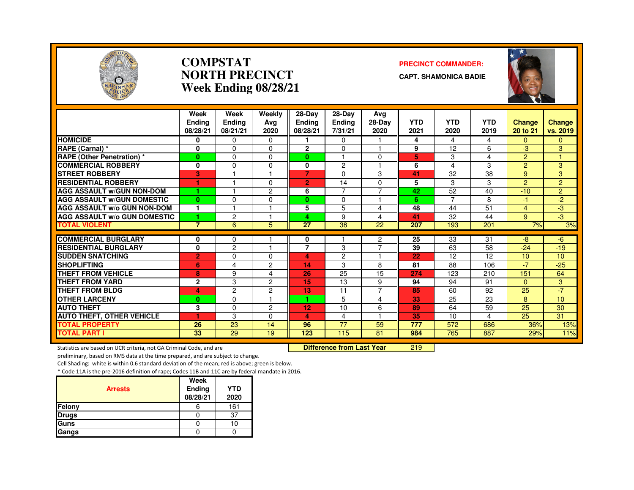

### **COMPSTATNORTH PRECINCTWeek Ending 08/28/21**

### **PRECINCT COMMANDER:**

**CAPT. SHAMONICA BADIE**



|                                     | Week<br><b>Endina</b><br>08/28/21 | Week<br><b>Endina</b><br>08/21/21 | Weekly<br>Ava<br>2020 | $28-Dav$<br><b>Endina</b><br>08/28/21 | 28-Day<br><b>Endina</b><br>7/31/21 | Ava<br>28-Day<br>2020    | <b>YTD</b><br>2021 | <b>YTD</b><br>2020 | <b>YTD</b><br>2019 | Change<br>20 to 21 | <b>Change</b><br>vs. 2019 |
|-------------------------------------|-----------------------------------|-----------------------------------|-----------------------|---------------------------------------|------------------------------------|--------------------------|--------------------|--------------------|--------------------|--------------------|---------------------------|
| <b>HOMICIDE</b>                     | 0                                 | $\Omega$                          | $\Omega$              |                                       | 0                                  | ⊣                        | 4                  | 4                  | 4                  | $\mathbf{0}$       | $\Omega$                  |
| <b>RAPE (Carnal) *</b>              | 0                                 | $\Omega$                          | $\Omega$              | $\mathbf{2}$                          | $\Omega$                           | $\overline{1}$           | 9                  | 12                 | 6                  | -3                 | 3                         |
| <b>RAPE (Other Penetration)</b> *   | $\mathbf{0}$                      | $\Omega$                          | $\Omega$              | $\mathbf{0}$                          |                                    | 0                        | 5                  | 3                  | 4                  | $\overline{2}$     |                           |
| <b>COMMERCIAL ROBBERY</b>           | 0                                 | $\Omega$                          | $\Omega$              | 0                                     | 2                                  | $\overline{\phantom{a}}$ | 6                  | 4                  | 3                  | 2                  | 3                         |
| <b>STREET ROBBERY</b>               | 3                                 | $\overline{\mathbf{1}}$           |                       | $\overline{7}$                        | $\Omega$                           | 3                        | 41                 | 32                 | 38                 | 9                  | 3                         |
| <b>RESIDENTIAL ROBBERY</b>          | ٠                                 |                                   | $\Omega$              | $\overline{2}$                        | 14                                 | $\Omega$                 | 5                  | 3                  | 3                  | 2                  | $\overline{2}$            |
| <b>AGG ASSAULT w/GUN NON-DOM</b>    | 1                                 |                                   | 2                     | 6                                     | $\overline{7}$                     | $\overline{7}$           | 42                 | 52                 | 40                 | $-10$              | $\overline{2}$            |
| <b>AGG ASSAULT w/GUN DOMESTIC</b>   | $\mathbf{0}$                      | $\Omega$                          | $\Omega$              | $\mathbf{0}$                          | $\Omega$                           | н                        | 6                  | $\overline{7}$     | 8                  | $-1$               | $-2$                      |
| <b>AGG ASSAULT w/o GUN NON-DOM</b>  | -1                                |                                   |                       | 5                                     | 5                                  | 4                        | 48                 | 44                 | 51                 | 4                  | $-3$                      |
| <b>AGG ASSAULT w/o GUN DOMESTIC</b> | 4                                 | $\overline{c}$                    |                       | 4                                     | 9                                  | 4                        | 41                 | 32                 | 44                 | 9                  | -3                        |
| <b>TOTAL VIOLENT</b>                | $\overline{7}$                    | 6                                 | 5                     | 27                                    | 38                                 | 22                       | 207                | 193                | 201                | 7%                 | 3%                        |
| <b>COMMERCIAL BURGLARY</b>          | 0                                 | 0                                 |                       | 0                                     |                                    | 2                        | 25                 | 33                 | 31                 | -8                 | -6                        |
| <b>RESIDENTIAL BURGLARY</b>         | 0                                 | 2                                 |                       | 7                                     | 3                                  | $\overline{7}$           | 39                 | 63                 | 58                 | $-24$              | $-19$                     |
| <b>SUDDEN SNATCHING</b>             | $\overline{2}$                    | $\mathbf{0}$                      | $\Omega$              | 4                                     | $\overline{c}$                     | 1                        | 22                 | 12                 | 12                 | 10                 | 10                        |
| <b>SHOPLIFTING</b>                  | 6                                 | 4                                 | 2                     | 14                                    | 3                                  | 8                        | 81                 | 88                 | 106                | $-7$               | $-25$                     |
| <b>THEFT FROM VEHICLE</b>           | 8                                 | 9                                 | 4                     | 26                                    | 25                                 | 15                       | 274                | 123                | 210                | 151                | 64                        |
| <b>THEFT FROM YARD</b>              | $\mathbf 2$                       | 3                                 | 2                     | 15                                    | 13                                 | 9                        | 94                 | 94                 | 91                 | $\Omega$           | 3                         |
| <b>THEFT FROM BLDG</b>              | 4                                 | $\overline{c}$                    | 2                     | 13                                    | 11                                 | $\overline{7}$           | 85                 | 60                 | 92                 | 25                 | $-7$                      |
| <b>OTHER LARCENY</b>                | $\mathbf{0}$                      | $\Omega$                          |                       | 4.                                    | 5                                  | 4                        | 33                 | 25                 | 23                 | 8                  | 10                        |
| <b>AUTO THEFT</b>                   | 3                                 | $\mathbf 0$                       | 2                     | 12                                    | 10                                 | 6                        | 89                 | 64                 | 59                 | 25                 | 30                        |
| <b>AUTO THEFT, OTHER VEHICLE</b>    | 4.                                | 3                                 | $\Omega$              | 4                                     | 4                                  | $\overline{1}$           | 35                 | 10                 | 4                  | 25                 | 31                        |
| <b>TOTAL PROPERTY</b>               | 26                                | 23                                | 14                    | 96                                    | 77                                 | 59                       | 777                | 572                | 686                | 36%                | 13%                       |
| <b>TOTAL PART I</b>                 | 33                                | 29                                | 19                    | 123                                   | 115                                | 81                       | 984                | 765                | 887                | 29%                | 11%                       |

Statistics are based on UCR criteria, not GA Criminal Code, and are **Difference from Last Year** 

<sup>219</sup>

preliminary, based on RMS data at the time prepared, and are subject to change.

Cell Shading: white is within 0.6 standard deviation of the mean; red is above; green is below.

|                | Week               |                    |
|----------------|--------------------|--------------------|
| <b>Arrests</b> | Ending<br>08/28/21 | <b>YTD</b><br>2020 |
| Felony         |                    | 161                |
| <b>Drugs</b>   |                    | 37                 |
| Guns           |                    | 10                 |
| Gangs          |                    |                    |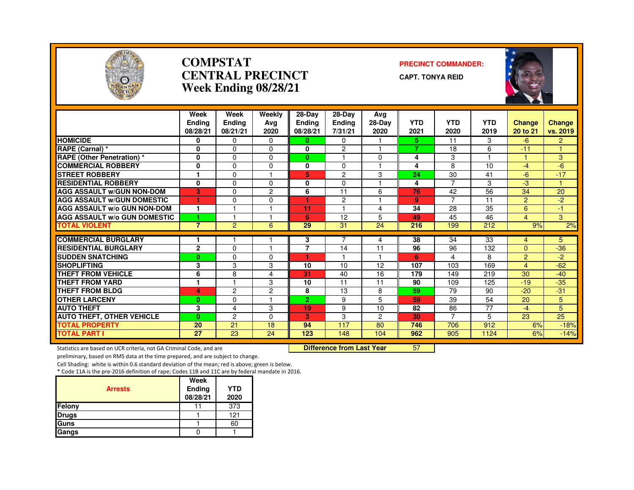

### **COMPSTATCENTRAL PRECINCTWeek Ending 08/28/21**

### **PRECINCT COMMANDER:**

**CAPT. TONYA REID**



|                                                           | Week<br><b>Endina</b><br>08/28/21 | Week<br>Ending<br>08/21/21 | Weekly<br>Avg<br>2020 | 28-Day<br><b>Ending</b><br>08/28/21 | $28-Dav$<br><b>Ending</b><br>7/31/21 | Avg<br>$28-Dav$<br>2020 | <b>YTD</b><br>2021 | <b>YTD</b><br>2020 | <b>YTD</b><br>2019 | <b>Change</b><br>20 to 21 | Change<br>vs. 2019 |
|-----------------------------------------------------------|-----------------------------------|----------------------------|-----------------------|-------------------------------------|--------------------------------------|-------------------------|--------------------|--------------------|--------------------|---------------------------|--------------------|
| <b>HOMICIDE</b>                                           | 0                                 | 0                          | 0                     | $\bf{0}$                            | 0                                    |                         | 5.                 | 11                 | 3                  | $-6$                      | $\overline{2}$     |
| RAPE (Carnal) *                                           | 0                                 | $\Omega$                   | 0                     | 0                                   | 2                                    |                         | $\overline{7}$     | 18                 | 6                  | $-11$                     |                    |
| <b>RAPE (Other Penetration) *</b>                         | 0                                 | $\Omega$                   | $\Omega$              | 0                                   |                                      | $\Omega$                | 4                  | 3                  |                    |                           | 3                  |
| <b>COMMERCIAL ROBBERY</b>                                 | 0                                 | $\Omega$                   | 0                     | 0                                   | $\Omega$                             | 1                       | 4                  | 8                  | 10                 | $-4$                      | $-6$               |
| <b>STREET ROBBERY</b>                                     | ٦                                 | $\Omega$                   |                       | 5                                   | 2                                    | 3                       | 24                 | 30                 | 41                 | -6                        | $-17$              |
| <b>RESIDENTIAL ROBBERY</b>                                | 0                                 | $\Omega$                   | 0                     | 0                                   | $\Omega$                             |                         | 4                  | $\overline{7}$     | 3                  | -3                        |                    |
| <b>AGG ASSAULT W/GUN NON-DOM</b>                          | 3                                 | $\Omega$                   | $\overline{c}$        | 6                                   | 11                                   | 6                       | 76                 | 42                 | 56                 | 34                        | 20                 |
| <b>AGG ASSAULT W/GUN DOMESTIC</b>                         |                                   | $\Omega$                   | 0                     | ٠                                   | $\overline{c}$                       |                         | 9                  | $\overline{7}$     | 11                 | $\overline{2}$            | $-2$               |
| <b>AGG ASSAULT W/o GUN NON-DOM</b>                        | 1                                 |                            |                       | 11                                  |                                      | 4                       | 34                 | 28                 | $\overline{35}$    | 6                         | -1                 |
| <b>AGG ASSAULT W/o GUN DOMESTIC</b>                       |                                   |                            |                       | 6                                   | 12                                   | 5                       | 49                 | 45                 | 46                 | 4                         | 3                  |
| <b>TOTAL VIOLENT</b>                                      | $\overline{7}$                    | 2                          | 6                     | 29                                  | 31                                   | $\overline{24}$         | 216                | 199                | 212                | 9%                        | 2%                 |
|                                                           | 1                                 |                            |                       |                                     |                                      |                         |                    |                    |                    |                           |                    |
| <b>COMMERCIAL BURGLARY</b><br><b>RESIDENTIAL BURGLARY</b> |                                   |                            |                       | 3                                   |                                      | 4                       | 38<br>96           | 34                 | 33                 | $\overline{4}$            | 5                  |
|                                                           | $\mathbf{2}$                      | $\Omega$                   |                       | 7                                   | 14                                   | 11                      |                    | 96                 | 132                | $\Omega$                  | $-36$              |
| <b>SUDDEN SNATCHING</b>                                   | $\bf{0}$                          | $\Omega$                   | 0                     |                                     |                                      |                         | 6                  | 4                  | 8                  | $\overline{2}$            | $-2$               |
| <b>SHOPLIFTING</b>                                        | 3                                 | 3                          | 3                     | 10                                  | 10                                   | 12                      | 107                | 103                | 169                | 4                         | $-62$              |
| THEFT FROM VEHICLE                                        | 6                                 | 8                          | 4                     | 31                                  | 40                                   | 16                      | 179                | 149                | 219                | 30                        | $-40$              |
| THEFT FROM YARD                                           | 1                                 |                            | 3                     | 10                                  | 11                                   | 11                      | 90                 | 109                | 125                | $-19$                     | $-35$              |
| THEFT FROM BLDG                                           | 4                                 | $\overline{2}$             | $\overline{2}$        | 8                                   | 13                                   | 8                       | 59                 | 79                 | 90                 | $-20$                     | $-31$              |
| <b>OTHER LARCENY</b>                                      | $\bf{0}$                          | $\Omega$                   |                       | $\overline{2}$                      | 9                                    | 5                       | 59                 | 39                 | 54                 | 20                        | 5                  |
| <b>AUTO THEFT</b>                                         | 3                                 | 4                          | 3                     | 19                                  | 9                                    | 10                      | 82                 | 86                 | 77                 | $-4$                      | 5                  |
| <b>AUTO THEFT, OTHER VEHICLE</b>                          | $\bf{0}$                          | $\overline{c}$             | $\Omega$              | 3                                   | 3                                    | $\overline{2}$          | 30                 | $\overline{7}$     | 5                  | 23                        | $\overline{25}$    |
| <b>TOTAL PROPERTY</b>                                     | 20                                | 21                         | 18                    | 94                                  | 117                                  | 80                      | 746                | 706                | 912                | 6%                        | $-18%$             |
| <b>TOTAL PART I</b>                                       | 27                                | 23                         | 24                    | 123                                 | 148                                  | 104                     | 962                | 905                | 1124               | 6%                        | $-14%$             |

Statistics are based on UCR criteria, not GA Criminal Code, and are **Difference from Last Year** 

<sup>57</sup>

preliminary, based on RMS data at the time prepared, and are subject to change.

Cell Shading: white is within 0.6 standard deviation of the mean; red is above; green is below.

| <b>Arrests</b> | Week<br>Ending<br>08/28/21 | <b>YTD</b><br>2020 |
|----------------|----------------------------|--------------------|
| Felony         |                            | 373                |
| <b>Drugs</b>   |                            | 121                |
| <b>Guns</b>    |                            | 60                 |
| Gangs          |                            |                    |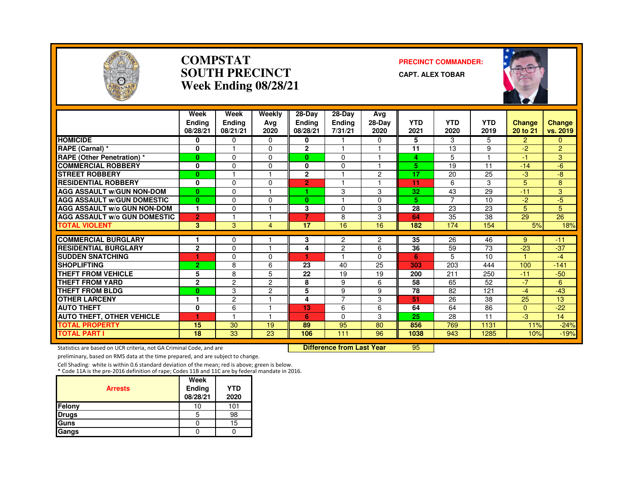

### **COMPSTATSOUTH PRECINCTWeek Ending 08/28/21**

### **PRECINCT COMMANDER:**

**CAPT. ALEX TOBAR**



|                                     | Week<br><b>Endina</b><br>08/28/21 | Week<br><b>Endina</b><br>08/21/21 | Weekly<br>Ava<br>2020 | $28-Dav$<br>Endina<br>08/28/21 | $28-Dav$<br><b>Ending</b><br>7/31/21 | Ava<br>28-Day<br>2020 | <b>YTD</b><br>2021 | <b>YTD</b><br>2020 | <b>YTD</b><br>2019 | <b>Change</b><br>20 to 21 | <b>Change</b><br>vs. 2019 |
|-------------------------------------|-----------------------------------|-----------------------------------|-----------------------|--------------------------------|--------------------------------------|-----------------------|--------------------|--------------------|--------------------|---------------------------|---------------------------|
| <b>HOMICIDE</b>                     | $\bf{0}$                          | $\Omega$                          | 0                     | 0                              |                                      | $\mathbf{0}$          | 5                  | 3                  | 5.                 | $\mathcal{P}$             | $\Omega$                  |
| RAPE (Carnal) *                     | 0                                 |                                   | 0                     | $\overline{2}$                 |                                      |                       | 11                 | 13                 | 9                  | $-2$                      | $\overline{2}$            |
| <b>RAPE (Other Penetration)</b> *   | $\mathbf{0}$                      | $\Omega$                          | 0                     | $\bf{0}$                       | $\Omega$                             |                       | 4                  | 5                  |                    | $-1$                      | 3                         |
| <b>COMMERCIAL ROBBERY</b>           | $\bf{0}$                          | $\Omega$                          | 0                     | 0                              | $\Omega$                             |                       | 5                  | 19                 | 11                 | $-14$                     | $-6$                      |
| <b>STREET ROBBERY</b>               | $\bf{0}$                          |                                   |                       | $\overline{2}$                 |                                      | 2                     | 17                 | 20                 | 25                 | -3                        | -8                        |
| <b>RESIDENTIAL ROBBERY</b>          | $\bf{0}$                          | $\Omega$                          | 0                     | 2                              |                                      |                       | 11                 | 6                  | 3                  | 5                         | 8                         |
| <b>AGG ASSAULT W/GUN NON-DOM</b>    | $\mathbf{0}$                      | $\Omega$                          |                       |                                | 3                                    | 3                     | 32                 | 43                 | 29                 | $-11$                     | 3                         |
| <b>AGG ASSAULT w/GUN DOMESTIC</b>   | $\bf{0}$                          | $\Omega$                          | 0                     | $\bf{0}$                       |                                      | 0                     | 5.                 | $\overline{7}$     | 10                 | $-2$                      | $-5$                      |
| <b>AGG ASSAULT W/o GUN NON-DOM</b>  | 1                                 | $\Omega$                          |                       | 3                              | $\Omega$                             | 3                     | 28                 | 23                 | 23                 | 5                         | 5                         |
| <b>AGG ASSAULT W/o GUN DOMESTIC</b> | $\overline{2}$                    |                                   |                       | 7                              | 8                                    | 3                     | 64                 | 35                 | 38                 | 29                        | 26                        |
| <b>TOTAL VIOLENT</b>                | 3                                 | 3                                 | 4                     | 17                             | 16                                   | 16                    | 182                | 174                | 154                | 5%                        | 18%                       |
| <b>COMMERCIAL BURGLARY</b>          |                                   | 0                                 |                       | 3                              | 2                                    | 2                     | 35                 | 26                 | 46                 | 9                         | $-11$                     |
| <b>RESIDENTIAL BURGLARY</b>         | $\mathbf{2}$                      | 0                                 |                       | 4                              | $\overline{c}$                       | 6                     | 36                 | 59                 | 73                 | $-23$                     | $-37$                     |
| <b>SUDDEN SNATCHING</b>             | ۴                                 | $\Omega$                          | 0                     | ÷                              |                                      | $\Omega$              | 6                  | 5                  | 10                 |                           | $-4$                      |
| <b>SHOPLIFTING</b>                  | $\overline{2}$                    | 8                                 | 6                     | 23                             | 40                                   | 25                    | 303                | 203                | 444                | 100                       | $-141$                    |
| <b>THEFT FROM VEHICLE</b>           | 5                                 | 8                                 | 5                     | 22                             | 19                                   | 19                    | 200                | 211                | 250                | $-11$                     | $-50$                     |
| <b>THEFT FROM YARD</b>              | $\overline{2}$                    | $\overline{2}$                    | 2                     | 8                              | 9                                    | 6                     | 58                 | 65                 | 52                 | $-7$                      | 6                         |
| <b>THEFT FROM BLDG</b>              | $\mathbf{0}$                      | 3                                 | $\overline{c}$        | 5                              | 9                                    | 9                     | 78                 | 82                 | 121                | $-4$                      | $-43$                     |
| <b>OTHER LARCENY</b>                |                                   | $\overline{c}$                    |                       | 4                              | 7                                    | 3                     | 51                 | 26                 | 38                 | 25                        | 13                        |
| <b>AUTO THEFT</b>                   | 0                                 | 6                                 |                       | 13                             | 6                                    | 6                     | 64                 | 64                 | 86                 | $\mathbf{0}$              | $-22$                     |
| <b>AUTO THEFT, OTHER VEHICLE</b>    | ٠                                 |                                   |                       | 6                              | $\Omega$                             | 3                     | 25                 | 28                 | 11                 | -3                        | 14                        |
| <b>TOTAL PROPERTY</b>               | 15                                | 30                                | 19                    | 89                             | 95                                   | 80                    | 856                | 769                | 1131               | 11%                       | $-24%$                    |
| <b>TOTAL PART I</b>                 | 18                                | 33                                | 23                    | 106                            | 111                                  | 96                    | 1038               | 943                | 1285               | 10%                       | $-19%$                    |

Statistics are based on UCR criteria, not GA Criminal Code, and are **Difference from Last Year** 

<sup>95</sup>

preliminary, based on RMS data at the time prepared, and are subject to change.

Cell Shading: white is within 0.6 standard deviation of the mean; red is above; green is below. \* Code 11A is the pre-2016 definition of rape; Codes 11B and 11C are by federal mandate in 2016.

| <b>Arrests</b> | Week<br>Ending<br>08/28/21 | <b>YTD</b><br>2020 |
|----------------|----------------------------|--------------------|
| Felony         | 10                         | 101                |
| <b>Drugs</b>   | 5                          | 98                 |
| Guns           |                            | 15                 |
| Gangs          |                            |                    |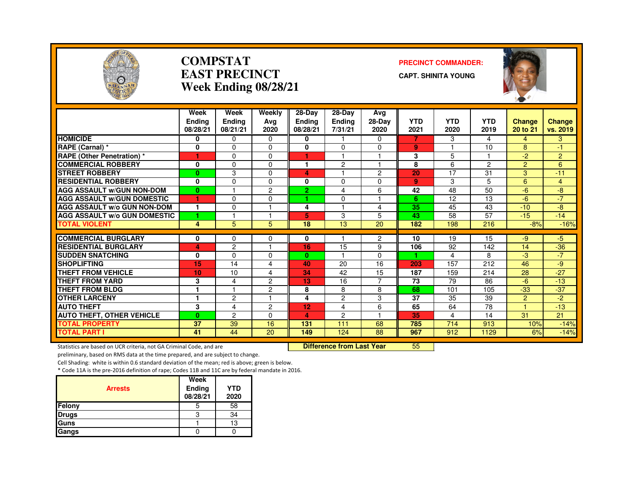

### **COMPSTATEAST PRECINCTWeek Ending 08/28/21**

### **PRECINCT COMMANDER:**

**CAPT. SHINITA YOUNG**



|                                     | Week<br><b>Ending</b><br>08/28/21 | Week<br><b>Ending</b><br>08/21/21 | Weekly<br>Avg<br>2020 | 28-Day<br><b>Ending</b><br>08/28/21 | 28-Dav<br>Ending<br>7/31/21 | Ava<br>28-Day<br>2020 | <b>YTD</b><br>2021 | <b>YTD</b><br>2020 | <b>YTD</b><br>2019 | <b>Change</b><br>20 to 21 | <b>Change</b><br>vs. 2019 |
|-------------------------------------|-----------------------------------|-----------------------------------|-----------------------|-------------------------------------|-----------------------------|-----------------------|--------------------|--------------------|--------------------|---------------------------|---------------------------|
| <b>HOMICIDE</b>                     | 0                                 | 0                                 | $\Omega$              | 0                                   | 1                           | 0                     | 7                  | 3                  | 4                  | 4                         | 3                         |
| RAPE (Carnal) *                     | 0                                 | $\Omega$                          | $\Omega$              | $\bf{0}$                            | 0                           | $\Omega$              | 9                  |                    | 10                 | 8                         | -1                        |
| <b>RAPE (Other Penetration) *</b>   | T                                 | $\Omega$                          | $\Omega$              |                                     |                             | ٠                     | 3                  | 5                  |                    | $-2$                      | $\overline{2}$            |
| <b>COMMERCIAL ROBBERY</b>           | 0                                 | $\Omega$                          | $\Omega$              | 1                                   | $\overline{c}$              | $\overline{1}$        | 8                  | 6                  | $\overline{2}$     | $\overline{2}$            | 6                         |
| <b>STREET ROBBERY</b>               | $\bf{0}$                          | 3                                 | $\Omega$              | 4                                   |                             | 2                     | 20                 | 17                 | 31                 | 3                         | $-11$                     |
| <b>RESIDENTIAL ROBBERY</b>          | 0                                 | $\Omega$                          | $\Omega$              | 0                                   | 0                           | 0                     | 9                  | 3                  | 5                  | 6                         | 4                         |
| <b>AGG ASSAULT W/GUN NON-DOM</b>    | $\bf{0}$                          |                                   | 2                     | $\overline{2}$                      | 4                           | 6                     | 42                 | 48                 | 50                 | $-6$                      | $-8$                      |
| <b>AGG ASSAULT W/GUN DOMESTIC</b>   | 1                                 | $\Omega$                          | $\Omega$              | н.                                  | 0                           | ٠                     | 6                  | 12                 | 13                 | $-6$                      | $-7$                      |
| <b>AGG ASSAULT W/o GUN NON-DOM</b>  | 1                                 | $\Omega$                          |                       | 4                                   |                             | 4                     | 35                 | 45                 | 43                 | $-10$                     | -8                        |
| <b>AGG ASSAULT W/o GUN DOMESTIC</b> | 1                                 |                                   |                       | 5                                   | 3                           | 5                     | 43                 | 58                 | 57                 | $-15$                     | $-14$                     |
| <b>TOTAL VIOLENT</b>                | 4                                 | 5                                 | 5                     | 18                                  | 13                          | 20                    | 182                | 198                | 216                | $-8%$                     | $-16%$                    |
| <b>COMMERCIAL BURGLARY</b>          | 0                                 | 0                                 | 0                     | 0                                   |                             | 2                     | 10                 | 19                 | 15                 | $-9$                      | $-5$                      |
| <b>RESIDENTIAL BURGLARY</b>         | 4                                 | $\overline{c}$                    |                       | 16                                  | 15                          | 9                     | 106                | 92                 | 142                | 14                        | $-36$                     |
| <b>SUDDEN SNATCHING</b>             | 0                                 | $\Omega$                          | $\Omega$              | $\mathbf{0}$                        |                             | $\Omega$              | ٠                  | 4                  | 8                  | -3                        | $-7$                      |
| <b>SHOPLIFTING</b>                  | 15                                | 14                                | 4                     | 40                                  | 20                          | 16                    | 203                | 157                | 212                | 46                        | $-9$                      |
| <b>THEFT FROM VEHICLE</b>           | 10                                | 10                                | 4                     | 34                                  | 42                          | 15                    | 187                | 159                | 214                | 28                        | $-27$                     |
| <b>THEFT FROM YARD</b>              | 3                                 | $\overline{4}$                    | $\overline{c}$        | 13                                  | 16                          | $\overline{7}$        | 73                 | 79                 | 86                 | $-6$                      | $-13$                     |
| <b>THEFT FROM BLDG</b>              | 1                                 |                                   | 2                     | 8                                   | 8                           | 8                     | 68                 | 101                | 105                | $-33$                     | $-37$                     |
| <b>OTHER LARCENY</b>                |                                   | 2                                 |                       | 4                                   | $\overline{c}$              | 3                     | 37                 | 35                 | 39                 | $\overline{2}$            | $-2$                      |
| <b>AUTO THEFT</b>                   | 3                                 | $\overline{4}$                    | 2                     | 12                                  | 4                           | 6                     | 65                 | 64                 | 78                 |                           | $-13$                     |
| <b>AUTO THEFT, OTHER VEHICLE</b>    | $\mathbf{0}$                      | $\overline{c}$                    | $\Omega$              | 4                                   | $\overline{c}$              | ٠                     | 35                 | 4                  | 14                 | 31                        | 21                        |
| <b>TOTAL PROPERTY</b>               | 37                                | 39                                | 16                    | 131                                 | 111                         | 68                    | 785                | 714                | 913                | 10%                       | $-14%$                    |
| <b>TOTAL PART I</b>                 | 41                                | 44                                | 20                    | 149                                 | 124                         | 88                    | 967                | 912                | 1129               | 6%                        | $-14%$                    |

Statistics are based on UCR criteria, not GA Criminal Code, and are **Difference from Last Year** 

<sup>55</sup>

preliminary, based on RMS data at the time prepared, and are subject to change.

Cell Shading: white is within 0.6 standard deviation of the mean; red is above; green is below.

| <b>Arrests</b> | Week<br>Ending<br>08/28/21 | <b>YTD</b><br>2020 |
|----------------|----------------------------|--------------------|
| Felony         | 5                          | 58                 |
| <b>Drugs</b>   | З                          | 34                 |
| Guns           |                            | 13                 |
| Gangs          |                            |                    |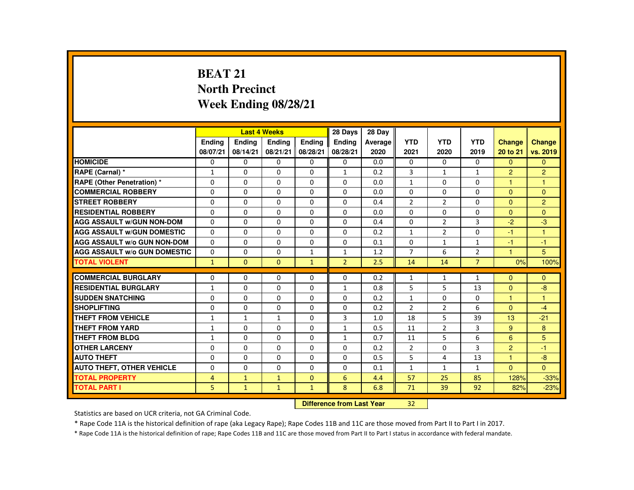# **BEAT 21 North PrecinctWeek Ending 08/28/21**

|                                     |                |               | <b>Last 4 Weeks</b> |               | 28 Days        | 28 Dav  |                |                |                |                      |                      |
|-------------------------------------|----------------|---------------|---------------------|---------------|----------------|---------|----------------|----------------|----------------|----------------------|----------------------|
|                                     | <b>Endina</b>  | <b>Endina</b> | <b>Endina</b>       | <b>Endina</b> | <b>Endina</b>  | Average | <b>YTD</b>     | <b>YTD</b>     | <b>YTD</b>     | <b>Change</b>        | <b>Change</b>        |
|                                     | 08/07/21       | 08/14/21      | 08/21/21            | 08/28/21      | 08/28/21       | 2020    | 2021           | 2020           | 2019           | 20 to 21             | vs. 2019             |
| <b>HOMICIDE</b>                     | 0              | 0             | 0                   | 0             | $\Omega$       | 0.0     | $\Omega$       | $\Omega$       | $\Omega$       | $\Omega$             | $\Omega$             |
| RAPE (Carnal) *                     | $\mathbf{1}$   | $\Omega$      | $\Omega$            | 0             | $\mathbf{1}$   | 0.2     | 3              | $\mathbf{1}$   | $\mathbf{1}$   | $\overline{2}$       | $\overline{2}$       |
| RAPE (Other Penetration) *          | $\Omega$       | $\Omega$      | $\Omega$            | $\Omega$      | $\Omega$       | 0.0     | $\mathbf{1}$   | $\Omega$       | $\Omega$       | $\blacktriangleleft$ | $\mathbf{1}$         |
| <b>COMMERCIAL ROBBERY</b>           | $\Omega$       | $\mathbf{0}$  | $\Omega$            | $\Omega$      | $\mathbf{0}$   | 0.0     | $\Omega$       | 0              | 0              | $\Omega$             | $\Omega$             |
| <b>STREET ROBBERY</b>               | $\Omega$       | $\Omega$      | $\Omega$            | $\Omega$      | $\Omega$       | 0.4     | 2              | 2              | $\Omega$       | $\Omega$             | 2                    |
| <b>RESIDENTIAL ROBBERY</b>          | $\Omega$       | $\Omega$      | $\Omega$            | $\Omega$      | $\Omega$       | 0.0     | $\Omega$       | $\Omega$       | $\Omega$       | $\Omega$             | $\Omega$             |
| <b>AGG ASSAULT W/GUN NON-DOM</b>    | $\Omega$       | $\Omega$      | $\Omega$            | $\Omega$      | $\Omega$       | 0.4     | $\Omega$       | $\overline{2}$ | 3              | $-2$                 | $-3$                 |
| <b>AGG ASSAULT W/GUN DOMESTIC</b>   | $\Omega$       | $\Omega$      | $\Omega$            | $\Omega$      | $\Omega$       | 0.2     | $\mathbf{1}$   | $\overline{2}$ | $\Omega$       | $-1$                 | 1                    |
| <b>AGG ASSAULT W/o GUN NON-DOM</b>  | $\Omega$       | $\Omega$      | $\Omega$            | $\Omega$      | $\Omega$       | 0.1     | $\Omega$       | $\mathbf{1}$   | $\mathbf{1}$   | $-1$                 | $-1$                 |
| <b>AGG ASSAULT W/o GUN DOMESTIC</b> | $\Omega$       | $\Omega$      | $\Omega$            | $\mathbf{1}$  | $\mathbf{1}$   | 1.2     | $\overline{7}$ | 6              | $\overline{2}$ | $\blacktriangleleft$ | 5                    |
| <b>TOTAL VIOLENT</b>                | $\mathbf{1}$   | $\Omega$      | $\Omega$            | $\mathbf{1}$  | $\overline{2}$ | 2.5     | 14             | 14             | $\overline{7}$ | 0%                   | 100%                 |
|                                     |                |               |                     |               |                |         |                |                |                |                      |                      |
| <b>COMMERCIAL BURGLARY</b>          | $\Omega$       | $\Omega$      | $\Omega$            | $\Omega$      | $\Omega$       | 0.2     | $\mathbf{1}$   | $\mathbf{1}$   | $\mathbf{1}$   | $\Omega$             | $\Omega$             |
| <b>RESIDENTIAL BURGLARY</b>         | 1              | $\Omega$      | $\Omega$            | $\Omega$      | 1              | 0.8     | 5              | 5              | 13             | $\Omega$             | $-8$                 |
| <b>SUDDEN SNATCHING</b>             | $\Omega$       | $\Omega$      | $\Omega$            | $\Omega$      | $\Omega$       | 0.2     | $\mathbf{1}$   | $\Omega$       | $\Omega$       | $\blacktriangleleft$ | $\blacktriangleleft$ |
| <b>SHOPLIFTING</b>                  | $\Omega$       | $\Omega$      | $\Omega$            | $\Omega$      | $\Omega$       | 0.2     | $\mathcal{P}$  | $\overline{2}$ | 6              | $\Omega$             | $-4$                 |
| <b>THEFT FROM VEHICLE</b>           | $\mathbf{1}$   | $\mathbf{1}$  | $\mathbf{1}$        | $\Omega$      | 3              | 1.0     | 18             | 5              | 39             | 13                   | $-21$                |
| <b>THEFT FROM YARD</b>              | $\mathbf{1}$   | $\Omega$      | $\Omega$            | $\Omega$      | $\mathbf{1}$   | 0.5     | 11             | $\overline{2}$ | 3              | 9                    | 8                    |
| <b>THEFT FROM BLDG</b>              | $\mathbf{1}$   | $\Omega$      | $\Omega$            | $\Omega$      | $\mathbf{1}$   | 0.7     | 11             | 5              | 6              | 6                    | 5                    |
| <b>OTHER LARCENY</b>                | $\Omega$       | $\Omega$      | $\Omega$            | $\Omega$      | $\Omega$       | 0.2     | $\overline{2}$ | $\Omega$       | 3              | $\overline{2}$       | $-1$                 |
| <b>AUTO THEFT</b>                   | 0              | $\Omega$      | $\Omega$            | $\Omega$      | $\Omega$       | 0.5     | 5              | 4              | 13             | $\blacktriangleleft$ | $-8$                 |
| <b>AUTO THEFT, OTHER VEHICLE</b>    | $\Omega$       | $\Omega$      | $\Omega$            | $\Omega$      | $\Omega$       | 0.1     | $\mathbf{1}$   | $\mathbf{1}$   | $\mathbf{1}$   | $\Omega$             | $\Omega$             |
| <b>TOTAL PROPERTY</b>               | $\overline{4}$ | $\mathbf{1}$  | $\mathbf{1}$        | $\Omega$      | 6              | 4.4     | 57             | 25             | 85             | 128%                 | $-33%$               |
| <b>TOTAL PART I</b>                 | 5              | $\mathbf{1}$  | $\mathbf{1}$        | $\mathbf{1}$  | 8              | 6.8     | 71             | 39             | 92             | 82%                  | $-23%$               |
|                                     |                |               |                     |               |                |         |                |                |                |                      |                      |

#### **Difference from Last Year**<sup>32</sup>

Statistics are based on UCR criteria, not GA Criminal Code.

\* Rape Code 11A is the historical definition of rape (aka Legacy Rape); Rape Codes 11B and 11C are those moved from Part II to Part I in 2017.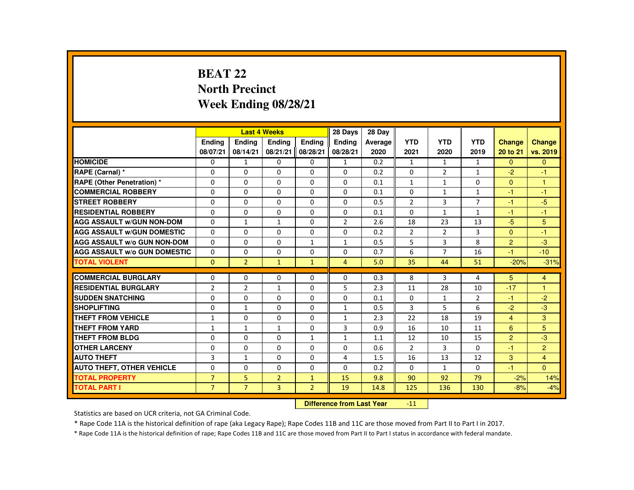# **BEAT 22 North PrecinctWeek Ending 08/28/21**

|                                     |                |                | <b>Last 4 Weeks</b> |                | 28 Days        | 28 Day  |                |                |                |                |                |
|-------------------------------------|----------------|----------------|---------------------|----------------|----------------|---------|----------------|----------------|----------------|----------------|----------------|
|                                     | <b>Endina</b>  | <b>Endina</b>  | <b>Endina</b>       | <b>Endina</b>  | <b>Endina</b>  | Average | <b>YTD</b>     | <b>YTD</b>     | <b>YTD</b>     | <b>Change</b>  | <b>Change</b>  |
|                                     | 08/07/21       | 08/14/21       | 08/21/21            | 08/28/21       | 08/28/21       | 2020    | 2021           | 2020           | 2019           | 20 to 21       | vs. 2019       |
| <b>HOMICIDE</b>                     | 0              | 1              | 0                   | 0              | 1              | 0.2     | $\mathbf{1}$   | $\mathbf{1}$   | $\mathbf{1}$   | $\mathbf{0}$   | $\mathbf{0}$   |
| RAPE (Carnal) *                     | $\Omega$       | $\Omega$       | $\Omega$            | $\Omega$       | $\Omega$       | 0.2     | $\Omega$       | $\overline{2}$ | $\mathbf{1}$   | $-2$           | $-1$           |
| <b>RAPE (Other Penetration) *</b>   | $\Omega$       | $\Omega$       | $\Omega$            | $\Omega$       | $\Omega$       | 0.1     | $\mathbf{1}$   | $\mathbf{1}$   | $\Omega$       | $\Omega$       | $\mathbf{1}$   |
| <b>COMMERCIAL ROBBERY</b>           | 0              | $\mathbf{0}$   | 0                   | 0              | 0              | 0.1     | 0              | $\mathbf{1}$   | $\mathbf{1}$   | $-1$           | $-1$           |
| <b>STREET ROBBERY</b>               | $\Omega$       | $\Omega$       | $\Omega$            | $\Omega$       | $\Omega$       | 0.5     | $\overline{2}$ | 3              | $\overline{7}$ | $-1$           | $-5$           |
| <b>RESIDENTIAL ROBBERY</b>          | $\Omega$       | $\Omega$       | $\Omega$            | $\Omega$       | $\Omega$       | 0.1     | $\Omega$       | $\mathbf{1}$   | $\mathbf{1}$   | $-1$           | $-1$           |
| <b>AGG ASSAULT W/GUN NON-DOM</b>    | $\Omega$       | $\mathbf{1}$   | $\mathbf{1}$        | $\Omega$       | $\overline{2}$ | 2.6     | 18             | 23             | 13             | $-5$           | 5              |
| <b>AGG ASSAULT W/GUN DOMESTIC</b>   | $\Omega$       | $\Omega$       | $\Omega$            | $\Omega$       | $\Omega$       | 0.2     | $\overline{2}$ | 2              | 3              | $\mathbf{0}$   | $-1$           |
| <b>AGG ASSAULT W/o GUN NON-DOM</b>  | $\Omega$       | $\Omega$       | $\Omega$            | $\mathbf{1}$   | $\mathbf{1}$   | 0.5     | 5              | 3              | 8              | $\overline{2}$ | $-3$           |
| <b>AGG ASSAULT W/o GUN DOMESTIC</b> | $\Omega$       | $\Omega$       | $\Omega$            | $\Omega$       | $\Omega$       | 0.7     | 6              | $\overline{7}$ | 16             | $-1$           | $-10$          |
| <b>TOTAL VIOLENT</b>                | $\Omega$       | $\overline{2}$ | $\mathbf{1}$        | $\mathbf{1}$   | $\overline{4}$ | 5.0     | 35             | 44             | 51             | $-20%$         | $-31%$         |
|                                     |                |                |                     |                |                |         |                |                |                |                |                |
| <b>COMMERCIAL BURGLARY</b>          | $\Omega$       | $\Omega$       | $\Omega$            | $\Omega$       | $\Omega$       | 0.3     | 8              | 3              | 4              | 5              | $\overline{4}$ |
| <b>RESIDENTIAL BURGLARY</b>         | $\overline{2}$ | $\overline{2}$ | $\mathbf{1}$        | $\Omega$       | 5              | 2.3     | 11             | 28             | 10             | $-17$          | $\mathbf{1}$   |
| <b>SUDDEN SNATCHING</b>             | 0              | $\Omega$       | $\Omega$            | $\Omega$       | $\Omega$       | 0.1     | $\Omega$       | $\mathbf{1}$   | $\overline{2}$ | $-1$           | $-2$           |
| <b>SHOPLIFTING</b>                  | $\Omega$       | $\mathbf{1}$   | $\Omega$            | $\Omega$       | $\mathbf{1}$   | 0.5     | 3              | 5              | 6              | $-2$           | $-3$           |
| <b>THEFT FROM VEHICLE</b>           | $\mathbf{1}$   | $\mathbf{0}$   | $\Omega$            | $\Omega$       | $\mathbf{1}$   | 2.3     | 22             | 18             | 19             | $\overline{4}$ | 3              |
| <b>THEFT FROM YARD</b>              | $\mathbf{1}$   | $\mathbf{1}$   | $\mathbf{1}$        | $\Omega$       | 3              | 0.9     | 16             | 10             | 11             | 6              | 5              |
| <b>THEFT FROM BLDG</b>              | $\Omega$       | $\Omega$       | $\Omega$            | $\mathbf{1}$   | $\mathbf{1}$   | 1.1     | 12             | 10             | 15             | $\overline{2}$ | $-3$           |
| <b>OTHER LARCENY</b>                | $\mathbf{0}$   | $\mathbf{0}$   | 0                   | 0              | 0              | 0.6     | $\overline{2}$ | 3              | 0              | $-1$           | $\overline{2}$ |
| <b>AUTO THEFT</b>                   | 3              | $\mathbf{1}$   | $\Omega$            | $\Omega$       | $\overline{4}$ | 1.5     | 16             | 13             | 12             | 3              | $\overline{4}$ |
| <b>AUTO THEFT, OTHER VEHICLE</b>    | $\Omega$       | $\Omega$       | $\Omega$            | $\Omega$       | $\Omega$       | 0.2     | $\Omega$       | $\mathbf{1}$   | $\Omega$       | $-1$           | $\Omega$       |
| <b>TOTAL PROPERTY</b>               | $\overline{7}$ | 5              | $\overline{2}$      | $\mathbf{1}$   | 15             | 9.8     | 90             | 92             | 79             | $-2%$          | 14%            |
| <b>TOTAL PART I</b>                 | $\overline{7}$ | $\overline{7}$ | $\overline{3}$      | $\overline{2}$ | 19             | 14.8    | 125            | 136            | 130            | $-8%$          | $-4%$          |
|                                     |                |                |                     |                |                |         |                |                |                |                |                |

#### **Difference from Last Year** $-11$  |

Statistics are based on UCR criteria, not GA Criminal Code.

\* Rape Code 11A is the historical definition of rape (aka Legacy Rape); Rape Codes 11B and 11C are those moved from Part II to Part I in 2017.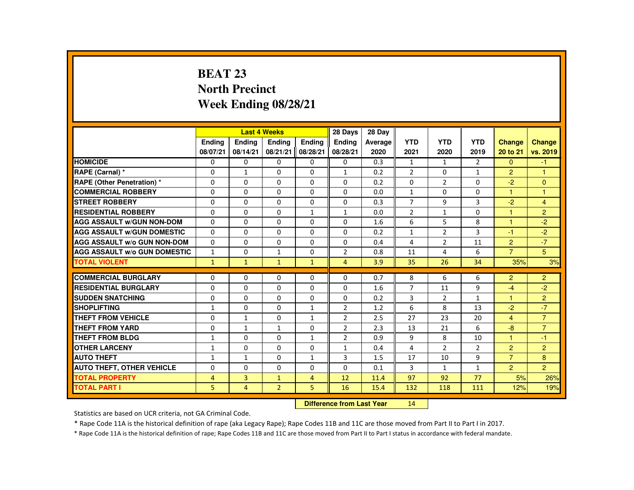# **BEAT 23 North PrecinctWeek Ending 08/28/21**

|                                     |                |                | <b>Last 4 Weeks</b> |                | 28 Days        | 28 Dav  |                |                |                |                |                |
|-------------------------------------|----------------|----------------|---------------------|----------------|----------------|---------|----------------|----------------|----------------|----------------|----------------|
|                                     | <b>Endina</b>  | <b>Endina</b>  | <b>Endina</b>       | <b>Endina</b>  | <b>Endina</b>  | Average | <b>YTD</b>     | <b>YTD</b>     | <b>YTD</b>     | <b>Change</b>  | <b>Change</b>  |
|                                     | 08/07/21       | 08/14/21       | 08/21/21            | 08/28/21       | 08/28/21       | 2020    | 2021           | 2020           | 2019           | 20 to 21       | vs. 2019       |
| <b>HOMICIDE</b>                     | 0              | 0              | 0                   | 0              | 0              | 0.3     | $\mathbf{1}$   | 1              | $\overline{2}$ | $\mathbf{0}$   | $-1$           |
| RAPE (Carnal) *                     | $\Omega$       | $\mathbf{1}$   | $\Omega$            | $\Omega$       | $\mathbf{1}$   | 0.2     | $\overline{2}$ | $\Omega$       | $\mathbf{1}$   | $\overline{2}$ | $\mathbf{1}$   |
| <b>RAPE (Other Penetration) *</b>   | $\Omega$       | $\Omega$       | $\Omega$            | $\Omega$       | $\Omega$       | 0.2     | $\Omega$       | 2              | $\Omega$       | $-2$           | $\mathbf{0}$   |
| <b>COMMERCIAL ROBBERY</b>           | 0              | $\mathbf{0}$   | 0                   | 0              | $\Omega$       | 0.0     | $\mathbf{1}$   | 0              | 0              | 1              | 1              |
| <b>STREET ROBBERY</b>               | $\Omega$       | $\Omega$       | $\Omega$            | $\Omega$       | $\Omega$       | 0.3     | $\overline{7}$ | 9              | 3              | $-2$           | $\overline{4}$ |
| <b>RESIDENTIAL ROBBERY</b>          | $\Omega$       | $\Omega$       | $\Omega$            | $\mathbf{1}$   | $\mathbf{1}$   | 0.0     | $\overline{2}$ | $\mathbf{1}$   | $\Omega$       | $\overline{1}$ | $\overline{2}$ |
| <b>AGG ASSAULT W/GUN NON-DOM</b>    | $\Omega$       | $\mathbf{0}$   | 0                   | 0              | 0              | 1.6     | 6              | 5              | 8              | 1              | $-2$           |
| <b>AGG ASSAULT W/GUN DOMESTIC</b>   | $\Omega$       | $\Omega$       | $\Omega$            | $\Omega$       | $\Omega$       | 0.2     | $\mathbf{1}$   | 2              | 3              | $-1$           | $-2$           |
| <b>AGG ASSAULT W/o GUN NON-DOM</b>  | $\Omega$       | $\Omega$       | $\Omega$            | $\Omega$       | $\Omega$       | 0.4     | 4              | $\overline{2}$ | 11             | $\overline{2}$ | $-7$           |
| <b>AGG ASSAULT W/o GUN DOMESTIC</b> | $\mathbf{1}$   | $\mathbf{0}$   | $\mathbf{1}$        | $\Omega$       | $\overline{2}$ | 0.8     | 11             | 4              | 6              | $\overline{7}$ | 5              |
| <b>TOTAL VIOLENT</b>                | $\mathbf{1}$   | $\mathbf{1}$   | $\mathbf{1}$        | $\mathbf{1}$   | $\overline{4}$ | 3.9     | 35             | 26             | 34             | 35%            | 3%             |
|                                     |                |                |                     |                |                |         |                |                |                |                |                |
| <b>COMMERCIAL BURGLARY</b>          | $\Omega$       | $\mathbf{0}$   | 0                   | 0              | 0              | 0.7     | 8              | 6              | 6              | 2              | $\overline{2}$ |
| <b>RESIDENTIAL BURGLARY</b>         | $\Omega$       | $\Omega$       | $\Omega$            | $\Omega$       | $\Omega$       | 1.6     | $\overline{7}$ | 11             | 9              | $-4$           | $-2$           |
| <b>SUDDEN SNATCHING</b>             | $\Omega$       | $\Omega$       | $\Omega$            | $\Omega$       | $\Omega$       | 0.2     | 3              | $\overline{2}$ | $\mathbf{1}$   | $\mathbf{1}$   | $\overline{2}$ |
| <b>SHOPLIFTING</b>                  | $\mathbf{1}$   | $\Omega$       | $\Omega$            | $\mathbf{1}$   | 2              | 1.2     | 6              | 8              | 13             | $-2$           | $-7$           |
| <b>THEFT FROM VEHICLE</b>           | $\Omega$       | $\mathbf{1}$   | 0                   | $\mathbf{1}$   | $\overline{2}$ | 2.5     | 27             | 23             | 20             | $\overline{4}$ | $\overline{7}$ |
| <b>THEFT FROM YARD</b>              | 0              | $\mathbf{1}$   | $\mathbf{1}$        | $\Omega$       | $\overline{2}$ | 2.3     | 13             | 21             | 6              | $-8$           | $\overline{7}$ |
| <b>THEFT FROM BLDG</b>              | $\mathbf{1}$   | $\Omega$       | $\Omega$            | $\mathbf{1}$   | $\overline{2}$ | 0.9     | 9              | 8              | 10             | $\mathbf{1}$   | $-1$           |
| <b>OTHER LARCENY</b>                | 1              | $\mathbf{0}$   | $\Omega$            | $\Omega$       | $\mathbf{1}$   | 0.4     | 4              | $\overline{2}$ | $\overline{2}$ | $\overline{2}$ | $\overline{2}$ |
| <b>AUTO THEFT</b>                   | $\mathbf{1}$   | $\mathbf{1}$   | $\Omega$            | $\mathbf{1}$   | 3              | 1.5     | 17             | 10             | 9              | $\overline{7}$ | 8              |
| <b>AUTO THEFT, OTHER VEHICLE</b>    | $\Omega$       | $\Omega$       | $\Omega$            | $\Omega$       | $\Omega$       | 0.1     | 3              | $\mathbf{1}$   | $\mathbf{1}$   | $\overline{2}$ | $\overline{2}$ |
| <b>TOTAL PROPERTY</b>               | $\overline{4}$ | 3              | $\mathbf{1}$        | $\overline{4}$ | 12             | 11.4    | 97             | 92             | 77             | 5%             | 26%            |
| <b>TOTAL PART I</b>                 | 5              | $\overline{4}$ | $\overline{2}$      | 5              | 16             | 15.4    | 132            | 118            | 111            | 12%            | 19%            |
|                                     |                |                |                     |                |                |         |                |                |                |                |                |

#### **Difference from Last Year**<sup>14</sup>

Statistics are based on UCR criteria, not GA Criminal Code.

\* Rape Code 11A is the historical definition of rape (aka Legacy Rape); Rape Codes 11B and 11C are those moved from Part II to Part I in 2017.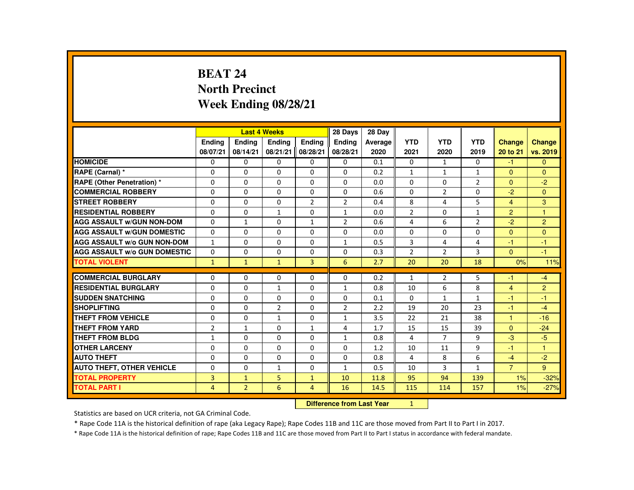# **BEAT 24 North PrecinctWeek Ending 08/28/21**

|                                     |                |                | <b>Last 4 Weeks</b> |                | 28 Days        | 28 Day                           |                |                |                |                |                |
|-------------------------------------|----------------|----------------|---------------------|----------------|----------------|----------------------------------|----------------|----------------|----------------|----------------|----------------|
|                                     | <b>Ending</b>  | <b>Ending</b>  | <b>Ending</b>       | <b>Endina</b>  | <b>Endina</b>  | Average                          | <b>YTD</b>     | <b>YTD</b>     | <b>YTD</b>     | Change         | <b>Change</b>  |
|                                     | 08/07/21       | 08/14/21       | 08/21/21            | 08/28/21       | 08/28/21       | 2020                             | 2021           | 2020           | 2019           | 20 to 21       | vs. 2019       |
| <b>HOMICIDE</b>                     | 0              | $\mathbf{0}$   | 0                   | 0              | 0              | 0.1                              | $\mathbf{0}$   | $\mathbf{1}$   | 0              | $-1$           | $\mathbf{0}$   |
| RAPE (Carnal) *                     | $\Omega$       | $\Omega$       | $\Omega$            | $\Omega$       | $\Omega$       | 0.2                              | $\mathbf{1}$   | $\mathbf{1}$   | $\mathbf{1}$   | $\Omega$       | $\Omega$       |
| <b>RAPE (Other Penetration) *</b>   | $\Omega$       | $\Omega$       | $\Omega$            | $\Omega$       | $\Omega$       | 0.0                              | $\Omega$       | $\Omega$       | $\overline{2}$ | $\Omega$       | $-2$           |
| <b>COMMERCIAL ROBBERY</b>           | $\Omega$       | $\Omega$       | $\Omega$            | $\Omega$       | $\Omega$       | 0.6                              | $\Omega$       | $\overline{2}$ | $\Omega$       | $-2$           | $\Omega$       |
| <b>STREET ROBBERY</b>               | $\Omega$       | $\Omega$       | $\Omega$            | $\overline{2}$ | $\overline{2}$ | 0.4                              | 8              | 4              | 5              | $\overline{4}$ | 3              |
| <b>RESIDENTIAL ROBBERY</b>          | $\mathbf{0}$   | $\Omega$       | $\mathbf{1}$        | $\Omega$       | $\mathbf{1}$   | 0.0                              | $\overline{2}$ | 0              | $\mathbf{1}$   | $\overline{2}$ | 1              |
| <b>AGG ASSAULT W/GUN NON-DOM</b>    | $\Omega$       | $\mathbf{1}$   | $\Omega$            | $\mathbf{1}$   | $\overline{2}$ | 0.6                              | 4              | 6              | $\overline{2}$ | $-2$           | $\overline{2}$ |
| <b>AGG ASSAULT W/GUN DOMESTIC</b>   | $\Omega$       | $\Omega$       | $\Omega$            | $\Omega$       | $\Omega$       | 0.0                              | $\Omega$       | $\Omega$       | $\Omega$       | $\Omega$       | $\mathbf{0}$   |
| <b>AGG ASSAULT W/o GUN NON-DOM</b>  | $\mathbf{1}$   | $\Omega$       | $\Omega$            | $\Omega$       | $\mathbf{1}$   | 0.5                              | 3              | 4              | 4              | $-1$           | $-1$           |
| <b>AGG ASSAULT W/o GUN DOMESTIC</b> | $\Omega$       | 0              | 0                   | 0              | 0              | 0.3                              | $\overline{2}$ | $\overline{2}$ | 3              | $\mathbf{0}$   | $-1$           |
| <b>TOTAL VIOLENT</b>                | $\mathbf{1}$   | $\mathbf{1}$   | $\mathbf{1}$        | $\overline{3}$ | 6              | 2.7                              | 20             | 20             | 18             | 0%             | 11%            |
| <b>COMMERCIAL BURGLARY</b>          | $\Omega$       | $\Omega$       | $\Omega$            | $\Omega$       | $\Omega$       | 0.2                              | $\mathbf{1}$   | $\overline{2}$ | 5              | $-1$           | $-4$           |
| <b>RESIDENTIAL BURGLARY</b>         | $\Omega$       | $\Omega$       | 1                   | $\Omega$       | 1              | 0.8                              | 10             | 6              | 8              | $\overline{4}$ | $\overline{2}$ |
| <b>SUDDEN SNATCHING</b>             | $\Omega$       | $\Omega$       | $\Omega$            | 0              | 0              | 0.1                              | 0              | $\mathbf{1}$   | $\mathbf{1}$   | $-1$           | $-1$           |
| <b>SHOPLIFTING</b>                  | $\Omega$       | $\Omega$       | $\overline{2}$      | $\Omega$       | $\overline{2}$ | 2.2                              | 19             | 20             | 23             | $-1$           | $-4$           |
| THEFT FROM VEHICLE                  | 0              | $\Omega$       | $\mathbf{1}$        | $\Omega$       | $\mathbf{1}$   | 3.5                              | 22             | 21             | 38             | 1              | $-16$          |
| <b>THEFT FROM YARD</b>              | $\overline{2}$ | $\mathbf{1}$   | $\Omega$            | $\mathbf{1}$   | 4              | 1.7                              | 15             | 15             | 39             | $\Omega$       | $-24$          |
| <b>THEFT FROM BLDG</b>              | $\mathbf{1}$   | $\Omega$       | $\Omega$            | $\Omega$       | $\mathbf{1}$   | 0.8                              | 4              | $\overline{7}$ | 9              | $-3$           | $-5$           |
| <b>OTHER LARCENY</b>                | $\Omega$       | $\Omega$       | $\Omega$            | $\Omega$       | $\Omega$       | 1.2                              | 10             | 11             | 9              | $-1$           | $\mathbf{1}$   |
| <b>AUTO THEFT</b>                   | $\Omega$       | $\Omega$       | $\Omega$            | $\Omega$       | $\Omega$       | 0.8                              | 4              | 8              | 6              | $-4$           | $-2$           |
| <b>AUTO THEFT, OTHER VEHICLE</b>    | $\Omega$       | $\Omega$       | $\mathbf{1}$        | $\Omega$       | $\mathbf{1}$   | 0.5                              | 10             | 3              | $\mathbf{1}$   | $\overline{7}$ | 9              |
| <b>TOTAL PROPERTY</b>               | 3              | $\mathbf{1}$   | 5                   | $\mathbf{1}$   | 10             | 11.8                             | 95             | 94             | 139            | 1%             | $-32%$         |
| <b>TOTAL PART I</b>                 | $\overline{4}$ | $\overline{2}$ | 6                   | $\overline{4}$ | 16             | 14.5                             | 115            | 114            | 157            | 1%             | $-27%$         |
|                                     |                |                |                     |                |                | <b>Difference from Last Year</b> | 1              |                |                |                |                |

### **Difference from Last Year**

Statistics are based on UCR criteria, not GA Criminal Code.

\* Rape Code 11A is the historical definition of rape (aka Legacy Rape); Rape Codes 11B and 11C are those moved from Part II to Part I in 2017.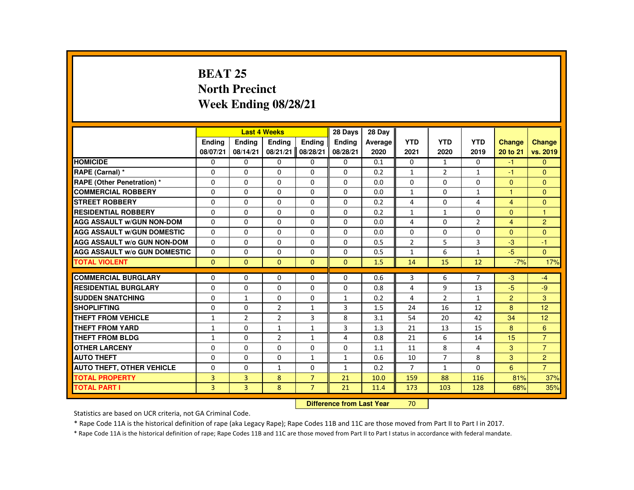# **BEAT 25 North PrecinctWeek Ending 08/28/21**

|                                     |               |                | <b>Last 4 Weeks</b> |                | 28 Days        | 28 Day  |                |                |                |                |                |
|-------------------------------------|---------------|----------------|---------------------|----------------|----------------|---------|----------------|----------------|----------------|----------------|----------------|
|                                     | <b>Endina</b> | <b>Endina</b>  | <b>Endina</b>       | <b>Endina</b>  | <b>Endina</b>  | Average | <b>YTD</b>     | <b>YTD</b>     | <b>YTD</b>     | <b>Change</b>  | Change         |
|                                     | 08/07/21      | 08/14/21       | 08/21/21            | 08/28/21       | 08/28/21       | 2020    | 2021           | 2020           | 2019           | 20 to 21       | vs. 2019       |
| <b>HOMICIDE</b>                     | 0             | 0              | 0                   | 0              | 0              | 0.1     | 0              | $\mathbf{1}$   | 0              | $-1$           | $\Omega$       |
| RAPE (Carnal) *                     | $\Omega$      | $\Omega$       | $\Omega$            | $\Omega$       | $\Omega$       | 0.2     | $\mathbf{1}$   | 2              | $\mathbf{1}$   | -1             | $\Omega$       |
| <b>RAPE (Other Penetration) *</b>   | $\Omega$      | $\Omega$       | $\Omega$            | $\Omega$       | $\Omega$       | 0.0     | $\Omega$       | $\Omega$       | $\Omega$       | $\Omega$       | $\Omega$       |
| <b>COMMERCIAL ROBBERY</b>           | 0             | 0              | 0                   | 0              | $\Omega$       | 0.0     | $\mathbf{1}$   | 0              | $\mathbf{1}$   | $\mathbf{1}$   | $\mathbf{0}$   |
| <b>STREET ROBBERY</b>               | $\Omega$      | $\Omega$       | $\Omega$            | $\Omega$       | $\Omega$       | 0.2     | 4              | $\Omega$       | 4              | $\overline{4}$ | $\Omega$       |
| <b>RESIDENTIAL ROBBERY</b>          | $\Omega$      | $\Omega$       | $\Omega$            | $\Omega$       | $\Omega$       | 0.2     | $\mathbf{1}$   | $\mathbf{1}$   | $\Omega$       | $\Omega$       | $\mathbf{1}$   |
| <b>AGG ASSAULT W/GUN NON-DOM</b>    | $\Omega$      | $\Omega$       | $\Omega$            | $\Omega$       | $\Omega$       | 0.0     | 4              | $\Omega$       | $\overline{2}$ | $\overline{4}$ | 2              |
| <b>AGG ASSAULT W/GUN DOMESTIC</b>   | $\Omega$      | $\Omega$       | $\Omega$            | $\Omega$       | $\Omega$       | 0.0     | $\Omega$       | $\Omega$       | $\Omega$       | $\Omega$       | $\Omega$       |
| <b>AGG ASSAULT W/o GUN NON-DOM</b>  | $\Omega$      | $\Omega$       | $\Omega$            | $\Omega$       | $\Omega$       | 0.5     | $\overline{2}$ | 5              | 3              | $-3$           | $-1$           |
| <b>AGG ASSAULT W/o GUN DOMESTIC</b> | $\Omega$      | $\Omega$       | $\Omega$            | $\Omega$       | $\Omega$       | 0.5     | $\mathbf{1}$   | 6              | $\mathbf{1}$   | $-5$           | $\Omega$       |
| <b>TOTAL VIOLENT</b>                | $\Omega$      | $\Omega$       | $\Omega$            | $\Omega$       | $\Omega$       | 1.5     | 14             | 15             | 12             | $-7%$          | 17%            |
|                                     |               |                |                     |                |                |         |                |                |                |                |                |
| <b>COMMERCIAL BURGLARY</b>          | $\Omega$      | $\Omega$       | $\Omega$            | $\Omega$       | $\Omega$       | 0.6     | 3              | 6              | $\overline{7}$ | $-3$           | -4             |
| <b>RESIDENTIAL BURGLARY</b>         | $\Omega$      | $\Omega$       | $\Omega$            | $\Omega$       | $\Omega$       | 0.8     | 4              | 9              | 13             | $-5$           | -9             |
| <b>SUDDEN SNATCHING</b>             | $\Omega$      | $\mathbf{1}$   | $\Omega$            | $\Omega$       | $\mathbf{1}$   | 0.2     | 4              | 2              | $\mathbf{1}$   | 2              | 3              |
| <b>SHOPLIFTING</b>                  | $\Omega$      | $\Omega$       | $\overline{2}$      | $\mathbf{1}$   | 3              | 1.5     | 24             | 16             | 12             | 8              | 12             |
| THEFT FROM VEHICLE                  | $\mathbf{1}$  | $\overline{2}$ | $\overline{2}$      | 3              | 8              | 3.1     | 54             | 20             | 42             | 34             | 12             |
| <b>THEFT FROM YARD</b>              | $\mathbf{1}$  | $\Omega$       | $\mathbf{1}$        | $\mathbf{1}$   | $\overline{3}$ | 1.3     | 21             | 13             | 15             | 8              | 6              |
| <b>THEFT FROM BLDG</b>              | $\mathbf{1}$  | $\Omega$       | 2                   | $\mathbf{1}$   | 4              | 0.8     | 21             | 6              | 14             | 15             | $\overline{7}$ |
| <b>OTHER LARCENY</b>                | $\Omega$      | $\Omega$       | $\Omega$            | $\Omega$       | $\Omega$       | 1.1     | 11             | 8              | 4              | 3              | $\overline{7}$ |
| <b>AUTO THEFT</b>                   | $\Omega$      | $\Omega$       | $\Omega$            | $\mathbf{1}$   | $\mathbf{1}$   | 0.6     | 10             | $\overline{7}$ | 8              | 3              | 2              |
| <b>AUTO THEFT, OTHER VEHICLE</b>    | $\Omega$      | $\Omega$       | $\mathbf{1}$        | $\Omega$       | $\mathbf{1}$   | 0.2     | $\overline{7}$ | $\mathbf{1}$   | $\Omega$       | 6              | $\overline{7}$ |
| <b>TOTAL PROPERTY</b>               | 3             | 3              | 8                   | $\overline{7}$ | 21             | 10.0    | 159            | 88             | 116            | 81%            | 37%            |
| <b>TOTAL PART I</b>                 | 3             | $\overline{3}$ | 8                   | $\overline{7}$ | 21             | 11.4    | 173            | 103            | 128            | 68%            | 35%            |
|                                     |               |                |                     |                |                |         |                |                |                |                |                |

#### **Difference from Last Year**<sup>70</sup>

Statistics are based on UCR criteria, not GA Criminal Code.

\* Rape Code 11A is the historical definition of rape (aka Legacy Rape); Rape Codes 11B and 11C are those moved from Part II to Part I in 2017.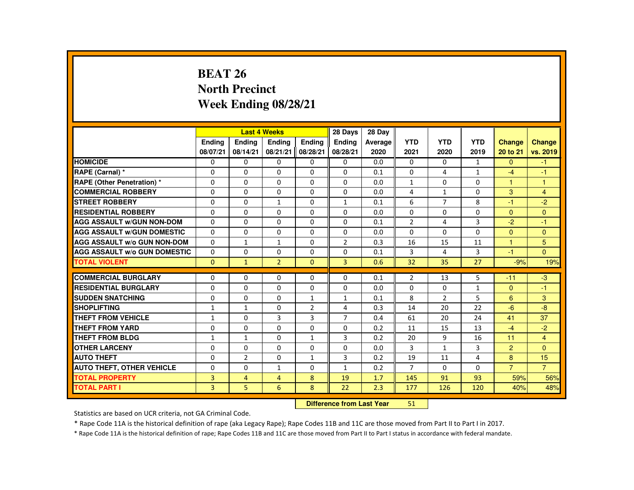# **BEAT 26 North PrecinctWeek Ending 08/28/21**

|                                     |                |                | <b>Last 4 Weeks</b> |                | 28 Days        | 28 Day  |                |                |              |                |                |
|-------------------------------------|----------------|----------------|---------------------|----------------|----------------|---------|----------------|----------------|--------------|----------------|----------------|
|                                     | <b>Endina</b>  | <b>Endina</b>  | <b>Endina</b>       | <b>Endina</b>  | <b>Endina</b>  | Average | <b>YTD</b>     | <b>YTD</b>     | <b>YTD</b>   | <b>Change</b>  | <b>Change</b>  |
|                                     | 08/07/21       | 08/14/21       | 08/21/21            | 08/28/21       | 08/28/21       | 2020    | 2021           | 2020           | 2019         | 20 to 21       | vs. 2019       |
| <b>HOMICIDE</b>                     | 0              | 0              | 0                   | 0              | 0              | 0.0     | 0              | 0              | $\mathbf{1}$ | $\mathbf{0}$   | $-1$           |
| RAPE (Carnal) *                     | $\Omega$       | $\Omega$       | $\Omega$            | $\Omega$       | $\Omega$       | 0.1     | $\Omega$       | 4              | $\mathbf{1}$ | $-4$           | -1             |
| <b>RAPE (Other Penetration) *</b>   | $\Omega$       | $\Omega$       | $\Omega$            | $\Omega$       | $\Omega$       | 0.0     | $\mathbf{1}$   | $\Omega$       | $\Omega$     | $\mathbf{1}$   | $\mathbf{1}$   |
| <b>COMMERCIAL ROBBERY</b>           | 0              | $\mathbf{0}$   | 0                   | 0              | 0              | 0.0     | 4              | $\mathbf{1}$   | 0            | 3              | $\overline{4}$ |
| <b>STREET ROBBERY</b>               | $\Omega$       | $\Omega$       | $\mathbf{1}$        | $\Omega$       | $\mathbf{1}$   | 0.1     | 6              | $\overline{7}$ | 8            | $-1$           | $-2$           |
| <b>RESIDENTIAL ROBBERY</b>          | $\Omega$       | $\Omega$       | $\Omega$            | $\Omega$       | $\Omega$       | 0.0     | $\Omega$       | $\Omega$       | $\Omega$     | $\Omega$       | $\Omega$       |
| <b>AGG ASSAULT W/GUN NON-DOM</b>    | $\Omega$       | $\mathbf{0}$   | 0                   | $\Omega$       | $\Omega$       | 0.1     | $\overline{2}$ | 4              | 3            | $-2$           | $-1$           |
| <b>AGG ASSAULT W/GUN DOMESTIC</b>   | $\Omega$       | $\Omega$       | $\Omega$            | $\Omega$       | $\Omega$       | 0.0     | $\Omega$       | $\Omega$       | $\Omega$     | $\Omega$       | $\Omega$       |
| <b>AGG ASSAULT W/o GUN NON-DOM</b>  | $\Omega$       | $\mathbf{1}$   | $\mathbf{1}$        | $\Omega$       | $\overline{2}$ | 0.3     | 16             | 15             | 11           | $\mathbf{1}$   | 5              |
| <b>AGG ASSAULT W/o GUN DOMESTIC</b> | $\Omega$       | $\Omega$       | $\Omega$            | $\Omega$       | $\Omega$       | 0.1     | 3              | 4              | 3            | $-1$           | $\Omega$       |
| <b>TOTAL VIOLENT</b>                | $\mathbf{0}$   | $\mathbf{1}$   | $\overline{2}$      | $\Omega$       | $\overline{3}$ | 0.6     | 32             | 35             | 27           | $-9%$          | 19%            |
|                                     |                |                |                     |                |                |         |                |                |              |                |                |
| <b>COMMERCIAL BURGLARY</b>          | $\Omega$       | $\Omega$       | $\Omega$            | $\Omega$       | $\Omega$       | 0.1     | $\overline{2}$ | 13             | 5            | $-11$          | $-3$           |
| <b>RESIDENTIAL BURGLARY</b>         | $\Omega$       | $\mathbf{0}$   | $\Omega$            | $\Omega$       | $\Omega$       | 0.0     | $\Omega$       | 0              | $\mathbf{1}$ | $\Omega$       | $-1$           |
| <b>SUDDEN SNATCHING</b>             | $\Omega$       | $\Omega$       | $\Omega$            | $\mathbf{1}$   | $\mathbf{1}$   | 0.1     | 8              | $\overline{2}$ | 5            | 6              | 3              |
| <b>SHOPLIFTING</b>                  | $\mathbf{1}$   | $\mathbf{1}$   | $\Omega$            | $\overline{2}$ | 4              | 0.3     | 14             | 20             | 22           | $-6$           | -8             |
| <b>THEFT FROM VEHICLE</b>           | $\mathbf{1}$   | $\mathbf{0}$   | 3                   | 3              | $\overline{7}$ | 0.4     | 61             | 20             | 24           | 41             | 37             |
| <b>THEFT FROM YARD</b>              | $\Omega$       | $\Omega$       | $\Omega$            | $\Omega$       | $\Omega$       | 0.2     | 11             | 15             | 13           | $-4$           | $-2$           |
| <b>THEFT FROM BLDG</b>              | $\mathbf{1}$   | $\mathbf{1}$   | $\Omega$            | $\mathbf{1}$   | 3              | 0.2     | 20             | 9              | 16           | 11             | $\overline{4}$ |
| <b>OTHER LARCENY</b>                | 0              | $\mathbf{0}$   | 0                   | $\Omega$       | $\Omega$       | 0.0     | 3              | $\mathbf{1}$   | 3            | $\overline{2}$ | $\Omega$       |
| <b>AUTO THEFT</b>                   | $\Omega$       | 2              | $\Omega$            | $\mathbf{1}$   | 3              | 0.2     | 19             | 11             | 4            | 8              | 15             |
| <b>AUTO THEFT, OTHER VEHICLE</b>    | $\Omega$       | $\Omega$       | $\mathbf{1}$        | $\Omega$       | $\mathbf{1}$   | 0.2     | $\overline{7}$ | $\Omega$       | $\Omega$     | $\overline{7}$ | $\overline{7}$ |
| <b>TOTAL PROPERTY</b>               | 3              | $\overline{4}$ | $\overline{4}$      | 8              | 19             | 1.7     | 145            | 91             | 93           | 59%            | 56%            |
| <b>TOTAL PART I</b>                 | $\overline{3}$ | 5              | 6                   | 8              | 22             | 2.3     | 177            | 126            | 120          | 40%            | 48%            |

#### **Difference from Last Year**<sup>51</sup>

Statistics are based on UCR criteria, not GA Criminal Code.

\* Rape Code 11A is the historical definition of rape (aka Legacy Rape); Rape Codes 11B and 11C are those moved from Part II to Part I in 2017.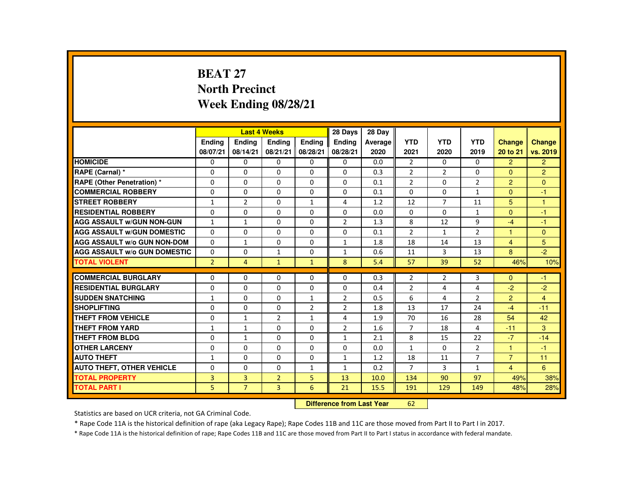# **BEAT 27 North PrecinctWeek Ending 08/28/21**

|                                     |                |                | <b>Last 4 Weeks</b> |                | 28 Days        | 28 Day  |                |                |                |                |                |
|-------------------------------------|----------------|----------------|---------------------|----------------|----------------|---------|----------------|----------------|----------------|----------------|----------------|
|                                     | <b>Endina</b>  | <b>Endina</b>  | <b>Endina</b>       | <b>Endina</b>  | <b>Endina</b>  | Average | <b>YTD</b>     | <b>YTD</b>     | <b>YTD</b>     | <b>Change</b>  | Change         |
|                                     | 08/07/21       | 08/14/21       | 08/21/21            | 08/28/21       | 08/28/21       | 2020    | 2021           | 2020           | 2019           | 20 to 21       | vs. 2019       |
| <b>HOMICIDE</b>                     | 0              | 0              | 0                   | 0              | 0              | 0.0     | $\overline{2}$ | 0              | 0              | $\overline{2}$ | $\overline{2}$ |
| RAPE (Carnal) *                     | $\Omega$       | $\Omega$       | $\Omega$            | $\Omega$       | $\Omega$       | 0.3     | $\overline{2}$ | 2              | $\Omega$       | $\Omega$       | 2              |
| RAPE (Other Penetration) *          | $\Omega$       | $\Omega$       | $\Omega$            | $\Omega$       | $\Omega$       | 0.1     | $\overline{2}$ | $\Omega$       | $\overline{2}$ | $\overline{2}$ | $\Omega$       |
| <b>COMMERCIAL ROBBERY</b>           | 0              | 0              | 0                   | 0              | 0              | 0.1     | $\Omega$       | 0              | $\mathbf{1}$   | $\Omega$       | $-1$           |
| <b>STREET ROBBERY</b>               | $\mathbf{1}$   | $\overline{2}$ | $\Omega$            | $\mathbf{1}$   | 4              | 1.2     | 12             | $\overline{7}$ | 11             | 5              | $\overline{1}$ |
| <b>RESIDENTIAL ROBBERY</b>          | $\Omega$       | $\Omega$       | $\Omega$            | $\Omega$       | $\Omega$       | 0.0     | $\Omega$       | $\Omega$       | $\mathbf{1}$   | $\Omega$       | $-1$           |
| <b>AGG ASSAULT W/GUN NON-GUN</b>    | $\mathbf{1}$   | $\mathbf{1}$   | $\Omega$            | $\Omega$       | $\overline{2}$ | 1.3     | 8              | 12             | 9              | $-4$           | $-1$           |
| <b>AGG ASSAULT W/GUN DOMESTIC</b>   | $\Omega$       | $\Omega$       | $\Omega$            | $\Omega$       | $\Omega$       | 0.1     | $\overline{2}$ | $\mathbf{1}$   | $\overline{2}$ | 1              | $\Omega$       |
| <b>AGG ASSAULT W/o GUN NON-DOM</b>  | $\Omega$       | $\mathbf{1}$   | $\Omega$            | $\Omega$       | $\mathbf{1}$   | 1.8     | 18             | 14             | 13             | $\overline{4}$ | 5              |
| <b>AGG ASSAULT W/o GUN DOMESTIC</b> | $\Omega$       | $\Omega$       | $\mathbf{1}$        | $\Omega$       | $\mathbf{1}$   | 0.6     | 11             | 3              | 13             | 8              | $-2$           |
| <b>TOTAL VIOLENT</b>                | $\overline{2}$ | $\overline{4}$ | $\mathbf{1}$        | $\mathbf{1}$   | 8              | 5.4     | 57             | 39             | 52             | 46%            | 10%            |
|                                     |                |                |                     |                |                |         |                |                |                |                |                |
| <b>COMMERCIAL BURGLARY</b>          | $\Omega$       | $\Omega$       | $\Omega$            | $\Omega$       | $\Omega$       | 0.3     | $\overline{2}$ | 2              | 3              | $\Omega$       | $-1$           |
| <b>RESIDENTIAL BURGLARY</b>         | $\Omega$       | 0              | $\Omega$            | 0              | $\Omega$       | 0.4     | $\overline{2}$ | 4              | 4              | $-2$           | $-2$           |
| <b>SUDDEN SNATCHING</b>             | $\mathbf{1}$   | $\Omega$       | $\Omega$            | $\mathbf{1}$   | 2              | 0.5     | 6              | 4              | $\overline{2}$ | $\overline{2}$ | $\overline{4}$ |
| <b>SHOPLIFTING</b>                  | $\Omega$       | $\Omega$       | $\Omega$            | $\overline{2}$ | $\overline{2}$ | 1.8     | 13             | 17             | 24             | $-4$           | $-11$          |
| <b>THEFT FROM VEHICLE</b>           | $\Omega$       | $\mathbf{1}$   | $\overline{2}$      | $\mathbf{1}$   | 4              | 1.9     | 70             | 16             | 28             | 54             | 42             |
| <b>THEFT FROM YARD</b>              | $\mathbf{1}$   | $\mathbf{1}$   | $\Omega$            | $\Omega$       | $\overline{2}$ | 1.6     | $\overline{7}$ | 18             | 4              | $-11$          | 3              |
| <b>THEFT FROM BLDG</b>              | $\Omega$       | $\mathbf{1}$   | $\Omega$            | $\Omega$       | $\mathbf{1}$   | 2.1     | 8              | 15             | 22             | $-7$           | $-14$          |
| <b>OTHER LARCENY</b>                | 0              | $\Omega$       | $\Omega$            | $\Omega$       | $\Omega$       | 0.0     | $\mathbf{1}$   | $\Omega$       | $\overline{2}$ | $\mathbf{1}$   | $-1$           |
| <b>AUTO THEFT</b>                   | $\mathbf{1}$   | $\Omega$       | $\Omega$            | $\Omega$       | $\mathbf{1}$   | 1.2     | 18             | 11             | $\overline{7}$ | $\overline{7}$ | 11             |
| <b>AUTO THEFT, OTHER VEHICLE</b>    | $\Omega$       | $\Omega$       | $\Omega$            | $\mathbf{1}$   | $\mathbf{1}$   | 0.2     | $\overline{7}$ | $\mathbf{3}$   | $\mathbf{1}$   | $\overline{4}$ | 6              |
| <b>TOTAL PROPERTY</b>               | 3              | 3              | $\overline{2}$      | 5              | 13             | 10.0    | 134            | 90             | 97             | 49%            | 38%            |
| <b>TOTAL PART I</b>                 | 5              | $\overline{7}$ | $\overline{3}$      | 6              | 21             | 15.5    | 191            | 129            | 149            | 48%            | 28%            |

#### **Difference from Last Year**<sup>62</sup>

Statistics are based on UCR criteria, not GA Criminal Code.

\* Rape Code 11A is the historical definition of rape (aka Legacy Rape); Rape Codes 11B and 11C are those moved from Part II to Part I in 2017.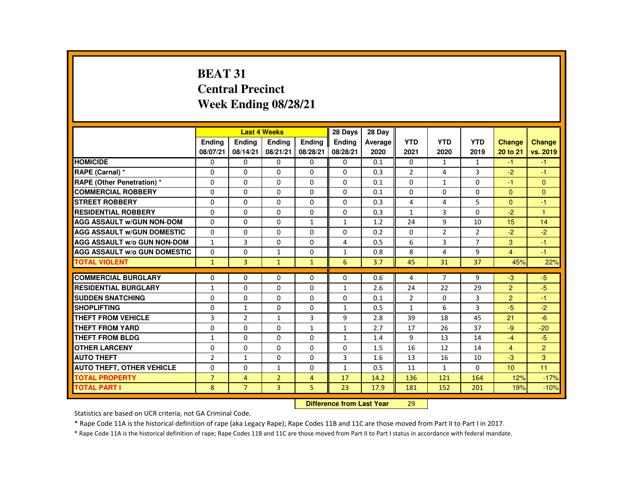# **BEAT 31 Central PrecinctWeek Ending 08/28/21**

|                                     |                |                | <b>Last 4 Weeks</b> |                | 28 Days       | 28 Day  |                |                |                |                |                |
|-------------------------------------|----------------|----------------|---------------------|----------------|---------------|---------|----------------|----------------|----------------|----------------|----------------|
|                                     | <b>Endina</b>  | <b>Endina</b>  | <b>Endina</b>       | <b>Endina</b>  | <b>Endina</b> | Average | <b>YTD</b>     | <b>YTD</b>     | <b>YTD</b>     | <b>Change</b>  | <b>Change</b>  |
|                                     | 08/07/21       | 08/14/21       | 08/21/21            | 08/28/21       | 08/28/21      | 2020    | 2021           | 2020           | 2019           | 20 to 21       | vs. 2019       |
| <b>HOMICIDE</b>                     | 0              | 0              | 0                   | 0              | 0             | 0.1     | 0              | $\mathbf{1}$   | $\mathbf{1}$   | $-1$           | $-1$           |
| RAPE (Carnal) *                     | $\Omega$       | $\Omega$       | $\Omega$            | $\Omega$       | $\Omega$      | 0.3     | $\overline{2}$ | 4              | 3              | $-2$           | -1             |
| RAPE (Other Penetration) *          | $\Omega$       | $\Omega$       | $\Omega$            | $\Omega$       | $\Omega$      | 0.1     | $\Omega$       | $\mathbf{1}$   | $\Omega$       | $-1$           | $\Omega$       |
| <b>COMMERCIAL ROBBERY</b>           | $\Omega$       | $\Omega$       | $\Omega$            | $\Omega$       | $\Omega$      | 0.1     | $\Omega$       | $\Omega$       | $\Omega$       | $\Omega$       | $\Omega$       |
| <b>STREET ROBBERY</b>               | $\Omega$       | $\Omega$       | $\Omega$            | $\Omega$       | $\Omega$      | 0.3     | 4              | 4              | 5              | $\Omega$       | $-1$           |
| <b>RESIDENTIAL ROBBERY</b>          | $\Omega$       | $\Omega$       | $\Omega$            | $\Omega$       | $\Omega$      | 0.3     | $\mathbf{1}$   | $\overline{3}$ | $\Omega$       | $-2$           | $\overline{1}$ |
| <b>AGG ASSAULT W/GUN NON-DOM</b>    | $\Omega$       | $\Omega$       | $\Omega$            | $\mathbf{1}$   | $\mathbf{1}$  | 1.2     | 24             | 9              | 10             | 15             | 14             |
| <b>AGG ASSAULT W/GUN DOMESTIC</b>   | $\Omega$       | $\Omega$       | $\Omega$            | $\Omega$       | $\Omega$      | 0.2     | $\Omega$       | 2              | $\overline{2}$ | $-2$           | $-2$           |
| <b>AGG ASSAULT W/o GUN NON-DOM</b>  | $\mathbf{1}$   | 3              | $\Omega$            | 0              | 4             | 0.5     | 6              | 3              | $\overline{7}$ | 3              | $-1$           |
| <b>AGG ASSAULT W/o GUN DOMESTIC</b> | $\Omega$       | $\Omega$       | $\mathbf{1}$        | $\Omega$       | $\mathbf{1}$  | 0.8     | 8              | 4              | 9              | $\overline{4}$ | $-1$           |
| <b>TOTAL VIOLENT</b>                | $\mathbf{1}$   | $\overline{3}$ | $\mathbf{1}$        | $\mathbf{1}$   | 6             | 3.7     | 45             | 31             | 37             | 45%            | 22%            |
|                                     |                |                |                     |                |               |         |                |                |                |                |                |
| <b>COMMERCIAL BURGLARY</b>          | $\Omega$       | $\Omega$       | $\Omega$            | $\Omega$       | $\Omega$      | 0.6     | 4              | $\overline{7}$ | 9              | $-3$           | $-5$           |
| <b>RESIDENTIAL BURGLARY</b>         | $\mathbf{1}$   | 0              | $\Omega$            | $\Omega$       | $\mathbf{1}$  | 2.6     | 24             | 22             | 29             | 2              | $-5$           |
| <b>SUDDEN SNATCHING</b>             | $\Omega$       | $\Omega$       | $\Omega$            | $\Omega$       | $\Omega$      | 0.1     | $\overline{2}$ | $\Omega$       | 3              | $\overline{2}$ | $-1$           |
| <b>SHOPLIFTING</b>                  | $\Omega$       | $\mathbf{1}$   | $\Omega$            | $\Omega$       | $\mathbf{1}$  | 0.5     | $\mathbf{1}$   | 6              | 3              | $-5$           | $-2$           |
| <b>THEFT FROM VEHICLE</b>           | 3              | $\overline{2}$ | 1                   | 3              | 9             | 2.8     | 39             | 18             | 45             | 21             | $-6$           |
| <b>THEFT FROM YARD</b>              | $\Omega$       | $\Omega$       | $\Omega$            | $\mathbf{1}$   | $\mathbf{1}$  | 2.7     | 17             | 26             | 37             | $-9$           | $-20$          |
| <b>THEFT FROM BLDG</b>              | $\mathbf{1}$   | $\Omega$       | $\Omega$            | $\Omega$       | $\mathbf{1}$  | 1.4     | 9              | 13             | 14             | $-4$           | $-5$           |
| <b>OTHER LARCENY</b>                | $\Omega$       | $\Omega$       | $\Omega$            | $\Omega$       | $\Omega$      | 1.5     | 16             | 12             | 14             | $\overline{4}$ | 2              |
| <b>AUTO THEFT</b>                   | $\overline{2}$ | $\mathbf{1}$   | $\Omega$            | $\Omega$       | 3             | 1.6     | 13             | 16             | 10             | $-3$           | 3              |
| <b>AUTO THEFT, OTHER VEHICLE</b>    | $\Omega$       | $\Omega$       | $\mathbf{1}$        | $\Omega$       | $\mathbf{1}$  | 0.5     | 11             | $\mathbf{1}$   | $\Omega$       | 10             | 11             |
| <b>TOTAL PROPERTY</b>               | $\overline{7}$ | $\overline{4}$ | $\overline{2}$      | $\overline{4}$ | 17            | 14.2    | 136            | 121            | 164            | 12%            | $-17%$         |
| <b>TOTAL PART I</b>                 | 8              | $\overline{7}$ | $\overline{3}$      | 5              | 23            | 17.9    | 181            | 152            | 201            | 19%            | $-10%$         |

#### **Difference from Last Year**<sup>29</sup>

Statistics are based on UCR criteria, not GA Criminal Code.

\* Rape Code 11A is the historical definition of rape (aka Legacy Rape); Rape Codes 11B and 11C are those moved from Part II to Part I in 2017.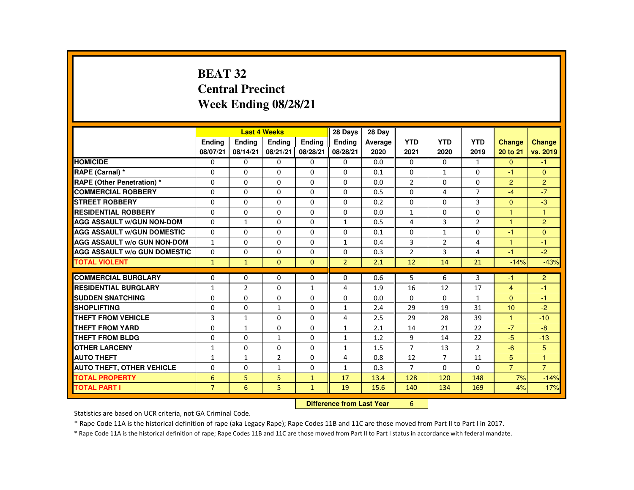# **BEAT 32 Central PrecinctWeek Ending 08/28/21**

|                                     |                |                | <b>Last 4 Weeks</b> |               | 28 Days        | 28 Day  |                |                |                |                |                |
|-------------------------------------|----------------|----------------|---------------------|---------------|----------------|---------|----------------|----------------|----------------|----------------|----------------|
|                                     | <b>Endina</b>  | <b>Endina</b>  | <b>Endina</b>       | <b>Endina</b> | <b>Endina</b>  | Average | <b>YTD</b>     | <b>YTD</b>     | <b>YTD</b>     | <b>Change</b>  | <b>Change</b>  |
|                                     | 08/07/21       | 08/14/21       | 08/21/21            | 08/28/21      | 08/28/21       | 2020    | 2021           | 2020           | 2019           | 20 to 21       | vs. 2019       |
| <b>HOMICIDE</b>                     | $\Omega$       | $\Omega$       | 0                   | $\mathbf{0}$  | 0              | 0.0     | $\mathbf{0}$   | 0              | $\mathbf{1}$   | $\mathbf{0}$   | $-1$           |
| RAPE (Carnal) *                     | $\Omega$       | $\Omega$       | $\Omega$            | $\Omega$      | $\Omega$       | 0.1     | $\Omega$       | $\mathbf{1}$   | $\Omega$       | $-1$           | $\Omega$       |
| <b>RAPE (Other Penetration) *</b>   | $\Omega$       | $\Omega$       | $\Omega$            | $\Omega$      | $\Omega$       | 0.0     | $\overline{2}$ | $\Omega$       | $\Omega$       | $\overline{2}$ | $\overline{2}$ |
| <b>COMMERCIAL ROBBERY</b>           | $\Omega$       | $\Omega$       | $\Omega$            | $\Omega$      | $\Omega$       | 0.5     | $\Omega$       | 4              | $\overline{7}$ | $-4$           | $-7$           |
| <b>STREET ROBBERY</b>               | $\Omega$       | $\Omega$       | $\Omega$            | $\Omega$      | $\Omega$       | 0.2     | $\Omega$       | 0              | 3              | $\Omega$       | $-3$           |
| <b>RESIDENTIAL ROBBERY</b>          | 0              | $\mathbf{0}$   | 0                   | 0             | 0              | 0.0     | $\mathbf{1}$   | 0              | 0              | $\mathbf{1}$   | $\mathbf{1}$   |
| <b>AGG ASSAULT W/GUN NON-DOM</b>    | $\Omega$       | $\mathbf{1}$   | $\Omega$            | $\Omega$      | $\mathbf{1}$   | 0.5     | 4              | 3              | $\overline{2}$ | $\mathbf{1}$   | $\overline{2}$ |
| <b>AGG ASSAULT W/GUN DOMESTIC</b>   | 0              | $\Omega$       | $\Omega$            | $\Omega$      | $\Omega$       | 0.1     | $\Omega$       | $\mathbf{1}$   | $\Omega$       | $-1$           | $\Omega$       |
| <b>AGG ASSAULT W/o GUN NON-DOM</b>  | $\mathbf{1}$   | $\Omega$       | $\Omega$            | $\Omega$      | $\mathbf{1}$   | 0.4     | 3              | $\overline{2}$ | 4              | $\mathbf{1}$   | $-1$           |
| <b>AGG ASSAULT W/o GUN DOMESTIC</b> | $\Omega$       | $\Omega$       | $\Omega$            | $\Omega$      | $\Omega$       | 0.3     | $\overline{2}$ | 3              | 4              | $-1$           | $-2$           |
| <b>TOTAL VIOLENT</b>                | $\mathbf{1}$   | $\mathbf{1}$   | $\mathbf{0}$        | $\Omega$      | $\overline{2}$ | 2.1     | 12             | 14             | 21             | $-14%$         | $-43%$         |
|                                     |                |                |                     |               |                |         |                |                |                |                |                |
| <b>COMMERCIAL BURGLARY</b>          | $\Omega$       | $\Omega$       | $\Omega$            | $\Omega$      | $\Omega$       | 0.6     | 5              | 6              | 3              | $-1$           | $\overline{2}$ |
| <b>RESIDENTIAL BURGLARY</b>         | $\mathbf{1}$   | $\overline{2}$ | $\Omega$            | $\mathbf{1}$  | 4              | 1.9     | 16             | 12             | 17             | $\overline{4}$ | $-1$           |
| <b>SUDDEN SNATCHING</b>             | $\Omega$       | $\Omega$       | $\Omega$            | $\Omega$      | $\Omega$       | 0.0     | $\Omega$       | $\Omega$       | $\mathbf{1}$   | $\Omega$       | $-1$           |
| <b>SHOPLIFTING</b>                  | $\Omega$       | $\Omega$       | $\mathbf{1}$        | $\Omega$      | $\mathbf{1}$   | 2.4     | 29             | 19             | 31             | 10             | $-2$           |
| <b>THEFT FROM VEHICLE</b>           | 3              | $\mathbf{1}$   | $\Omega$            | $\Omega$      | 4              | 2.5     | 29             | 28             | 39             | $\mathbf{1}$   | $-10$          |
| <b>THEFT FROM YARD</b>              | $\Omega$       | $\mathbf{1}$   | $\Omega$            | $\Omega$      | $\mathbf{1}$   | 2.1     | 14             | 21             | 22             | $-7$           | $-8$           |
| <b>THEFT FROM BLDG</b>              | $\Omega$       | $\Omega$       | $\mathbf{1}$        | $\Omega$      | $\mathbf{1}$   | 1.2     | 9              | 14             | 22             | $-5$           | $-13$          |
| <b>OTHER LARCENY</b>                | $\mathbf{1}$   | $\Omega$       | $\Omega$            | $\Omega$      | $\mathbf{1}$   | 1.5     | $\overline{7}$ | 13             | $\mathcal{P}$  | $-6$           | 5              |
| <b>AUTO THEFT</b>                   | $\mathbf{1}$   | $\mathbf{1}$   | $\overline{2}$      | $\Omega$      | 4              | 0.8     | 12             | $\overline{7}$ | 11             | 5              | 1              |
| <b>AUTO THEFT, OTHER VEHICLE</b>    | $\Omega$       | $\mathbf{0}$   | $\mathbf{1}$        | 0             | $\mathbf{1}$   | 0.3     | $\overline{7}$ | 0              | $\Omega$       | $\overline{7}$ | $\overline{7}$ |
| <b>TOTAL PROPERTY</b>               | 6              | 5              | 5                   | $\mathbf{1}$  | 17             | 13.4    | 128            | 120            | 148            | 7%             | $-14%$         |
| <b>TOTAL PART I</b>                 | $\overline{7}$ | 6              | 5                   | $\mathbf{1}$  | 19             | 15.6    | 140            | 134            | 169            | 4%             | $-17%$         |

#### **Difference from Last Year**<sup>6</sup>

Statistics are based on UCR criteria, not GA Criminal Code.

\* Rape Code 11A is the historical definition of rape (aka Legacy Rape); Rape Codes 11B and 11C are those moved from Part II to Part I in 2017.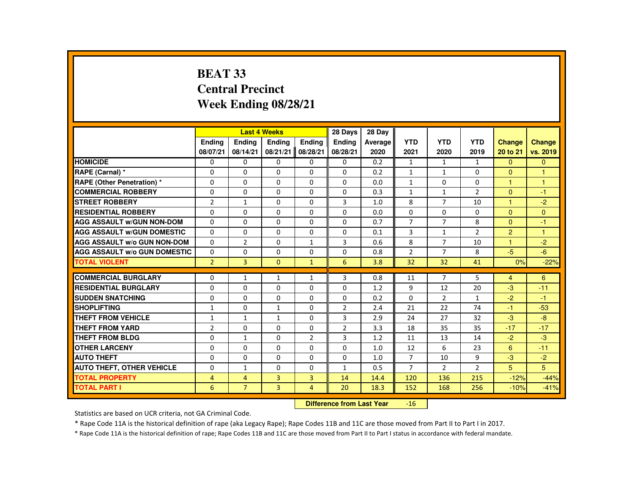## **BEAT 33 Central PrecinctWeek Ending 08/28/21**

|                                     |                | <b>Last 4 Weeks</b> |                |                | 28 Days        | 28 Day  |                |                |                |                      |               |
|-------------------------------------|----------------|---------------------|----------------|----------------|----------------|---------|----------------|----------------|----------------|----------------------|---------------|
|                                     | <b>Endina</b>  | <b>Endina</b>       | <b>Endina</b>  | <b>Endina</b>  | <b>Endina</b>  | Average | <b>YTD</b>     | <b>YTD</b>     | <b>YTD</b>     | <b>Change</b>        | <b>Change</b> |
|                                     | 08/07/21       | 08/14/21            | 08/21/21       | 08/28/21       | 08/28/21       | 2020    | 2021           | 2020           | 2019           | 20 to 21             | vs. 2019      |
| <b>HOMICIDE</b>                     | $\mathbf{0}$   | 0                   | 0              | 0              | 0              | 0.2     | $\mathbf{1}$   | $\mathbf{1}$   | $\mathbf{1}$   | $\mathbf{0}$         | $\mathbf{0}$  |
| RAPE (Carnal) *                     | 0              | 0                   | $\Omega$       | $\Omega$       | $\Omega$       | 0.2     | $\mathbf{1}$   | $\mathbf{1}$   | $\Omega$       | $\Omega$             | $\mathbf{1}$  |
| <b>RAPE (Other Penetration) *</b>   | $\Omega$       | $\Omega$            | $\Omega$       | $\Omega$       | $\Omega$       | 0.0     | $\mathbf{1}$   | $\Omega$       | $\Omega$       | $\mathbf{1}$         | $\mathbf{1}$  |
| <b>COMMERCIAL ROBBERY</b>           | $\Omega$       | $\Omega$            | $\Omega$       | $\Omega$       | $\Omega$       | 0.3     | $\mathbf{1}$   | $\mathbf{1}$   | $\overline{2}$ | $\Omega$             | $-1$          |
| <b>STREET ROBBERY</b>               | $\overline{2}$ | $\mathbf{1}$        | $\Omega$       | 0              | 3              | 1.0     | 8              | 7              | 10             | $\blacktriangleleft$ | $-2$          |
| <b>RESIDENTIAL ROBBERY</b>          | $\Omega$       | $\Omega$            | $\Omega$       | $\Omega$       | $\Omega$       | 0.0     | $\Omega$       | $\Omega$       | $\Omega$       | $\Omega$             | $\mathbf{0}$  |
| <b>AGG ASSAULT W/GUN NON-DOM</b>    | $\Omega$       | $\Omega$            | $\Omega$       | $\Omega$       | $\Omega$       | 0.7     | $\overline{7}$ | $\overline{7}$ | 8              | $\Omega$             | $-1$          |
| <b>AGG ASSAULT W/GUN DOMESTIC</b>   | 0              | 0                   | 0              | 0              | 0              | 0.1     | 3              | $\mathbf{1}$   | $\overline{2}$ | $\overline{2}$       | 1             |
| <b>AGG ASSAULT W/o GUN NON-DOM</b>  | $\Omega$       | $\overline{2}$      | $\Omega$       | $\mathbf{1}$   | 3              | 0.6     | 8              | $\overline{7}$ | 10             | $\mathbf{1}$         | $-2$          |
| <b>AGG ASSAULT W/o GUN DOMESTIC</b> | $\Omega$       | $\Omega$            | $\Omega$       | $\Omega$       | $\Omega$       | 0.8     | $\overline{2}$ | $\overline{7}$ | 8              | $-5$                 | $-6$          |
| <b>TOTAL VIOLENT</b>                | $\overline{2}$ | 3                   | $\mathbf{0}$   | $\mathbf{1}$   | 6              | 3.8     | 32             | 32             | 41             | 0%                   | $-22%$        |
|                                     |                |                     |                |                |                |         |                |                |                |                      |               |
| <b>COMMERCIAL BURGLARY</b>          | $\Omega$       | $\mathbf{1}$        | $\mathbf{1}$   | $\mathbf{1}$   | 3              | 0.8     | 11             | $\overline{7}$ | 5              | $\overline{4}$       | 6             |
| <b>RESIDENTIAL BURGLARY</b>         | $\Omega$       | $\Omega$            | $\Omega$       | $\Omega$       | $\Omega$       | 1.2     | 9              | 12             | 20             | $-3$                 | $-11$         |
| <b>SUDDEN SNATCHING</b>             | $\Omega$       | $\Omega$            | $\Omega$       | $\Omega$       | $\Omega$       | 0.2     | $\Omega$       | 2              | $\mathbf{1}$   | $-2$                 | $-1$          |
| <b>SHOPLIFTING</b>                  | $\mathbf{1}$   | $\Omega$            | $\mathbf{1}$   | $\Omega$       | $\overline{2}$ | 2.4     | 21             | 22             | 74             | $-1$                 | $-53$         |
| <b>THEFT FROM VEHICLE</b>           | 1              | $\mathbf{1}$        | 1              | 0              | 3              | 2.9     | 24             | 27             | 32             | $-3$                 | $-8$          |
| <b>THEFT FROM YARD</b>              | $\overline{2}$ | $\Omega$            | $\Omega$       | 0              | $\overline{2}$ | 3.3     | 18             | 35             | 35             | $-17$                | $-17$         |
| <b>THEFT FROM BLDG</b>              | $\Omega$       | $\mathbf{1}$        | $\Omega$       | $\overline{2}$ | 3              | 1.2     | 11             | 13             | 14             | $-2$                 | $-3$          |
| <b>OTHER LARCENY</b>                | 0              | 0                   | 0              | 0              | 0              | 1.0     | 12             | 6              | 23             | 6                    | $-11$         |
| <b>AUTO THEFT</b>                   | $\Omega$       | $\Omega$            | $\Omega$       | $\Omega$       | $\Omega$       | 1.0     | $\overline{7}$ | 10             | 9              | $-3$                 | $-2$          |
| <b>AUTO THEFT, OTHER VEHICLE</b>    | $\Omega$       | $\mathbf{1}$        | $\Omega$       | $\Omega$       | $\mathbf{1}$   | 0.5     | $\overline{7}$ | $\overline{2}$ | $\overline{2}$ | 5                    | 5             |
| <b>TOTAL PROPERTY</b>               | 4              | 4                   | 3              | 3              | 14             | 14.4    | 120            | 136            | 215            | $-12%$               | $-44%$        |
| TOTAL PART I                        | 6              | $\overline{7}$      | $\overline{3}$ | $\overline{4}$ | 20             | 18.3    | 152            | 168            | 256            | $-10%$               | $-41%$        |

#### **Difference from Last Year** $-16$

Statistics are based on UCR criteria, not GA Criminal Code.

\* Rape Code 11A is the historical definition of rape (aka Legacy Rape); Rape Codes 11B and 11C are those moved from Part II to Part I in 2017.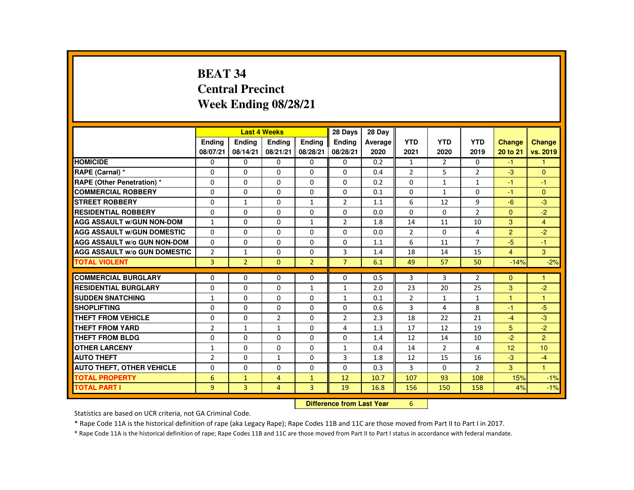# **BEAT 34 Central PrecinctWeek Ending 08/28/21**

|                                     |                |                | <b>Last 4 Weeks</b> |                | 28 Days                          | 28 Day  |                |                |                |                |                |
|-------------------------------------|----------------|----------------|---------------------|----------------|----------------------------------|---------|----------------|----------------|----------------|----------------|----------------|
|                                     | Ending         | Ending         | Ending              | Ending         | Ending                           | Average | <b>YTD</b>     | <b>YTD</b>     | <b>YTD</b>     | <b>Change</b>  | <b>Change</b>  |
|                                     | 08/07/21       | 08/14/21       | 08/21/21            | 08/28/21       | 08/28/21                         | 2020    | 2021           | 2020           | 2019           | 20 to 21       | vs. 2019       |
| <b>HOMICIDE</b>                     | 0              | $\mathbf{0}$   | 0                   | $\mathbf{0}$   | $\mathbf{0}$                     | 0.2     | 1              | $\overline{2}$ | $\mathbf{0}$   | $-1$           |                |
| RAPE (Carnal) *                     | 0              | $\Omega$       | 0                   | $\Omega$       | $\mathbf{0}$                     | 0.4     | 2              | 5              | $\overline{2}$ | $-3$           | $\Omega$       |
| RAPE (Other Penetration) *          | $\Omega$       | $\Omega$       | $\Omega$            | $\Omega$       | $\Omega$                         | 0.2     | $\Omega$       | $\mathbf{1}$   | $\mathbf{1}$   | $-1$           | $-1$           |
| <b>COMMERCIAL ROBBERY</b>           | $\Omega$       | $\Omega$       | $\Omega$            | $\Omega$       | $\Omega$                         | 0.1     | $\Omega$       | $\mathbf{1}$   | $\Omega$       | $-1$           | $\Omega$       |
| <b>STREET ROBBERY</b>               | $\Omega$       | $\mathbf{1}$   | $\Omega$            | $\mathbf{1}$   | $\overline{2}$                   | 1.1     | 6              | 12             | 9              | $-6$           | $-3$           |
| <b>RESIDENTIAL ROBBERY</b>          | $\Omega$       | $\Omega$       | $\Omega$            | $\Omega$       | $\Omega$                         | 0.0     | $\Omega$       | $\Omega$       | $\overline{2}$ | $\Omega$       | $-2$           |
| <b>AGG ASSAULT w/GUN NON-DOM</b>    | $\mathbf{1}$   | $\Omega$       | $\Omega$            | $\mathbf{1}$   | $\overline{2}$                   | 1.8     | 14             | 11             | 10             | 3              | $\overline{4}$ |
| <b>AGG ASSAULT W/GUN DOMESTIC</b>   | $\Omega$       | $\Omega$       | $\Omega$            | $\Omega$       | $\Omega$                         | 0.0     | $\overline{2}$ | $\Omega$       | 4              | $\overline{2}$ | $-2$           |
| <b>AGG ASSAULT W/o GUN NON-DOM</b>  | $\Omega$       | $\mathbf{0}$   | $\Omega$            | $\Omega$       | $\mathbf{0}$                     | 1.1     | 6              | 11             | $\overline{7}$ | $-5$           | $-1$           |
| <b>AGG ASSAULT W/o GUN DOMESTIC</b> | $\overline{2}$ | $\mathbf{1}$   | $\Omega$            | $\Omega$       | 3                                | 1.4     | 18             | 14             | 15             | $\overline{4}$ | 3              |
| <b>TOTAL VIOLENT</b>                | $\overline{3}$ | $\overline{2}$ | $\Omega$            | $\overline{2}$ | $\overline{7}$                   | 6.1     | 49             | 57             | 50             | $-14%$         | $-2%$          |
| <b>COMMERCIAL BURGLARY</b>          | $\Omega$       | $\Omega$       | $\Omega$            | 0              | $\Omega$                         | 0.5     | 3              | 3              | $\overline{2}$ | $\Omega$       | $\mathbf{1}$   |
| <b>RESIDENTIAL BURGLARY</b>         | $\Omega$       | $\Omega$       | $\Omega$            | $\mathbf{1}$   | $\mathbf{1}$                     | 2.0     | 23             | 20             | 25             | 3              | $-2$           |
| <b>SUDDEN SNATCHING</b>             | $\mathbf{1}$   | $\Omega$       | $\Omega$            | $\Omega$       | $\mathbf{1}$                     | 0.1     | $\overline{2}$ | $\mathbf{1}$   | $\mathbf{1}$   | 1              | $\overline{1}$ |
| <b>SHOPLIFTING</b>                  | $\Omega$       | $\Omega$       | $\Omega$            | $\Omega$       | $\Omega$                         | 0.6     | $\overline{3}$ | 4              | 8              | $-1$           | $-5$           |
| <b>THEFT FROM VEHICLE</b>           | 0              | $\Omega$       | $\overline{2}$      | $\mathbf{0}$   | $\overline{2}$                   | 2.3     | 18             | 22             | 21             | $-4$           | $-3$           |
| <b>THEFT FROM YARD</b>              | $\overline{2}$ | $\mathbf{1}$   | $\mathbf{1}$        | $\Omega$       | 4                                | 1.3     | 17             | 12             | 19             | 5              | $-2$           |
| <b>THEFT FROM BLDG</b>              | $\Omega$       | $\Omega$       | $\Omega$            | $\Omega$       | $\Omega$                         | 1.4     | 12             | 14             | 10             | $-2$           | $\overline{2}$ |
| <b>OTHER LARCENY</b>                | $\mathbf{1}$   | $\Omega$       | $\Omega$            | $\Omega$       | $\mathbf{1}$                     | 0.4     | 14             | $\overline{2}$ | 4              | 12             | 10             |
| <b>AUTO THEFT</b>                   | $\overline{2}$ | $\Omega$       | $\mathbf{1}$        | $\Omega$       | 3                                | 1.8     | 12             | 15             | 16             | $-3$           | $-4$           |
| <b>AUTO THEFT, OTHER VEHICLE</b>    | $\Omega$       | $\Omega$       | $\Omega$            | $\Omega$       | $\Omega$                         | 0.3     | 3              | 0              | $\overline{2}$ | 3              | ◆              |
| <b>TOTAL PROPERTY</b>               | 6              | $\mathbf{1}$   | $\overline{4}$      | $\mathbf{1}$   | 12                               | 10.7    | 107            | 93             | 108            | 15%            | $-1%$          |
| <b>TOTAL PART I</b>                 | $\overline{9}$ | 3              | $\overline{4}$      | $\overline{3}$ | 19                               | 16.8    | 156            | 150            | 158            | 4%             | $-1%$          |
|                                     |                |                |                     |                | <b>Difference from Last Year</b> |         | 6              |                |                |                |                |

### **Difference from Last Year**

Statistics are based on UCR criteria, not GA Criminal Code.

\* Rape Code 11A is the historical definition of rape (aka Legacy Rape); Rape Codes 11B and 11C are those moved from Part II to Part I in 2017.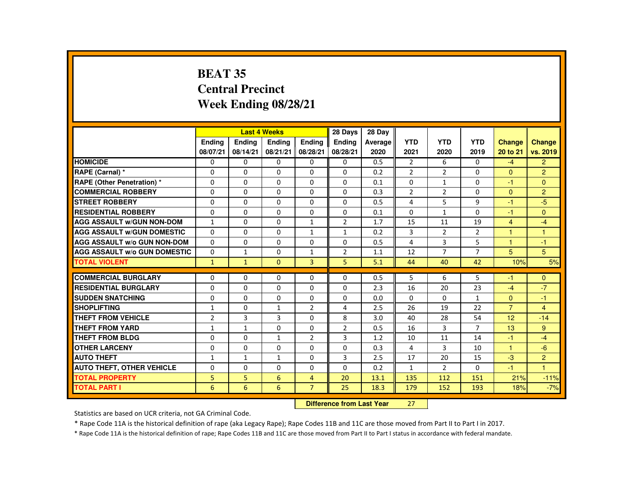# **BEAT 35 Central PrecinctWeek Ending 08/28/21**

|                                     |                |               | <b>Last 4 Weeks</b> |                | 28 Days        | 28 Dav  |                |                |                |                |                |
|-------------------------------------|----------------|---------------|---------------------|----------------|----------------|---------|----------------|----------------|----------------|----------------|----------------|
|                                     | <b>Endina</b>  | <b>Endina</b> | <b>Endina</b>       | <b>Endina</b>  | <b>Endina</b>  | Average | <b>YTD</b>     | <b>YTD</b>     | <b>YTD</b>     | <b>Change</b>  | <b>Change</b>  |
|                                     | 08/07/21       | 08/14/21      | 08/21/21            | 08/28/21       | 08/28/21       | 2020    | 2021           | 2020           | 2019           | 20 to 21       | vs. 2019       |
| <b>HOMICIDE</b>                     | $\Omega$       | 0             | $\Omega$            | 0              | 0              | 0.5     | $\overline{2}$ | 6              | 0              | $-4$           | $\overline{2}$ |
| RAPE (Carnal) *                     | $\Omega$       | $\Omega$      | $\Omega$            | $\Omega$       | $\Omega$       | 0.2     | $\overline{2}$ | 2              | $\Omega$       | $\Omega$       | $\overline{2}$ |
| <b>RAPE (Other Penetration)*</b>    | $\Omega$       | $\Omega$      | $\Omega$            | $\Omega$       | $\Omega$       | 0.1     | $\Omega$       | $\mathbf{1}$   | $\Omega$       | $-1$           | $\Omega$       |
| <b>COMMERCIAL ROBBERY</b>           | $\Omega$       | $\Omega$      | $\Omega$            | $\Omega$       | $\Omega$       | 0.3     | $\overline{2}$ | $\overline{2}$ | $\Omega$       | $\Omega$       | 2              |
| <b>STREET ROBBERY</b>               | $\Omega$       | $\Omega$      | $\Omega$            | $\Omega$       | $\Omega$       | 0.5     | 4              | 5              | 9              | -1             | -5             |
| <b>RESIDENTIAL ROBBERY</b>          | $\Omega$       | 0             | $\Omega$            | 0              | $\Omega$       | 0.1     | 0              | $\mathbf{1}$   | 0              | $-1$           | $\mathbf{0}$   |
| <b>AGG ASSAULT W/GUN NON-DOM</b>    | $\mathbf{1}$   | $\Omega$      | $\Omega$            | $\mathbf{1}$   | 2              | 1.7     | 15             | 11             | 19             | $\overline{4}$ | $-4$           |
| <b>AGG ASSAULT W/GUN DOMESTIC</b>   | $\Omega$       | $\Omega$      | $\Omega$            | 1              | $\mathbf{1}$   | 0.2     | 3              | 2              | $\overline{2}$ | 1              | $\mathbf{1}$   |
| <b>AGG ASSAULT W/o GUN NON-DOM</b>  | $\Omega$       | 0             | $\Omega$            | 0              | 0              | 0.5     | 4              | 3              | 5              | $\overline{1}$ | $-1$           |
| <b>AGG ASSAULT W/o GUN DOMESTIC</b> | $\Omega$       | $\mathbf{1}$  | $\Omega$            | $\mathbf{1}$   | $\overline{2}$ | 1.1     | 12             | $\overline{7}$ | $\overline{7}$ | 5              | 5              |
| <b>TOTAL VIOLENT</b>                | 1              | $\mathbf{1}$  | $\mathbf{0}$        | 3              | 5              | 5.1     | 44             | 40             | 42             | 10%            | 5%             |
|                                     |                |               |                     |                |                |         |                |                |                |                |                |
| <b>COMMERCIAL BURGLARY</b>          | $\Omega$       | $\Omega$      | $\Omega$            | $\Omega$       | $\Omega$       | 0.5     | 5              | 6              | 5              | -1             | $\Omega$       |
| <b>RESIDENTIAL BURGLARY</b>         | $\Omega$       | 0             | $\Omega$            | 0              | 0              | 2.3     | 16             | 20             | 23             | $-4$           | $-7$           |
| <b>SUDDEN SNATCHING</b>             | $\Omega$       | $\Omega$      | $\Omega$            | $\Omega$       | $\Omega$       | 0.0     | $\Omega$       | $\Omega$       | $\mathbf{1}$   | $\Omega$       | $-1$           |
| <b>SHOPLIFTING</b>                  | $\mathbf{1}$   | $\Omega$      | $\mathbf{1}$        | $\overline{2}$ | 4              | 2.5     | 26             | 19             | 22             | $\overline{7}$ | $\overline{4}$ |
| <b>THEFT FROM VEHICLE</b>           | $\overline{2}$ | 3             | 3                   | $\Omega$       | 8              | 3.0     | 40             | 28             | 54             | 12             | $-14$          |
| <b>THEFT FROM YARD</b>              | $\mathbf{1}$   | $\mathbf{1}$  | $\Omega$            | $\Omega$       | $\overline{2}$ | 0.5     | 16             | 3              | $\overline{7}$ | 13             | 9              |
| <b>THEFT FROM BLDG</b>              | $\Omega$       | $\Omega$      | $\mathbf{1}$        | $\overline{2}$ | 3              | 1.2     | 10             | 11             | 14             | $-1$           | $-4$           |
| <b>OTHER LARCENY</b>                | $\Omega$       | $\Omega$      | $\Omega$            | $\Omega$       | $\Omega$       | 0.3     | 4              | 3              | 10             | $\mathbf{1}$   | $-6$           |
| <b>AUTO THEFT</b>                   | $\mathbf{1}$   | $\mathbf{1}$  | $\mathbf{1}$        | $\Omega$       | 3              | 2.5     | 17             | 20             | 15             | $-3$           | $\overline{2}$ |
| <b>AUTO THEFT, OTHER VEHICLE</b>    | $\Omega$       | $\Omega$      | $\Omega$            | $\Omega$       | $\Omega$       | 0.2     | $\mathbf{1}$   | $\overline{2}$ | $\Omega$       | $-1$           | $\overline{1}$ |
| <b>TOTAL PROPERTY</b>               | 5              | 5             | 6                   | $\overline{4}$ | 20             | 13.1    | 135            | 112            | 151            | 21%            | $-11%$         |
| <b>TOTAL PART I</b>                 | 6              | 6             | 6                   | $\overline{7}$ | 25             | 18.3    | 179            | 152            | 193            | 18%            | $-7%$          |

#### **Difference from Last Year**<sup>27</sup>

Statistics are based on UCR criteria, not GA Criminal Code.

\* Rape Code 11A is the historical definition of rape (aka Legacy Rape); Rape Codes 11B and 11C are those moved from Part II to Part I in 2017.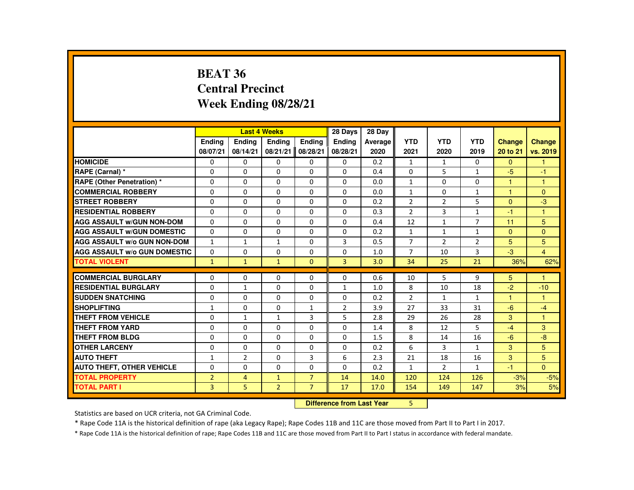# **BEAT 36 Central PrecinctWeek Ending 08/28/21**

|                                     |                |                                  | <b>Last 4 Weeks</b> |                | 28 Days        | 28 Day  |                |                |                |                      |                |
|-------------------------------------|----------------|----------------------------------|---------------------|----------------|----------------|---------|----------------|----------------|----------------|----------------------|----------------|
|                                     | Ending         | <b>Ending</b>                    | <b>Ending</b>       | Ending         | Ending         | Average | <b>YTD</b>     | <b>YTD</b>     | <b>YTD</b>     | <b>Change</b>        | Change         |
|                                     | 08/07/21       | 08/14/21                         | 08/21/21            | 08/28/21       | 08/28/21       | 2020    | 2021           | 2020           | 2019           | 20 to 21             | vs. 2019       |
| <b>HOMICIDE</b>                     | 0              | 0                                | 0                   | 0              | 0              | 0.2     | $\mathbf{1}$   | 1              | $\mathbf{0}$   | $\mathbf{0}$         | -1             |
| RAPE (Carnal) *                     | $\Omega$       | $\Omega$                         | $\Omega$            | $\Omega$       | $\Omega$       | 0.4     | $\Omega$       | 5              | $\mathbf{1}$   | $-5$                 | $-1$           |
| <b>RAPE (Other Penetration) *</b>   | 0              | $\Omega$                         | 0                   | $\Omega$       | $\Omega$       | 0.0     | $\mathbf{1}$   | 0              | $\Omega$       | $\blacktriangleleft$ | $\overline{1}$ |
| <b>COMMERCIAL ROBBERY</b>           | $\Omega$       | 0                                | $\Omega$            | $\Omega$       | $\Omega$       | 0.0     | $\mathbf{1}$   | $\Omega$       | $\mathbf{1}$   | $\overline{1}$       | $\Omega$       |
| <b>STREET ROBBERY</b>               | $\Omega$       | $\Omega$                         | $\Omega$            | $\Omega$       | $\Omega$       | 0.2     | $\overline{2}$ | $\overline{2}$ | 5              | $\Omega$             | $-3$           |
| <b>RESIDENTIAL ROBBERY</b>          | 0              | $\Omega$                         | $\Omega$            | $\Omega$       | 0              | 0.3     | $\overline{2}$ | 3              | $\mathbf{1}$   | $-1$                 | $\overline{1}$ |
| <b>AGG ASSAULT W/GUN NON-DOM</b>    | $\Omega$       | 0                                | $\Omega$            | 0              | $\Omega$       | 0.4     | 12             | $\mathbf{1}$   | $\overline{7}$ | 11                   | 5              |
| <b>AGG ASSAULT W/GUN DOMESTIC</b>   | $\Omega$       | $\Omega$                         | $\Omega$            | $\Omega$       | $\Omega$       | 0.2     | $\mathbf{1}$   | $\mathbf{1}$   | $\mathbf{1}$   | $\Omega$             | $\Omega$       |
| <b>AGG ASSAULT W/o GUN NON-DOM</b>  | $\mathbf{1}$   | $\mathbf{1}$                     | $\mathbf{1}$        | 0              | 3              | 0.5     | $\overline{7}$ | 2              | $\overline{2}$ | 5                    | 5              |
| <b>AGG ASSAULT W/o GUN DOMESTIC</b> | $\Omega$       | 0                                | $\Omega$            | 0              | 0              | 1.0     | $\overline{7}$ | 10             | 3              | $-3$                 | $\overline{4}$ |
| <b>TOTAL VIOLENT</b>                | $\mathbf{1}$   | $\mathbf{1}$                     | $\mathbf{1}$        | $\Omega$       | 3              | 3.0     | 34             | 25             | 21             | 36%                  | 62%            |
| <b>COMMERCIAL BURGLARY</b>          | 0              | $\Omega$                         | $\Omega$            | $\Omega$       | $\Omega$       | 0.6     | 10             | 5              | 9              | 5                    | $\mathbf{1}$   |
| <b>RESIDENTIAL BURGLARY</b>         | $\Omega$       | $\mathbf{1}$                     | $\Omega$            | $\Omega$       | $\mathbf{1}$   | 1.0     | 8              | 10             | 18             | $-2$                 | $-10$          |
| <b>SUDDEN SNATCHING</b>             | 0              | 0                                | $\Omega$            | 0              | 0              | 0.2     | $\overline{2}$ | $\mathbf{1}$   | $\mathbf{1}$   | $\mathbf{1}$         | $\mathbf{1}$   |
| <b>SHOPLIFTING</b>                  | $\mathbf{1}$   | $\Omega$                         | $\Omega$            | $\mathbf{1}$   | $\overline{2}$ | 3.9     | 27             | 33             | 31             | $-6$                 | $-4$           |
| <b>THEFT FROM VEHICLE</b>           | $\Omega$       | $\mathbf{1}$                     | $\mathbf{1}$        | 3              | 5              | 2.8     | 29             | 26             | 28             | 3                    | $\mathbf{1}$   |
| <b>THEFT FROM YARD</b>              | $\Omega$       | $\Omega$                         | $\Omega$            | $\Omega$       | $\Omega$       | 1.4     | 8              | 12             | 5              | $-4$                 | 3              |
| <b>THEFT FROM BLDG</b>              | $\Omega$       | $\Omega$                         | $\Omega$            | $\Omega$       | $\Omega$       | 1.5     | 8              | 14             | 16             | $-6$                 | $-8$           |
| <b>OTHER LARCENY</b>                | 0              | 0                                | $\Omega$            | 0              | 0              | 0.2     | 6              | 3              | $\mathbf{1}$   | 3                    | 5              |
| <b>AUTO THEFT</b>                   | $\mathbf{1}$   | $\overline{2}$                   | $\Omega$            | 3              | 6              | 2.3     | 21             | 18             | 16             | 3                    | 5 <sup>5</sup> |
| <b>AUTO THEFT, OTHER VEHICLE</b>    | $\Omega$       | $\Omega$                         | $\Omega$            | $\Omega$       | $\Omega$       | 0.2     | $\mathbf{1}$   | $\overline{2}$ | $\mathbf{1}$   | $-1$                 | $\Omega$       |
| <b>TOTAL PROPERTY</b>               | $\overline{2}$ | $\overline{4}$                   | $\mathbf{1}$        | $\overline{7}$ | 14             | 14.0    | 120            | 124            | 126            | $-3%$                | $-5%$          |
| <b>TOTAL PART I</b>                 | 3              | 5                                | $\overline{2}$      | $\overline{7}$ | 17             | 17.0    | 154            | 149            | 147            | 3%                   | 5%             |
|                                     |                | <b>Difference from Last Year</b> |                     | 5.             |                |         |                |                |                |                      |                |

 **Difference from Last Year**

Statistics are based on UCR criteria, not GA Criminal Code.

\* Rape Code 11A is the historical definition of rape (aka Legacy Rape); Rape Codes 11B and 11C are those moved from Part II to Part I in 2017.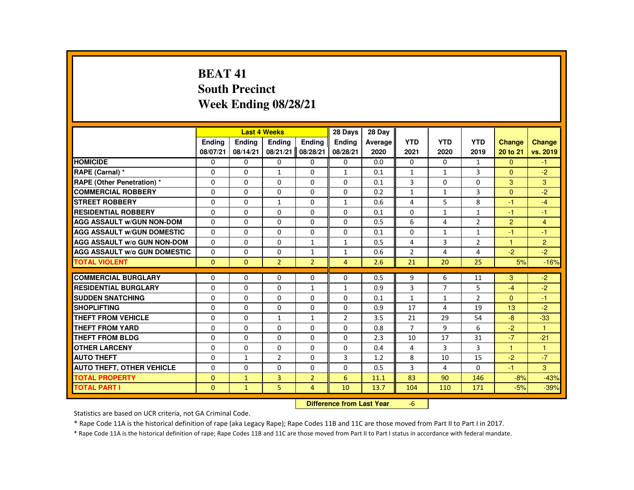# **BEAT 41 South PrecinctWeek Ending 08/28/21**

|                                     |               |               | <b>Last 4 Weeks</b> |                | 28 Days        | 28 Day  |                |              |                |               |                |
|-------------------------------------|---------------|---------------|---------------------|----------------|----------------|---------|----------------|--------------|----------------|---------------|----------------|
|                                     | <b>Endina</b> | <b>Endina</b> | <b>Endina</b>       | <b>Endina</b>  | <b>Endina</b>  | Average | <b>YTD</b>     | <b>YTD</b>   | <b>YTD</b>     | <b>Change</b> | <b>Change</b>  |
|                                     | 08/07/21      | 08/14/21      | 08/21/21            | 08/28/21       | 08/28/21       | 2020    | 2021           | 2020         | 2019           | 20 to 21      | vs. 2019       |
| <b>HOMICIDE</b>                     | 0             | 0             | 0                   | 0              | 0              | 0.0     | 0              | 0            | 1              | $\mathbf{0}$  | $-1$           |
| RAPE (Carnal) *                     | $\Omega$      | $\Omega$      | $\mathbf{1}$        | $\Omega$       | $\mathbf{1}$   | 0.1     | $\mathbf{1}$   | $\mathbf{1}$ | 3              | $\Omega$      | $-2$           |
| RAPE (Other Penetration) *          | $\Omega$      | $\Omega$      | $\Omega$            | $\Omega$       | $\Omega$       | 0.1     | 3              | $\Omega$     | $\Omega$       | 3             | 3              |
| <b>COMMERCIAL ROBBERY</b>           | $\Omega$      | 0             | 0                   | 0              | 0              | 0.2     | $\mathbf{1}$   | $\mathbf{1}$ | 3              | $\mathbf{0}$  | $-2$           |
| <b>STREET ROBBERY</b>               | $\Omega$      | $\Omega$      | 1                   | $\Omega$       | 1              | 0.6     | 4              | 5            | 8              | -1            | $-4$           |
| <b>RESIDENTIAL ROBBERY</b>          | $\Omega$      | $\Omega$      | $\Omega$            | $\Omega$       | $\Omega$       | 0.1     | $\Omega$       | $\mathbf{1}$ | $\mathbf{1}$   | $-1$          | $-1$           |
| <b>AGG ASSAULT W/GUN NON-DOM</b>    | $\Omega$      | $\Omega$      | $\Omega$            | $\Omega$       | $\Omega$       | 0.5     | 6              | 4            | $\overline{2}$ | 2             | $\overline{4}$ |
| <b>AGG ASSAULT W/GUN DOMESTIC</b>   | $\Omega$      | $\Omega$      | $\Omega$            | $\Omega$       | $\Omega$       | 0.1     | $\Omega$       | $\mathbf{1}$ | $\mathbf{1}$   | -1            | $-1$           |
| <b>AGG ASSAULT W/o GUN NON-DOM</b>  | $\Omega$      | $\Omega$      | $\Omega$            | $\mathbf{1}$   | $\mathbf{1}$   | 0.5     | 4              | 3            | $\overline{2}$ | $\mathbf{1}$  | 2              |
| <b>AGG ASSAULT W/o GUN DOMESTIC</b> | $\Omega$      | $\Omega$      | $\Omega$            | $\mathbf{1}$   | $\mathbf{1}$   | 0.6     | $\overline{2}$ | 4            | 4              | $-2$          | $-2$           |
| <b>TOTAL VIOLENT</b>                | $\Omega$      | $\mathbf{0}$  | $\overline{2}$      | $\overline{2}$ | $\overline{4}$ | 2.6     | 21             | 20           | 25             | 5%            | $-16%$         |
|                                     |               |               |                     |                |                |         |                |              |                |               |                |
| <b>COMMERCIAL BURGLARY</b>          | $\Omega$      | $\Omega$      | $\Omega$            | $\Omega$       | $\Omega$       | 0.5     | 9              | 6            | 11             | 3             | $-2$           |
| <b>RESIDENTIAL BURGLARY</b>         | $\Omega$      | 0             | $\Omega$            | $\mathbf{1}$   | $\mathbf{1}$   | 0.9     | 3              | 7            | 5              | $-4$          | $-2$           |
| <b>SUDDEN SNATCHING</b>             | $\Omega$      | 0             | $\Omega$            | 0              | 0              | 0.1     | $\mathbf{1}$   | $\mathbf{1}$ | $\overline{2}$ | $\mathbf{0}$  | $-1$           |
| <b>SHOPLIFTING</b>                  | $\Omega$      | $\Omega$      | $\Omega$            | $\Omega$       | $\Omega$       | 0.9     | 17             | 4            | 19             | 13            | $-2$           |
| <b>THEFT FROM VEHICLE</b>           | $\Omega$      | 0             | 1                   | $\mathbf{1}$   | $\overline{2}$ | 3.5     | 21             | 29           | 54             | -8            | $-33$          |
| <b>THEFT FROM YARD</b>              | $\Omega$      | $\Omega$      | $\Omega$            | $\Omega$       | $\Omega$       | 0.8     | $\overline{7}$ | 9            | 6              | $-2$          | $\overline{1}$ |
| <b>THEFT FROM BLDG</b>              | $\Omega$      | $\Omega$      | $\Omega$            | $\Omega$       | $\Omega$       | 2.3     | 10             | 17           | 31             | $-7$          | $-21$          |
| <b>OTHER LARCENY</b>                | $\Omega$      | 0             | $\Omega$            | $\Omega$       | $\Omega$       | 0.4     | 4              | 3            | 3              | $\mathbf{1}$  | $\overline{1}$ |
| <b>AUTO THEFT</b>                   | $\Omega$      | $\mathbf{1}$  | $\overline{2}$      | $\Omega$       | 3              | 1.2     | 8              | 10           | 15             | $-2$          | $-7$           |
| <b>AUTO THEFT, OTHER VEHICLE</b>    | $\Omega$      | $\Omega$      | $\Omega$            | $\Omega$       | $\Omega$       | 0.5     | $\overline{3}$ | 4            | $\Omega$       | $-1$          | 3              |
| <b>TOTAL PROPERTY</b>               | $\mathbf{0}$  | $\mathbf{1}$  | $\overline{3}$      | $\overline{2}$ | 6              | 11.1    | 83             | 90           | 146            | $-8%$         | $-43%$         |
| <b>TOTAL PART I</b>                 | $\Omega$      | $\mathbf{1}$  | 5                   | $\overline{4}$ | 10             | 13.7    | 104            | 110          | 171            | $-5%$         | $-39%$         |

#### **Difference from Last Year**-6

Statistics are based on UCR criteria, not GA Criminal Code.

\* Rape Code 11A is the historical definition of rape (aka Legacy Rape); Rape Codes 11B and 11C are those moved from Part II to Part I in 2017.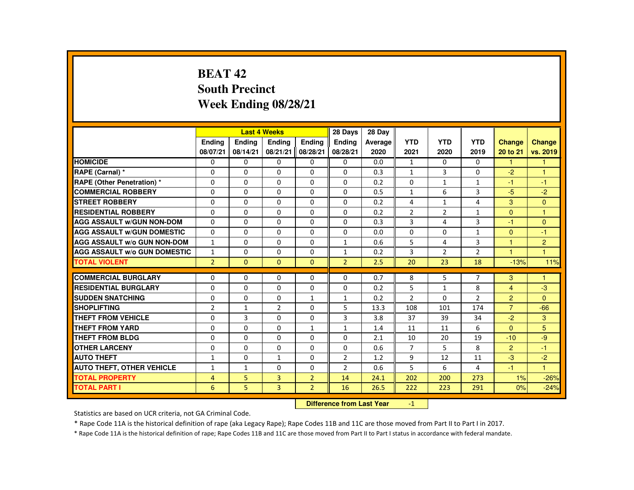# **BEAT 42 South PrecinctWeek Ending 08/28/21**

|                                     |                |               | <b>Last 4 Weeks</b> |                | 28 Days        | 28 Day  |                |                |                |                      |               |
|-------------------------------------|----------------|---------------|---------------------|----------------|----------------|---------|----------------|----------------|----------------|----------------------|---------------|
|                                     | <b>Endina</b>  | <b>Endina</b> | <b>Endina</b>       | <b>Endina</b>  | <b>Endina</b>  | Average | <b>YTD</b>     | <b>YTD</b>     | <b>YTD</b>     | Change               | <b>Change</b> |
|                                     | 08/07/21       | 08/14/21      | 08/21/21            | 08/28/21       | 08/28/21       | 2020    | 2021           | 2020           | 2019           | 20 to 21             | vs. 2019      |
| <b>HOMICIDE</b>                     | $\Omega$       | $\mathbf{0}$  | 0                   | 0              | 0              | 0.0     | $\mathbf{1}$   | 0              | 0              | $\mathbf{1}$         | 1             |
| RAPE (Carnal) *                     | $\Omega$       | $\Omega$      | $\Omega$            | $\Omega$       | $\Omega$       | 0.3     | $\mathbf{1}$   | 3              | $\Omega$       | $-2$                 | 1             |
| <b>RAPE (Other Penetration) *</b>   | $\Omega$       | $\Omega$      | $\Omega$            | $\Omega$       | $\Omega$       | 0.2     | $\Omega$       | $\mathbf{1}$   | $\mathbf{1}$   | $-1$                 | $-1$          |
| <b>COMMERCIAL ROBBERY</b>           | 0              | $\mathbf{0}$  | 0                   | 0              | 0              | 0.5     | $\mathbf{1}$   | 6              | 3              | $-5$                 | $-2$          |
| <b>STREET ROBBERY</b>               | $\Omega$       | $\Omega$      | $\Omega$            | $\Omega$       | $\Omega$       | 0.2     | 4              | $\mathbf{1}$   | 4              | 3                    | $\Omega$      |
| <b>RESIDENTIAL ROBBERY</b>          | $\Omega$       | $\Omega$      | $\Omega$            | $\Omega$       | $\Omega$       | 0.2     | $\overline{2}$ | $\overline{2}$ | $\mathbf{1}$   | $\Omega$             | $\mathbf{1}$  |
| <b>AGG ASSAULT w/GUN NON-DOM</b>    | $\Omega$       | $\Omega$      | $\Omega$            | $\Omega$       | $\Omega$       | 0.3     | 3              | 4              | $\overline{3}$ | $-1$                 | $\Omega$      |
| <b>AGG ASSAULT W/GUN DOMESTIC</b>   | $\Omega$       | $\Omega$      | $\Omega$            | $\Omega$       | $\Omega$       | 0.0     | $\Omega$       | $\Omega$       | $\mathbf{1}$   | $\Omega$             | $-1$          |
| <b>AGG ASSAULT W/o GUN NON-DOM</b>  | $\mathbf{1}$   | $\Omega$      | $\Omega$            | $\Omega$       | $\mathbf{1}$   | 0.6     | 5              | 4              | 3              | $\mathbf{1}$         | 2             |
| <b>AGG ASSAULT W/o GUN DOMESTIC</b> | $\mathbf{1}$   | $\Omega$      | $\Omega$            | $\Omega$       | $\mathbf{1}$   | 0.2     | 3              | 2              | $\overline{2}$ | $\blacktriangleleft$ | $\mathbf{1}$  |
| <b>TOTAL VIOLENT</b>                | $\overline{2}$ | $\mathbf{0}$  | $\Omega$            | $\Omega$       | $\overline{2}$ | 2.5     | 20             | 23             | 18             | $-13%$               | 11%           |
|                                     |                |               |                     |                |                |         |                |                |                |                      |               |
| <b>COMMERCIAL BURGLARY</b>          | $\Omega$       | $\Omega$      | $\Omega$            | $\Omega$       | $\Omega$       | 0.7     | 8              | 5              | $\overline{7}$ | 3                    | 1             |
| <b>RESIDENTIAL BURGLARY</b>         | 0              | $\mathbf{0}$  | $\Omega$            | $\Omega$       | $\Omega$       | 0.2     | 5              | $\mathbf{1}$   | 8              | $\overline{4}$       | $-3$          |
| <b>SUDDEN SNATCHING</b>             | $\Omega$       | $\Omega$      | $\Omega$            | $\mathbf{1}$   | $\mathbf{1}$   | 0.2     | $\overline{2}$ | $\Omega$       | $\overline{2}$ | $\overline{2}$       | $\Omega$      |
| <b>SHOPLIFTING</b>                  | $\overline{2}$ | $\mathbf{1}$  | $\overline{2}$      | $\Omega$       | 5              | 13.3    | 108            | 101            | 174            | $\overline{7}$       | $-66$         |
| <b>THEFT FROM VEHICLE</b>           | $\Omega$       | 3             | $\Omega$            | 0              | 3              | 3.8     | 37             | 39             | 34             | $-2$                 | 3             |
| <b>THEFT FROM YARD</b>              | $\Omega$       | $\Omega$      | $\Omega$            | $\mathbf{1}$   | $\mathbf{1}$   | 1.4     | 11             | 11             | 6              | $\Omega$             | 5             |
| <b>THEFT FROM BLDG</b>              | $\Omega$       | $\Omega$      | $\Omega$            | $\Omega$       | $\Omega$       | 2.1     | 10             | 20             | 19             | $-10$                | $-9$          |
| <b>OTHER LARCENY</b>                | 0              | $\mathbf{0}$  | 0                   | $\Omega$       | $\Omega$       | 0.6     | $\overline{7}$ | 5              | 8              | $\overline{2}$       | $-1$          |
| <b>AUTO THEFT</b>                   | $\mathbf{1}$   | $\Omega$      | $\mathbf{1}$        | 0              | 2              | 1.2     | 9              | 12             | 11             | $-3$                 | $-2$          |
| <b>AUTO THEFT, OTHER VEHICLE</b>    | $\mathbf{1}$   | 1             | $\Omega$            | $\Omega$       | $\overline{2}$ | 0.6     | 5              | 6              | 4              | $-1$                 | $\mathbf{1}$  |
| <b>TOTAL PROPERTY</b>               | 4              | 5             | 3                   | $\overline{2}$ | 14             | 24.1    | 202            | 200            | 273            | 1%                   | $-26%$        |
| <b>TOTAL PART I</b>                 | 6              | 5             | $\overline{3}$      | $\overline{2}$ | 16             | 26.5    | 222            | 223            | 291            | 0%                   | $-24%$        |

#### **Difference from Last Year**-1

Statistics are based on UCR criteria, not GA Criminal Code.

\* Rape Code 11A is the historical definition of rape (aka Legacy Rape); Rape Codes 11B and 11C are those moved from Part II to Part I in 2017.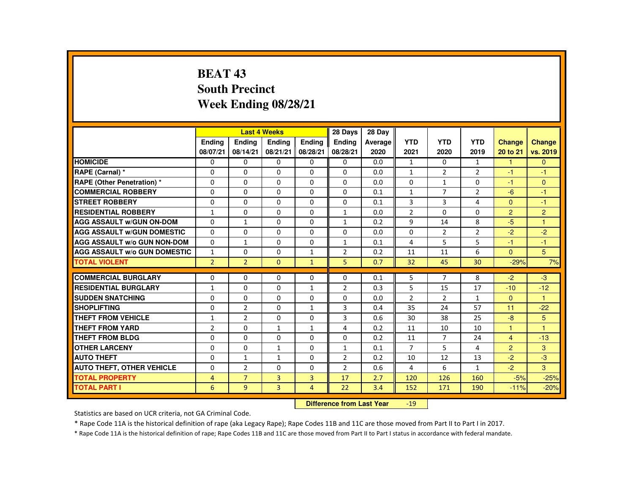# **BEAT 43 South PrecinctWeek Ending 08/28/21**

|                                     |                |                | <b>Last 4 Weeks</b> |                | 28 Days        | 28 Day  |                |                |                |                |                |
|-------------------------------------|----------------|----------------|---------------------|----------------|----------------|---------|----------------|----------------|----------------|----------------|----------------|
|                                     | <b>Endina</b>  | <b>Endina</b>  | <b>Endina</b>       | <b>Endina</b>  | <b>Endina</b>  | Average | <b>YTD</b>     | <b>YTD</b>     | <b>YTD</b>     | <b>Change</b>  | <b>Change</b>  |
|                                     | 08/07/21       | 08/14/21       | 08/21/21            | 08/28/21       | 08/28/21       | 2020    | 2021           | 2020           | 2019           | 20 to 21       | vs. 2019       |
| <b>HOMICIDE</b>                     | 0              | 0              | $\Omega$            | 0              | 0              | 0.0     | $\mathbf{1}$   | $\Omega$       | $\mathbf{1}$   | 1              | $\mathbf{0}$   |
| RAPE (Carnal) *                     | $\Omega$       | $\Omega$       | $\Omega$            | $\Omega$       | $\Omega$       | 0.0     | $\mathbf{1}$   | 2              | $\overline{2}$ | -1             | $-1$           |
| <b>RAPE (Other Penetration) *</b>   | $\Omega$       | $\Omega$       | $\Omega$            | $\Omega$       | $\Omega$       | 0.0     | $\Omega$       | $\mathbf{1}$   | $\Omega$       | $-1$           | $\Omega$       |
| <b>COMMERCIAL ROBBERY</b>           | $\Omega$       | $\Omega$       | $\Omega$            | $\Omega$       | $\Omega$       | 0.1     | $\mathbf{1}$   | $\overline{7}$ | $\overline{2}$ | $-6$           | $-1$           |
| <b>STREET ROBBERY</b>               | $\Omega$       | $\Omega$       | $\Omega$            | $\Omega$       | $\Omega$       | 0.1     | 3              | 3              | 4              | $\Omega$       | $-1$           |
| <b>RESIDENTIAL ROBBERY</b>          | $\mathbf{1}$   | $\Omega$       | $\Omega$            | $\Omega$       | $\mathbf{1}$   | 0.0     | $\overline{2}$ | $\Omega$       | $\Omega$       | $\overline{2}$ | 2              |
| <b>AGG ASSAULT w/GUN ON-DOM</b>     | $\Omega$       | $\mathbf{1}$   | $\Omega$            | $\Omega$       | $\mathbf{1}$   | 0.2     | 9              | 14             | 8              | $-5$           | $\overline{1}$ |
| <b>AGG ASSAULT W/GUN DOMESTIC</b>   | $\Omega$       | $\Omega$       | $\Omega$            | $\Omega$       | $\Omega$       | 0.0     | $\Omega$       | $\overline{2}$ | $\overline{2}$ | $-2$           | $-2$           |
| <b>AGG ASSAULT W/o GUN NON-DOM</b>  | 0              | $\mathbf{1}$   | $\Omega$            | 0              | $\mathbf{1}$   | 0.1     | 4              | 5              | 5              | -1             | $-1$           |
| <b>AGG ASSAULT W/o GUN DOMESTIC</b> | $\mathbf{1}$   | $\Omega$       | $\Omega$            | $\mathbf{1}$   | $\overline{2}$ | 0.2     | 11             | 11             | 6              | $\Omega$       | 5              |
| <b>TOTAL VIOLENT</b>                | $\overline{2}$ | $\overline{2}$ | $\Omega$            | $\mathbf{1}$   | 5              | 0.7     | 32             | 45             | 30             | $-29%$         | 7%             |
|                                     |                |                |                     |                |                |         |                |                |                |                |                |
| <b>COMMERCIAL BURGLARY</b>          | $\Omega$       | $\Omega$       | $\Omega$            | $\Omega$       | $\Omega$       | 0.1     | 5              | $\overline{7}$ | 8              | $-2$           | $-3$           |
| <b>RESIDENTIAL BURGLARY</b>         | $\mathbf{1}$   | $\Omega$       | $\Omega$            | $\mathbf{1}$   | 2              | 0.3     | 5              | 15             | 17             | $-10$          | $-12$          |
| <b>SUDDEN SNATCHING</b>             | $\Omega$       | 0              | $\Omega$            | 0              | $\Omega$       | 0.0     | $\overline{2}$ | 2              | $\mathbf{1}$   | $\Omega$       | $\mathbf{1}$   |
| <b>SHOPLIFTING</b>                  | $\Omega$       | $\overline{2}$ | $\Omega$            | $\mathbf{1}$   | 3              | 0.4     | 35             | 24             | 57             | 11             | $-22$          |
| THEFT FROM VEHICLE                  | $\mathbf{1}$   | $\overline{2}$ | $\Omega$            | $\Omega$       | 3              | 0.6     | 30             | 38             | 25             | $-8$           | 5              |
| <b>THEFT FROM YARD</b>              | $\overline{2}$ | 0              | $\mathbf{1}$        | $\mathbf{1}$   | 4              | 0.2     | 11             | 10             | 10             | 1              | $\overline{1}$ |
| <b>THEFT FROM BLDG</b>              | $\Omega$       | $\Omega$       | $\Omega$            | $\Omega$       | $\Omega$       | 0.2     | 11             | $\overline{7}$ | 24             | $\overline{4}$ | $-13$          |
| <b>OTHER LARCENY</b>                | $\Omega$       | 0              | $\mathbf{1}$        | 0              | $\mathbf{1}$   | 0.1     | $\overline{7}$ | 5              | 4              | 2              | 3              |
| <b>AUTO THEFT</b>                   | $\Omega$       | $\mathbf{1}$   | $\mathbf{1}$        | $\Omega$       | $\overline{2}$ | 0.2     | 10             | 12             | 13             | $-2$           | $-3$           |
| <b>AUTO THEFT, OTHER VEHICLE</b>    | $\Omega$       | $\overline{2}$ | $\Omega$            | $\Omega$       | $\overline{2}$ | 0.6     | 4              | 6              | $\mathbf{1}$   | $-2$           | 3              |
| <b>TOTAL PROPERTY</b>               | 4              | $\overline{7}$ | 3                   | $\overline{3}$ | 17             | 2.7     | 120            | 126            | 160            | $-5%$          | $-25%$         |
| <b>TOTAL PART I</b>                 | 6              | 9              | $\overline{3}$      | $\overline{4}$ | 22             | 3.4     | 152            | 171            | 190            | $-11%$         | $-20%$         |
|                                     |                |                |                     |                |                |         |                |                |                |                |                |

#### **Difference from Last Year**-19

Statistics are based on UCR criteria, not GA Criminal Code.

\* Rape Code 11A is the historical definition of rape (aka Legacy Rape); Rape Codes 11B and 11C are those moved from Part II to Part I in 2017.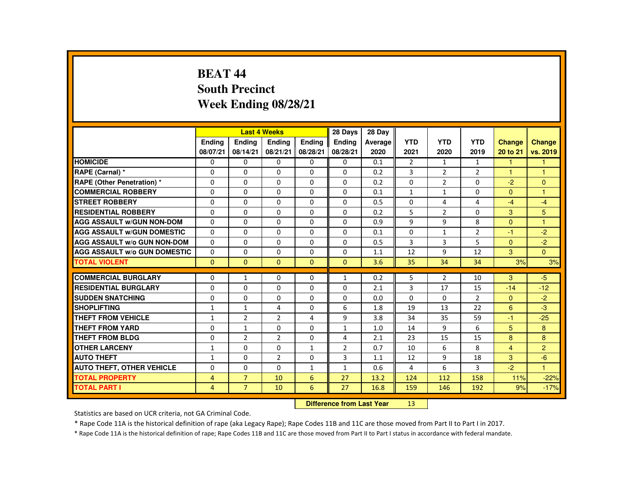# **BEAT 44 South PrecinctWeek Ending 08/28/21**

| <b>Endina</b><br><b>Endina</b><br><b>Endina</b><br><b>YTD</b><br><b>YTD</b><br><b>YTD</b><br><b>Endina</b><br><b>Endina</b><br>Average<br><b>Change</b><br>08/07/21<br>08/21/21<br>08/28/21<br>08/28/21<br>08/14/21<br>2020<br>2021<br>2020<br>2019<br>20 to 21<br><b>HOMICIDE</b><br>$\Omega$<br>0<br>$\overline{2}$<br>0<br>0<br>0<br>0.1<br>$\mathbf{1}$<br>$\mathbf{1}$<br>1<br>3<br>RAPE (Carnal) *<br>$\Omega$<br>$\Omega$<br>$\Omega$<br>$\Omega$<br>0.2<br>2<br>$\overline{2}$<br>$\Omega$<br>1<br>1<br>$\Omega$<br>$\overline{2}$<br><b>RAPE (Other Penetration) *</b><br>$\Omega$<br>$\Omega$<br>$\Omega$<br>$\Omega$<br>$\Omega$<br>$\Omega$<br>$-2$<br>$\Omega$<br>0.2<br><b>COMMERCIAL ROBBERY</b><br>$\Omega$<br>$\Omega$<br>$\Omega$<br>$\Omega$<br>$\Omega$<br>$\Omega$<br>$\Omega$<br>0.1<br>$\mathbf{1}$<br>$\mathbf{1}$<br>$\overline{1}$<br>$\Omega$<br><b>STREET ROBBERY</b><br>$\Omega$<br>$\Omega$<br>$\Omega$<br>$\Omega$<br>$\Omega$<br>0.5<br>$\overline{4}$<br>4<br>$-4$<br>$-4$<br>5<br>5<br><b>RESIDENTIAL ROBBERY</b><br>3<br>$\Omega$<br>$\Omega$<br>$\Omega$<br>$\Omega$<br>$\Omega$<br>0.2<br>2<br>$\Omega$<br><b>AGG ASSAULT w/GUN NON-DOM</b><br>9<br>9<br>8<br>$\Omega$<br>$\Omega$<br>$\Omega$<br>$\Omega$<br>$\Omega$<br>$\Omega$<br>0.9<br>$\overline{1}$<br><b>AGG ASSAULT W/GUN DOMESTIC</b><br>$\Omega$<br>$\Omega$<br>$\Omega$<br>$\Omega$<br>$\Omega$<br>$\Omega$<br>$\overline{2}$<br>$-2$<br>0.1<br>$\mathbf{1}$<br>-1<br><b>AGG ASSAULT W/o GUN NON-DOM</b><br>3<br>3<br>5<br>$-2$<br>$\Omega$<br>0<br>$\Omega$<br>0<br>$\Omega$<br>0.5<br>$\Omega$<br>9<br>3<br>$\Omega$<br><b>AGG ASSAULT W/o GUN DOMESTIC</b><br>$\Omega$<br>$\Omega$<br>$\Omega$<br>$\Omega$<br>$\Omega$<br>12<br>12<br>1.1<br><b>TOTAL VIOLENT</b><br>$\Omega$<br>$\Omega$<br>$\Omega$<br>$\Omega$<br>$\Omega$<br>3.6<br>35<br>34<br>34<br>3%<br><b>COMMERCIAL BURGLARY</b><br>5<br>$-5$<br>$\Omega$<br>$\Omega$<br>$\overline{2}$<br>3<br>$\Omega$<br>0.2<br>10<br>$\mathbf{1}$<br>$\mathbf{1}$<br><b>RESIDENTIAL BURGLARY</b><br>3<br>$\Omega$<br>$\Omega$<br>$\Omega$<br>$\Omega$<br>$\Omega$<br>2.1<br>15<br>$-12$<br>17<br>$-14$<br><b>SUDDEN SNATCHING</b><br>$\Omega$<br>$\overline{2}$<br>$-2$<br>$\Omega$<br>0<br>$\Omega$<br>0<br>$\Omega$<br>0.0<br>0<br>$\Omega$<br><b>SHOPLIFTING</b><br>$-3$<br>$\Omega$<br>6<br>1.8<br>19<br>13<br>22<br>6<br>$\mathbf{1}$<br>$\mathbf{1}$<br>4 |  | <b>Last 4 Weeks</b> | 28 Days | 28 Day |  |  |               |
|--------------------------------------------------------------------------------------------------------------------------------------------------------------------------------------------------------------------------------------------------------------------------------------------------------------------------------------------------------------------------------------------------------------------------------------------------------------------------------------------------------------------------------------------------------------------------------------------------------------------------------------------------------------------------------------------------------------------------------------------------------------------------------------------------------------------------------------------------------------------------------------------------------------------------------------------------------------------------------------------------------------------------------------------------------------------------------------------------------------------------------------------------------------------------------------------------------------------------------------------------------------------------------------------------------------------------------------------------------------------------------------------------------------------------------------------------------------------------------------------------------------------------------------------------------------------------------------------------------------------------------------------------------------------------------------------------------------------------------------------------------------------------------------------------------------------------------------------------------------------------------------------------------------------------------------------------------------------------------------------------------------------------------------------------------------------------------------------------------------------------------------------------------------------------------------------------------------------------------------------------------------------------------------------------------------------------------------------------------------------------------------------------------------------|--|---------------------|---------|--------|--|--|---------------|
|                                                                                                                                                                                                                                                                                                                                                                                                                                                                                                                                                                                                                                                                                                                                                                                                                                                                                                                                                                                                                                                                                                                                                                                                                                                                                                                                                                                                                                                                                                                                                                                                                                                                                                                                                                                                                                                                                                                                                                                                                                                                                                                                                                                                                                                                                                                                                                                                                    |  |                     |         |        |  |  | <b>Change</b> |
|                                                                                                                                                                                                                                                                                                                                                                                                                                                                                                                                                                                                                                                                                                                                                                                                                                                                                                                                                                                                                                                                                                                                                                                                                                                                                                                                                                                                                                                                                                                                                                                                                                                                                                                                                                                                                                                                                                                                                                                                                                                                                                                                                                                                                                                                                                                                                                                                                    |  |                     |         |        |  |  | vs. 2019      |
|                                                                                                                                                                                                                                                                                                                                                                                                                                                                                                                                                                                                                                                                                                                                                                                                                                                                                                                                                                                                                                                                                                                                                                                                                                                                                                                                                                                                                                                                                                                                                                                                                                                                                                                                                                                                                                                                                                                                                                                                                                                                                                                                                                                                                                                                                                                                                                                                                    |  |                     |         |        |  |  |               |
|                                                                                                                                                                                                                                                                                                                                                                                                                                                                                                                                                                                                                                                                                                                                                                                                                                                                                                                                                                                                                                                                                                                                                                                                                                                                                                                                                                                                                                                                                                                                                                                                                                                                                                                                                                                                                                                                                                                                                                                                                                                                                                                                                                                                                                                                                                                                                                                                                    |  |                     |         |        |  |  |               |
|                                                                                                                                                                                                                                                                                                                                                                                                                                                                                                                                                                                                                                                                                                                                                                                                                                                                                                                                                                                                                                                                                                                                                                                                                                                                                                                                                                                                                                                                                                                                                                                                                                                                                                                                                                                                                                                                                                                                                                                                                                                                                                                                                                                                                                                                                                                                                                                                                    |  |                     |         |        |  |  |               |
|                                                                                                                                                                                                                                                                                                                                                                                                                                                                                                                                                                                                                                                                                                                                                                                                                                                                                                                                                                                                                                                                                                                                                                                                                                                                                                                                                                                                                                                                                                                                                                                                                                                                                                                                                                                                                                                                                                                                                                                                                                                                                                                                                                                                                                                                                                                                                                                                                    |  |                     |         |        |  |  |               |
|                                                                                                                                                                                                                                                                                                                                                                                                                                                                                                                                                                                                                                                                                                                                                                                                                                                                                                                                                                                                                                                                                                                                                                                                                                                                                                                                                                                                                                                                                                                                                                                                                                                                                                                                                                                                                                                                                                                                                                                                                                                                                                                                                                                                                                                                                                                                                                                                                    |  |                     |         |        |  |  |               |
|                                                                                                                                                                                                                                                                                                                                                                                                                                                                                                                                                                                                                                                                                                                                                                                                                                                                                                                                                                                                                                                                                                                                                                                                                                                                                                                                                                                                                                                                                                                                                                                                                                                                                                                                                                                                                                                                                                                                                                                                                                                                                                                                                                                                                                                                                                                                                                                                                    |  |                     |         |        |  |  |               |
|                                                                                                                                                                                                                                                                                                                                                                                                                                                                                                                                                                                                                                                                                                                                                                                                                                                                                                                                                                                                                                                                                                                                                                                                                                                                                                                                                                                                                                                                                                                                                                                                                                                                                                                                                                                                                                                                                                                                                                                                                                                                                                                                                                                                                                                                                                                                                                                                                    |  |                     |         |        |  |  |               |
|                                                                                                                                                                                                                                                                                                                                                                                                                                                                                                                                                                                                                                                                                                                                                                                                                                                                                                                                                                                                                                                                                                                                                                                                                                                                                                                                                                                                                                                                                                                                                                                                                                                                                                                                                                                                                                                                                                                                                                                                                                                                                                                                                                                                                                                                                                                                                                                                                    |  |                     |         |        |  |  |               |
|                                                                                                                                                                                                                                                                                                                                                                                                                                                                                                                                                                                                                                                                                                                                                                                                                                                                                                                                                                                                                                                                                                                                                                                                                                                                                                                                                                                                                                                                                                                                                                                                                                                                                                                                                                                                                                                                                                                                                                                                                                                                                                                                                                                                                                                                                                                                                                                                                    |  |                     |         |        |  |  |               |
|                                                                                                                                                                                                                                                                                                                                                                                                                                                                                                                                                                                                                                                                                                                                                                                                                                                                                                                                                                                                                                                                                                                                                                                                                                                                                                                                                                                                                                                                                                                                                                                                                                                                                                                                                                                                                                                                                                                                                                                                                                                                                                                                                                                                                                                                                                                                                                                                                    |  |                     |         |        |  |  |               |
|                                                                                                                                                                                                                                                                                                                                                                                                                                                                                                                                                                                                                                                                                                                                                                                                                                                                                                                                                                                                                                                                                                                                                                                                                                                                                                                                                                                                                                                                                                                                                                                                                                                                                                                                                                                                                                                                                                                                                                                                                                                                                                                                                                                                                                                                                                                                                                                                                    |  |                     |         |        |  |  | 3%            |
|                                                                                                                                                                                                                                                                                                                                                                                                                                                                                                                                                                                                                                                                                                                                                                                                                                                                                                                                                                                                                                                                                                                                                                                                                                                                                                                                                                                                                                                                                                                                                                                                                                                                                                                                                                                                                                                                                                                                                                                                                                                                                                                                                                                                                                                                                                                                                                                                                    |  |                     |         |        |  |  |               |
|                                                                                                                                                                                                                                                                                                                                                                                                                                                                                                                                                                                                                                                                                                                                                                                                                                                                                                                                                                                                                                                                                                                                                                                                                                                                                                                                                                                                                                                                                                                                                                                                                                                                                                                                                                                                                                                                                                                                                                                                                                                                                                                                                                                                                                                                                                                                                                                                                    |  |                     |         |        |  |  |               |
|                                                                                                                                                                                                                                                                                                                                                                                                                                                                                                                                                                                                                                                                                                                                                                                                                                                                                                                                                                                                                                                                                                                                                                                                                                                                                                                                                                                                                                                                                                                                                                                                                                                                                                                                                                                                                                                                                                                                                                                                                                                                                                                                                                                                                                                                                                                                                                                                                    |  |                     |         |        |  |  |               |
|                                                                                                                                                                                                                                                                                                                                                                                                                                                                                                                                                                                                                                                                                                                                                                                                                                                                                                                                                                                                                                                                                                                                                                                                                                                                                                                                                                                                                                                                                                                                                                                                                                                                                                                                                                                                                                                                                                                                                                                                                                                                                                                                                                                                                                                                                                                                                                                                                    |  |                     |         |        |  |  |               |
|                                                                                                                                                                                                                                                                                                                                                                                                                                                                                                                                                                                                                                                                                                                                                                                                                                                                                                                                                                                                                                                                                                                                                                                                                                                                                                                                                                                                                                                                                                                                                                                                                                                                                                                                                                                                                                                                                                                                                                                                                                                                                                                                                                                                                                                                                                                                                                                                                    |  |                     |         |        |  |  |               |
| THEFT FROM VEHICLE<br>9<br>$\overline{2}$<br>$\overline{2}$<br>$-25$<br>$\mathbf{1}$<br>4<br>3.8<br>34<br>35<br>59<br>-1                                                                                                                                                                                                                                                                                                                                                                                                                                                                                                                                                                                                                                                                                                                                                                                                                                                                                                                                                                                                                                                                                                                                                                                                                                                                                                                                                                                                                                                                                                                                                                                                                                                                                                                                                                                                                                                                                                                                                                                                                                                                                                                                                                                                                                                                                           |  |                     |         |        |  |  |               |
| <b>THEFT FROM YARD</b><br>9<br>6<br>5<br>8<br>$\Omega$<br>$\mathbf{1}$<br>$\Omega$<br>0<br>$\mathbf{1}$<br>14<br>1.0                                                                                                                                                                                                                                                                                                                                                                                                                                                                                                                                                                                                                                                                                                                                                                                                                                                                                                                                                                                                                                                                                                                                                                                                                                                                                                                                                                                                                                                                                                                                                                                                                                                                                                                                                                                                                                                                                                                                                                                                                                                                                                                                                                                                                                                                                               |  |                     |         |        |  |  |               |
| <b>THEFT FROM BLDG</b><br>$\overline{2}$<br>$\overline{2}$<br>23<br>15<br>15<br>8<br>8<br>$\Omega$<br>$\Omega$<br>4<br>2.1                                                                                                                                                                                                                                                                                                                                                                                                                                                                                                                                                                                                                                                                                                                                                                                                                                                                                                                                                                                                                                                                                                                                                                                                                                                                                                                                                                                                                                                                                                                                                                                                                                                                                                                                                                                                                                                                                                                                                                                                                                                                                                                                                                                                                                                                                         |  |                     |         |        |  |  |               |
| 2<br><b>OTHER LARCENY</b><br>$\Omega$<br>$\overline{2}$<br>6<br>8<br>$\mathbf{1}$<br>0<br>$\mathbf{1}$<br>0.7<br>10<br>$\overline{4}$                                                                                                                                                                                                                                                                                                                                                                                                                                                                                                                                                                                                                                                                                                                                                                                                                                                                                                                                                                                                                                                                                                                                                                                                                                                                                                                                                                                                                                                                                                                                                                                                                                                                                                                                                                                                                                                                                                                                                                                                                                                                                                                                                                                                                                                                              |  |                     |         |        |  |  |               |
| <b>AUTO THEFT</b><br>$\Omega$<br>2<br>$\Omega$<br>3<br>9<br>18<br>3<br>$-6$<br>12<br>$\mathbf{1}$<br>1.1                                                                                                                                                                                                                                                                                                                                                                                                                                                                                                                                                                                                                                                                                                                                                                                                                                                                                                                                                                                                                                                                                                                                                                                                                                                                                                                                                                                                                                                                                                                                                                                                                                                                                                                                                                                                                                                                                                                                                                                                                                                                                                                                                                                                                                                                                                           |  |                     |         |        |  |  |               |
| $-2$<br><b>AUTO THEFT, OTHER VEHICLE</b><br>$\Omega$<br>6<br>$\Omega$<br>$\Omega$<br>0.6<br>4<br>3<br>$\overline{1}$<br>$\mathbf{1}$<br>$\mathbf{1}$                                                                                                                                                                                                                                                                                                                                                                                                                                                                                                                                                                                                                                                                                                                                                                                                                                                                                                                                                                                                                                                                                                                                                                                                                                                                                                                                                                                                                                                                                                                                                                                                                                                                                                                                                                                                                                                                                                                                                                                                                                                                                                                                                                                                                                                               |  |                     |         |        |  |  |               |
| <b>TOTAL PROPERTY</b><br>$\overline{7}$<br>4<br>10<br>6<br>27<br>13.2<br>124<br>112<br>158<br>11%                                                                                                                                                                                                                                                                                                                                                                                                                                                                                                                                                                                                                                                                                                                                                                                                                                                                                                                                                                                                                                                                                                                                                                                                                                                                                                                                                                                                                                                                                                                                                                                                                                                                                                                                                                                                                                                                                                                                                                                                                                                                                                                                                                                                                                                                                                                  |  |                     |         |        |  |  | $-22%$        |
| <b>TOTAL PART I</b><br>$\overline{7}$<br>6<br>27<br>$\overline{4}$<br>10<br>16.8<br>159<br>192<br>9%<br>146                                                                                                                                                                                                                                                                                                                                                                                                                                                                                                                                                                                                                                                                                                                                                                                                                                                                                                                                                                                                                                                                                                                                                                                                                                                                                                                                                                                                                                                                                                                                                                                                                                                                                                                                                                                                                                                                                                                                                                                                                                                                                                                                                                                                                                                                                                        |  |                     |         |        |  |  | $-17%$        |

#### **Difference from Last Year**<sup>13</sup>

Statistics are based on UCR criteria, not GA Criminal Code.

\* Rape Code 11A is the historical definition of rape (aka Legacy Rape); Rape Codes 11B and 11C are those moved from Part II to Part I in 2017.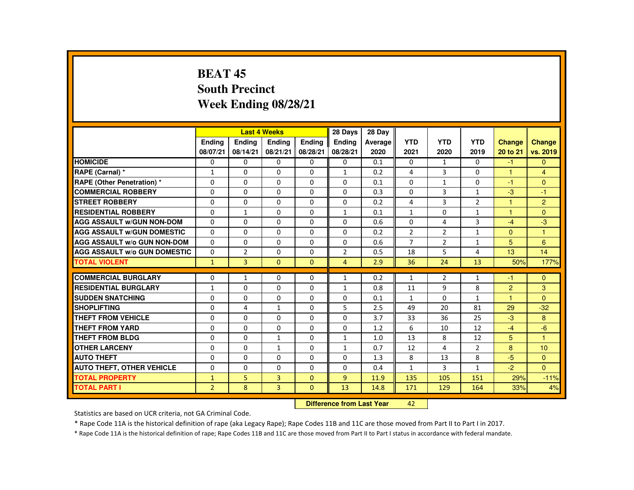# **BEAT 45 South PrecinctWeek Ending 08/28/21**

|                                     |                |                | <b>Last 4 Weeks</b> |               | 28 Days        | 28 Day  |                |                |                |                      |                |
|-------------------------------------|----------------|----------------|---------------------|---------------|----------------|---------|----------------|----------------|----------------|----------------------|----------------|
|                                     | <b>Endina</b>  | <b>Endina</b>  | <b>Endina</b>       | <b>Endina</b> | <b>Endina</b>  | Average | <b>YTD</b>     | <b>YTD</b>     | <b>YTD</b>     | <b>Change</b>        | <b>Change</b>  |
|                                     | 08/07/21       | 08/14/21       | 08/21/21            | 08/28/21      | 08/28/21       | 2020    | 2021           | 2020           | 2019           | 20 to 21             | vs. 2019       |
| <b>HOMICIDE</b>                     | 0              | 0              | $\Omega$            | 0             | 0              | 0.1     | 0              | $\mathbf{1}$   | 0              | $-1$                 | $\mathbf{0}$   |
| RAPE (Carnal) *                     | $\mathbf{1}$   | $\Omega$       | $\Omega$            | $\Omega$      | $\mathbf{1}$   | 0.2     | 4              | 3              | $\Omega$       | $\blacktriangleleft$ | $\overline{4}$ |
| <b>RAPE (Other Penetration) *</b>   | $\Omega$       | $\Omega$       | $\Omega$            | $\Omega$      | $\Omega$       | 0.1     | $\Omega$       | $\mathbf{1}$   | $\Omega$       | $-1$                 | $\Omega$       |
| <b>COMMERCIAL ROBBERY</b>           | $\Omega$       | $\Omega$       | $\Omega$            | $\Omega$      | $\Omega$       | 0.3     | $\Omega$       | 3              | $\mathbf{1}$   | $-3$                 | $-1$           |
| <b>STREET ROBBERY</b>               | $\Omega$       | $\Omega$       | $\Omega$            | $\Omega$      | $\Omega$       | 0.2     | 4              | 3              | $\overline{2}$ | 1                    | $\overline{2}$ |
| <b>RESIDENTIAL ROBBERY</b>          | $\Omega$       | $\mathbf{1}$   | $\Omega$            | $\Omega$      | $\mathbf{1}$   | 0.1     | $\mathbf{1}$   | $\Omega$       | $\mathbf{1}$   | $\blacktriangleleft$ | $\Omega$       |
| <b>AGG ASSAULT w/GUN NON-DOM</b>    | $\Omega$       | $\Omega$       | $\Omega$            | $\Omega$      | $\Omega$       | 0.6     | $\Omega$       | 4              | 3              | $-4$                 | $-3$           |
| <b>AGG ASSAULT W/GUN DOMESTIC</b>   | $\Omega$       | $\Omega$       | $\Omega$            | $\Omega$      | $\Omega$       | 0.2     | $\overline{2}$ | $\overline{2}$ | $\mathbf{1}$   | $\Omega$             | -1             |
| <b>AGG ASSAULT W/o GUN NON-DOM</b>  | $\Omega$       | 0              | $\Omega$            | 0             | $\Omega$       | 0.6     | $\overline{7}$ | 2              | $\mathbf{1}$   | 5                    | 6              |
| <b>AGG ASSAULT W/o GUN DOMESTIC</b> | $\Omega$       | $\overline{2}$ | $\Omega$            | $\Omega$      | $\overline{2}$ | 0.5     | 18             | 5              | 4              | 13                   | 14             |
| <b>TOTAL VIOLENT</b>                | $\mathbf{1}$   | $\overline{3}$ | $\Omega$            | $\Omega$      | $\overline{4}$ | 2.9     | 36             | 24             | 13             | 50%                  | 177%           |
|                                     |                |                |                     |               |                |         |                |                |                |                      |                |
| <b>COMMERCIAL BURGLARY</b>          | $\Omega$       | $\mathbf{1}$   | $\Omega$            | $\Omega$      | $\mathbf{1}$   | 0.2     | $\mathbf{1}$   | 2              | $\mathbf{1}$   | -1                   | $\Omega$       |
| <b>RESIDENTIAL BURGLARY</b>         | $\mathbf{1}$   | $\Omega$       | $\Omega$            | $\Omega$      | $\mathbf{1}$   | 0.8     | 11             | 9              | 8              | $\overline{2}$       | 3              |
| <b>SUDDEN SNATCHING</b>             | $\Omega$       | 0              | $\Omega$            | 0             | $\Omega$       | 0.1     | $\mathbf{1}$   | 0              | $\mathbf{1}$   | $\blacktriangleleft$ | $\Omega$       |
| <b>SHOPLIFTING</b>                  | $\Omega$       | 4              | $\mathbf{1}$        | $\Omega$      | 5              | 2.5     | 49             | 20             | 81             | 29                   | $-32$          |
| THEFT FROM VEHICLE                  | $\Omega$       | $\Omega$       | $\Omega$            | $\Omega$      | $\Omega$       | 3.7     | 33             | 36             | 25             | $-3$                 | 8              |
| <b>THEFT FROM YARD</b>              | $\Omega$       | 0              | $\Omega$            | 0             | $\Omega$       | 1.2     | 6              | 10             | 12             | $-4$                 | $-6$           |
| <b>THEFT FROM BLDG</b>              | $\Omega$       | $\Omega$       | $\mathbf{1}$        | $\Omega$      | $\mathbf{1}$   | 1.0     | 13             | 8              | 12             | 5                    | $\mathbf{1}$   |
| <b>OTHER LARCENY</b>                | $\Omega$       | 0              | $\mathbf{1}$        | 0             | $\mathbf{1}$   | 0.7     | 12             | 4              | $\overline{2}$ | 8                    | 10             |
| <b>AUTO THEFT</b>                   | $\Omega$       | $\Omega$       | $\Omega$            | $\Omega$      | $\Omega$       | 1.3     | 8              | 13             | 8              | $-5$                 | $\Omega$       |
| <b>AUTO THEFT, OTHER VEHICLE</b>    | $\Omega$       | $\Omega$       | $\Omega$            | $\Omega$      | $\Omega$       | 0.4     | $\mathbf{1}$   | $\mathbf{3}$   | $\mathbf{1}$   | $-2$                 | $\Omega$       |
| <b>TOTAL PROPERTY</b>               | $\mathbf{1}$   | 5              | 3                   | $\Omega$      | $\overline{9}$ | 11.9    | 135            | 105            | 151            | 29%                  | $-11%$         |
| <b>TOTAL PART I</b>                 | $\overline{2}$ | 8              | $\overline{3}$      | $\mathbf{0}$  | 13             | 14.8    | 171            | 129            | 164            | 33%                  | 4%             |
|                                     |                |                |                     |               |                |         |                |                |                |                      |                |

#### **Difference from Last Year**<sup>42</sup>

Statistics are based on UCR criteria, not GA Criminal Code.

\* Rape Code 11A is the historical definition of rape (aka Legacy Rape); Rape Codes 11B and 11C are those moved from Part II to Part I in 2017.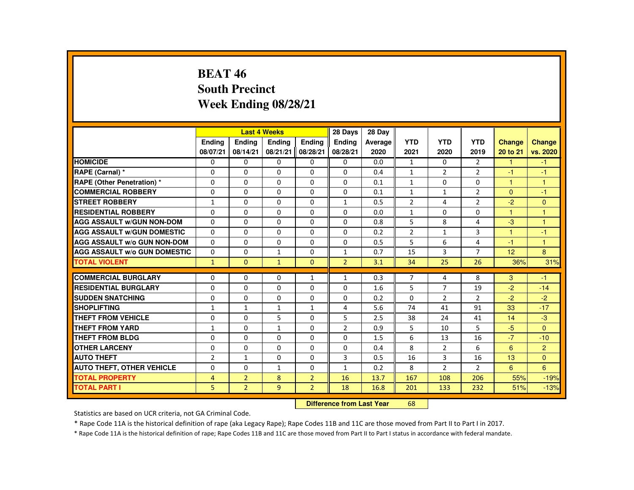# **BEAT 46 South PrecinctWeek Ending 08/28/21**

|                                     |                |                | <b>Last 4 Weeks</b> |                | 28 Days        | 28 Day  |                |                |                       |                |                |
|-------------------------------------|----------------|----------------|---------------------|----------------|----------------|---------|----------------|----------------|-----------------------|----------------|----------------|
|                                     | <b>Endina</b>  | <b>Endina</b>  | <b>Endina</b>       | <b>Endina</b>  | <b>Endina</b>  | Average | <b>YTD</b>     | <b>YTD</b>     | <b>YTD</b>            | <b>Change</b>  | Change         |
|                                     | 08/07/21       | 08/14/21       | 08/21/21            | 08/28/21       | 08/28/21       | 2020    | 2021           | 2020           | 2019                  | 20 to 21       | vs. 2020       |
| <b>HOMICIDE</b>                     | 0              | 0              | 0                   | 0              | 0              | 0.0     | $\mathbf{1}$   | 0              | $\mathbf{2}^{\prime}$ | $\mathbf{1}$   | $-1$           |
| RAPE (Carnal) *                     | $\Omega$       | $\Omega$       | $\Omega$            | $\Omega$       | $\Omega$       | 0.4     | $\mathbf{1}$   | 2              | $\overline{2}$        | -1             | -1             |
| RAPE (Other Penetration) *          | $\Omega$       | $\Omega$       | $\Omega$            | $\Omega$       | $\Omega$       | 0.1     | $\mathbf{1}$   | $\Omega$       | $\Omega$              | $\mathbf{1}$   | $\mathbf{1}$   |
| <b>COMMERCIAL ROBBERY</b>           | 0              | 0              | 0                   | 0              | 0              | 0.1     | $\mathbf{1}$   | $\mathbf{1}$   | $\overline{2}$        | $\mathbf{0}$   | $-1$           |
| <b>STREET ROBBERY</b>               | $\mathbf{1}$   | $\Omega$       | $\Omega$            | $\Omega$       | $\mathbf{1}$   | 0.5     | $\overline{2}$ | 4              | $\overline{2}$        | $-2$           | $\Omega$       |
| <b>RESIDENTIAL ROBBERY</b>          | $\Omega$       | $\Omega$       | $\Omega$            | $\Omega$       | $\Omega$       | 0.0     | $\mathbf{1}$   | $\Omega$       | $\Omega$              | $\overline{1}$ | $\overline{1}$ |
| <b>AGG ASSAULT W/GUN NON-DOM</b>    | $\Omega$       | $\Omega$       | $\Omega$            | $\Omega$       | $\Omega$       | 0.8     | 5              | 8              | 4                     | $-3$           | $\overline{1}$ |
| <b>AGG ASSAULT W/GUN DOMESTIC</b>   | $\Omega$       | $\Omega$       | $\Omega$            | $\Omega$       | $\Omega$       | 0.2     | $\overline{2}$ | 1              | 3                     | $\overline{1}$ | $-1$           |
| <b>AGG ASSAULT W/o GUN NON-DOM</b>  | $\Omega$       | $\Omega$       | $\Omega$            | $\Omega$       | $\Omega$       | 0.5     | 5              | 6              | 4                     | $-1$           | $\mathbf{1}$   |
| <b>AGG ASSAULT W/o GUN DOMESTIC</b> | $\Omega$       | $\Omega$       | $\mathbf{1}$        | $\Omega$       | $\mathbf{1}$   | 0.7     | 15             | 3              | $\overline{7}$        | 12             | 8              |
| <b>TOTAL VIOLENT</b>                | $\mathbf{1}$   | $\mathbf{0}$   | $\mathbf{1}$        | $\Omega$       | $\overline{2}$ | 3.1     | 34             | 25             | 26                    | 36%            | 31%            |
|                                     |                |                |                     |                |                |         |                |                |                       |                |                |
| <b>COMMERCIAL BURGLARY</b>          | $\Omega$       | $\Omega$       | $\Omega$            | $\mathbf{1}$   | $\mathbf{1}$   | 0.3     | $\overline{7}$ | 4              | 8                     | 3              | $-1$           |
| <b>RESIDENTIAL BURGLARY</b>         | $\Omega$       | 0              | $\Omega$            | 0              | $\Omega$       | 1.6     | 5              | 7              | 19                    | $-2$           | $-14$          |
| <b>SUDDEN SNATCHING</b>             | $\Omega$       | $\Omega$       | $\Omega$            | $\Omega$       | $\Omega$       | 0.2     | $\Omega$       | 2              | $\overline{2}$        | $-2$           | $-2$           |
| <b>SHOPLIFTING</b>                  | $\mathbf{1}$   | $\mathbf{1}$   | $\mathbf{1}$        | $\mathbf{1}$   | 4              | 5.6     | 74             | 41             | 91                    | 33             | $-17$          |
| <b>THEFT FROM VEHICLE</b>           | $\Omega$       | 0              | 5                   | 0              | 5              | 2.5     | 38             | 24             | 41                    | 14             | $-3$           |
| <b>THEFT FROM YARD</b>              | $\mathbf{1}$   | $\Omega$       | $\mathbf{1}$        | $\Omega$       | $\overline{2}$ | 0.9     | 5              | 10             | 5                     | $-5$           | $\Omega$       |
| <b>THEFT FROM BLDG</b>              | $\Omega$       | $\Omega$       | $\Omega$            | $\Omega$       | $\Omega$       | 1.5     | 6              | 13             | 16                    | $-7$           | $-10$          |
| <b>OTHER LARCENY</b>                | 0              | 0              | $\Omega$            | $\Omega$       | $\Omega$       | 0.4     | 8              | $\overline{2}$ | 6                     | 6              | $\overline{2}$ |
| <b>AUTO THEFT</b>                   | $\overline{2}$ | $\mathbf{1}$   | $\Omega$            | $\Omega$       | 3              | 0.5     | 16             | 3              | 16                    | 13             | $\Omega$       |
| <b>AUTO THEFT, OTHER VEHICLE</b>    | $\Omega$       | $\Omega$       | $\mathbf{1}$        | $\Omega$       | $\mathbf{1}$   | 0.2     | 8              | $\overline{2}$ | $\mathcal{P}$         | 6              | 6              |
| <b>TOTAL PROPERTY</b>               | $\overline{4}$ | $\overline{2}$ | 8                   | $\overline{2}$ | 16             | 13.7    | 167            | 108            | 206                   | 55%            | $-19%$         |
| <b>TOTAL PART I</b>                 | 5              | $\overline{2}$ | $\overline{9}$      | $\overline{2}$ | 18             | 16.8    | 201            | 133            | 232                   | 51%            | $-13%$         |
|                                     |                |                |                     |                |                |         |                |                |                       |                |                |

#### **Difference from Last Year**<sup>68</sup>

Statistics are based on UCR criteria, not GA Criminal Code.

\* Rape Code 11A is the historical definition of rape (aka Legacy Rape); Rape Codes 11B and 11C are those moved from Part II to Part I in 2017.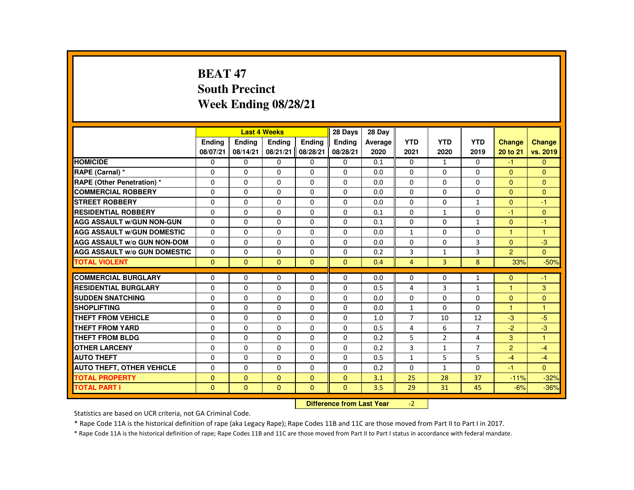# **BEAT 47 South PrecinctWeek Ending 08/28/21**

|                                     |               |               | <b>Last 4 Weeks</b> |               | 28 Days       | 28 Day  |                |              |                |                |               |
|-------------------------------------|---------------|---------------|---------------------|---------------|---------------|---------|----------------|--------------|----------------|----------------|---------------|
|                                     | <b>Endina</b> | <b>Endina</b> | <b>Endina</b>       | <b>Endina</b> | <b>Endina</b> | Average | <b>YTD</b>     | <b>YTD</b>   | <b>YTD</b>     | <b>Change</b>  | <b>Change</b> |
|                                     | 08/07/21      | 08/14/21      | 08/21/21            | 08/28/21      | 08/28/21      | 2020    | 2021           | 2020         | 2019           | 20 to 21       | vs. 2019      |
| <b>HOMICIDE</b>                     | 0             | 0             | 0                   | 0             | 0             | 0.1     | $\mathbf{0}$   | $\mathbf{1}$ | 0              | $-1$           | $\mathbf{0}$  |
| RAPE (Carnal) *                     | $\Omega$      | $\Omega$      | $\Omega$            | $\Omega$      | $\Omega$      | 0.0     | $\Omega$       | $\Omega$     | 0              | $\Omega$       | $\Omega$      |
| <b>RAPE (Other Penetration) *</b>   | $\Omega$      | $\Omega$      | $\Omega$            | $\Omega$      | $\Omega$      | 0.0     | $\Omega$       | $\Omega$     | $\Omega$       | $\Omega$       | $\Omega$      |
| <b>COMMERCIAL ROBBERY</b>           | 0             | 0             | $\Omega$            | 0             | 0             | 0.0     | 0              | 0            | 0              | $\mathbf{0}$   | $\mathbf{0}$  |
| <b>STREET ROBBERY</b>               | $\Omega$      | $\Omega$      | $\Omega$            | $\Omega$      | $\Omega$      | 0.0     | $\Omega$       | $\Omega$     | $\mathbf{1}$   | $\Omega$       | $-1$          |
| <b>RESIDENTIAL ROBBERY</b>          | $\Omega$      | $\Omega$      | $\Omega$            | $\Omega$      | $\Omega$      | 0.1     | $\Omega$       | $\mathbf{1}$ | $\Omega$       | $-1$           | $\Omega$      |
| <b>AGG ASSAULT W/GUN NON-GUN</b>    | $\Omega$      | $\Omega$      | $\Omega$            | 0             | $\Omega$      | 0.1     | $\Omega$       | 0            | $\mathbf{1}$   | $\Omega$       | $-1$          |
| <b>AGG ASSAULT W/GUN DOMESTIC</b>   | 0             | $\Omega$      | 0                   | 0             | 0             | 0.0     | $\mathbf{1}$   | 0            | 0              | $\overline{1}$ | 1             |
| <b>AGG ASSAULT W/o GUN NON-DOM</b>  | $\Omega$      | $\Omega$      | $\Omega$            | $\Omega$      | $\Omega$      | 0.0     | 0              | $\Omega$     | 3              | $\Omega$       | $-3$          |
| <b>AGG ASSAULT W/o GUN DOMESTIC</b> | $\Omega$      | $\Omega$      | $\Omega$            | $\Omega$      | $\Omega$      | 0.2     | 3              | $\mathbf{1}$ | 3              | $\overline{2}$ | $\Omega$      |
| <b>TOTAL VIOLENT</b>                | $\Omega$      | $\mathbf{0}$  | $\Omega$            | $\Omega$      | $\Omega$      | 0.4     | 4              | 3            | 8              | 33%            | $-50%$        |
|                                     |               |               |                     |               |               |         |                |              |                |                |               |
| <b>COMMERCIAL BURGLARY</b>          | $\Omega$      | $\Omega$      | $\Omega$            | $\Omega$      | $\Omega$      | 0.0     | 0              | $\Omega$     | $\mathbf{1}$   | $\Omega$       | $-1$          |
| <b>RESIDENTIAL BURGLARY</b>         | $\Omega$      | 0             | $\Omega$            | 0             | 0             | 0.5     | 4              | 3            | $\mathbf{1}$   | $\overline{1}$ | 3             |
| <b>SUDDEN SNATCHING</b>             | $\Omega$      | $\Omega$      | $\Omega$            | $\Omega$      | $\Omega$      | 0.0     | 0              | $\Omega$     | $\Omega$       | $\mathbf{0}$   | $\mathbf{0}$  |
| <b>SHOPLIFTING</b>                  | $\Omega$      | $\Omega$      | $\Omega$            | $\Omega$      | $\Omega$      | 0.0     | $\mathbf{1}$   | $\Omega$     | $\Omega$       | $\mathbf{1}$   | $\mathbf{1}$  |
| <b>THEFT FROM VEHICLE</b>           | 0             | 0             | 0                   | 0             | 0             | 1.0     | $\overline{7}$ | 10           | 12             | $-3$           | $-5$          |
| <b>THEFT FROM YARD</b>              | $\Omega$      | $\Omega$      | $\Omega$            | $\Omega$      | $\Omega$      | 0.5     | 4              | 6            | $\overline{7}$ | $-2$           | $-3$          |
| THEFT FROM BLDG                     | $\Omega$      | $\Omega$      | $\Omega$            | $\Omega$      | $\Omega$      | 0.2     | 5              | 2            | 4              | 3              | $\mathbf{1}$  |
| <b>OTHER LARCENY</b>                | 0             | 0             | 0                   | 0             | 0             | 0.2     | 3              | $\mathbf{1}$ | $\overline{7}$ | $\overline{2}$ | $-4$          |
| <b>AUTO THEFT</b>                   | $\Omega$      | $\Omega$      | $\Omega$            | $\Omega$      | $\Omega$      | 0.5     | $\mathbf{1}$   | 5            | 5              | $-4$           | $-4$          |
| <b>AUTO THEFT, OTHER VEHICLE</b>    | $\Omega$      | $\Omega$      | $\Omega$            | $\Omega$      | $\Omega$      | 0.2     | $\Omega$       | $\mathbf{1}$ | 0              | $-1$           | $\Omega$      |
| <b>TOTAL PROPERTY</b>               | $\Omega$      | $\Omega$      | $\Omega$            | $\Omega$      | $\Omega$      | 3.1     | 25             | 28           | 37             | $-11%$         | $-32%$        |
| TOTAL PART I                        | $\Omega$      | $\mathbf{0}$  | $\mathbf{0}$        | $\mathbf{0}$  | $\mathbf{0}$  | 3.5     | 29             | 31           | 45             | $-6%$          | $-36%$        |

#### **Difference from Last Year** $-2$  |

Statistics are based on UCR criteria, not GA Criminal Code.

\* Rape Code 11A is the historical definition of rape (aka Legacy Rape); Rape Codes 11B and 11C are those moved from Part II to Part I in 2017.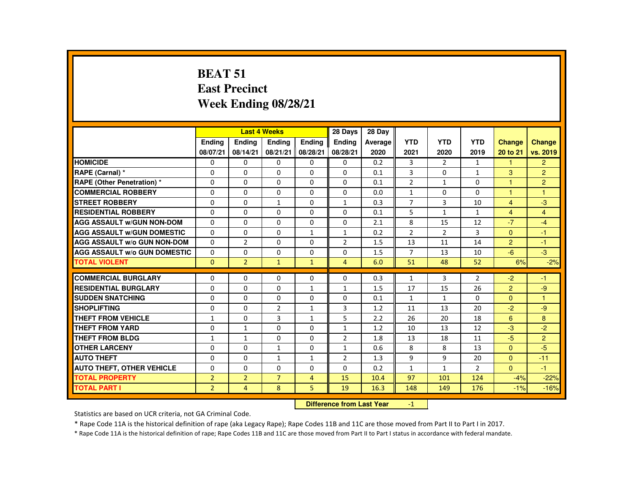# **BEAT 51 East PrecinctWeek Ending 08/28/21**

|                                     |                |                | <b>Last 4 Weeks</b> |                | 28 Days        | 28 Day  |                |                |                |                      |                |
|-------------------------------------|----------------|----------------|---------------------|----------------|----------------|---------|----------------|----------------|----------------|----------------------|----------------|
|                                     | <b>Endina</b>  | <b>Endina</b>  | <b>Endina</b>       | <b>Endina</b>  | <b>Endina</b>  | Average | <b>YTD</b>     | <b>YTD</b>     | <b>YTD</b>     | <b>Change</b>        | <b>Change</b>  |
|                                     | 08/07/21       | 08/14/21       | 08/21/21            | 08/28/21       | 08/28/21       | 2020    | 2021           | 2020           | 2019           | 20 to 21             | vs. 2019       |
| <b>HOMICIDE</b>                     | 0              | $\Omega$       | 0                   | 0              | $\mathbf{0}$   | 0.2     | 3              | $\overline{2}$ | $\mathbf{1}$   | 1                    | $\overline{2}$ |
| RAPE (Carnal) *                     | $\Omega$       | $\Omega$       | $\Omega$            | $\Omega$       | $\Omega$       | 0.1     | 3              | $\Omega$       | 1              | 3                    | $\overline{2}$ |
| RAPE (Other Penetration) *          | $\Omega$       | $\Omega$       | $\Omega$            | $\Omega$       | $\Omega$       | 0.1     | $\overline{2}$ | $\mathbf{1}$   | $\Omega$       | $\blacktriangleleft$ | $\overline{2}$ |
| <b>COMMERCIAL ROBBERY</b>           | $\Omega$       | $\Omega$       | $\Omega$            | $\Omega$       | $\Omega$       | 0.0     | $\mathbf{1}$   | $\Omega$       | $\Omega$       | $\overline{1}$       | $\overline{1}$ |
| <b>STREET ROBBERY</b>               | $\Omega$       | $\Omega$       | $\mathbf{1}$        | $\Omega$       | $\mathbf{1}$   | 0.3     | $\overline{7}$ | 3              | 10             | $\overline{4}$       | $-3$           |
| <b>RESIDENTIAL ROBBERY</b>          | $\Omega$       | $\Omega$       | $\Omega$            | $\Omega$       | $\Omega$       | 0.1     | 5              | $\mathbf{1}$   | $\mathbf{1}$   | $\overline{4}$       | $\overline{4}$ |
| <b>AGG ASSAULT W/GUN NON-DOM</b>    | $\Omega$       | $\Omega$       | $\Omega$            | $\Omega$       | $\Omega$       | 2.1     | 8              | 15             | 12             | $-7$                 | $-4$           |
| <b>AGG ASSAULT W/GUN DOMESTIC</b>   | $\Omega$       | $\Omega$       | $\Omega$            | $\mathbf{1}$   | $\mathbf{1}$   | 0.2     | $\overline{2}$ | $\overline{2}$ | 3              | $\mathbf{0}$         | $-1$           |
| <b>AGG ASSAULT W/o GUN NON-DOM</b>  | $\Omega$       | $\overline{2}$ | 0                   | 0              | $\overline{2}$ | 1.5     | 13             | 11             | 14             | $\overline{2}$       | $-1$           |
| <b>AGG ASSAULT W/o GUN DOMESTIC</b> | $\Omega$       | $\Omega$       | $\Omega$            | $\Omega$       | $\Omega$       | 1.5     | $\overline{7}$ | 13             | 10             | $-6$                 | $-3$           |
| <b>TOTAL VIOLENT</b>                | $\mathbf{0}$   | $\overline{2}$ | $\mathbf{1}$        | $\mathbf{1}$   | $\overline{4}$ | 6.0     | 51             | 48             | 52             | 6%                   | $-2%$          |
|                                     |                |                |                     |                |                |         |                |                |                |                      |                |
| <b>COMMERCIAL BURGLARY</b>          | $\Omega$       | $\Omega$       | $\Omega$            | $\Omega$       | $\Omega$       | 0.3     | $\mathbf{1}$   | 3              | $\overline{2}$ | $-2$                 | $-1$           |
| <b>RESIDENTIAL BURGLARY</b>         | 0              | $\mathbf{0}$   | 0                   | $\mathbf{1}$   | $\mathbf{1}$   | 1.5     | 17             | 15             | 26             | $\overline{2}$       | $-9$           |
| <b>SUDDEN SNATCHING</b>             | $\Omega$       | $\Omega$       | $\Omega$            | $\Omega$       | $\Omega$       | 0.1     | $\mathbf{1}$   | $\mathbf{1}$   | $\Omega$       | $\Omega$             | $\overline{1}$ |
| <b>SHOPLIFTING</b>                  | $\Omega$       | $\Omega$       | $\overline{2}$      | $\mathbf{1}$   | 3              | 1.2     | 11             | 13             | 20             | $-2$                 | $-9$           |
| THEFT FROM VEHICLE                  | $\mathbf{1}$   | $\mathbf{0}$   | 3                   | $\mathbf{1}$   | 5              | 2.2     | 26             | 20             | 18             | 6                    | 8              |
| <b>THEFT FROM YARD</b>              | $\Omega$       | $\mathbf{1}$   | $\Omega$            | $\Omega$       | $\mathbf{1}$   | 1.2     | 10             | 13             | 12             | $-3$                 | $-2$           |
| <b>THEFT FROM BLDG</b>              | $\mathbf{1}$   | $\mathbf{1}$   | $\Omega$            | $\Omega$       | $\overline{2}$ | 1.8     | 13             | 18             | 11             | $-5$                 | 2              |
| <b>OTHER LARCENY</b>                | $\Omega$       | $\Omega$       | $\mathbf{1}$        | $\Omega$       | $\mathbf{1}$   | 0.6     | 8              | 8              | 13             | $\mathbf{0}$         | $-5$           |
| <b>AUTO THEFT</b>                   | $\Omega$       | $\Omega$       | $\mathbf{1}$        | $\mathbf{1}$   | $\overline{2}$ | 1.3     | 9              | 9              | 20             | $\Omega$             | $-11$          |
| <b>AUTO THEFT, OTHER VEHICLE</b>    | 0              | $\mathbf{0}$   | 0                   | 0              | $\mathbf{0}$   | 0.2     | $\mathbf{1}$   | $\mathbf{1}$   | $\overline{2}$ | $\Omega$             | $-1$           |
| <b>TOTAL PROPERTY</b>               | $\overline{2}$ | $\overline{2}$ | $\overline{7}$      | $\overline{4}$ | 15             | 10.4    | 97             | 101            | 124            | $-4%$                | $-22%$         |
| <b>TOTAL PART I</b>                 | 2 <sup>1</sup> | $\overline{4}$ | 8                   | 5              | 19             | 16.3    | 148            | 149            | 176            | $-1%$                | $-16%$         |

#### **Difference from Last Year**-1

Statistics are based on UCR criteria, not GA Criminal Code.

\* Rape Code 11A is the historical definition of rape (aka Legacy Rape); Rape Codes 11B and 11C are those moved from Part II to Part I in 2017.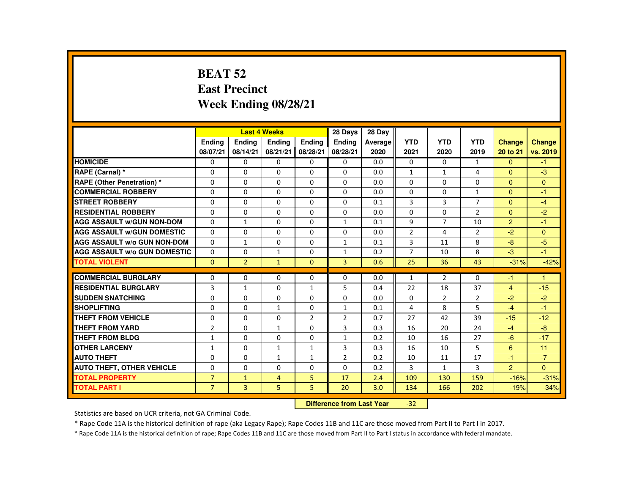# **BEAT 52 East PrecinctWeek Ending 08/28/21**

|                                     |                |                | <b>Last 4 Weeks</b> |                | 28 Days        | 28 Day  |                |                |                |                |               |
|-------------------------------------|----------------|----------------|---------------------|----------------|----------------|---------|----------------|----------------|----------------|----------------|---------------|
|                                     | <b>Endina</b>  | <b>Endina</b>  | <b>Endina</b>       | <b>Endina</b>  | <b>Endina</b>  | Average | <b>YTD</b>     | <b>YTD</b>     | <b>YTD</b>     | <b>Change</b>  | <b>Change</b> |
|                                     | 08/07/21       | 08/14/21       | 08/21/21            | 08/28/21       | 08/28/21       | 2020    | 2021           | 2020           | 2019           | 20 to 21       | vs. 2019      |
| <b>HOMICIDE</b>                     | 0              | 0              | 0                   | 0              | 0              | 0.0     | 0              | $\Omega$       | $\mathbf{1}$   | $\Omega$       | $-1$          |
| RAPE (Carnal) *                     | $\Omega$       | $\Omega$       | $\Omega$            | $\Omega$       | $\Omega$       | 0.0     | 1              | 1              | 4              | $\Omega$       | $-3$          |
| <b>RAPE (Other Penetration) *</b>   | $\Omega$       | $\Omega$       | $\Omega$            | $\Omega$       | $\Omega$       | 0.0     | $\Omega$       | $\Omega$       | $\Omega$       | $\Omega$       | $\Omega$      |
| <b>COMMERCIAL ROBBERY</b>           | $\Omega$       | $\Omega$       | $\Omega$            | $\Omega$       | $\Omega$       | 0.0     | $\Omega$       | $\Omega$       | $\mathbf{1}$   | $\Omega$       | $-1$          |
| <b>STREET ROBBERY</b>               | $\Omega$       | $\Omega$       | $\Omega$            | $\Omega$       | $\Omega$       | 0.1     | 3              | 3              | $\overline{7}$ | $\Omega$       | $-4$          |
| <b>RESIDENTIAL ROBBERY</b>          | $\Omega$       | $\Omega$       | $\Omega$            | $\Omega$       | $\Omega$       | 0.0     | $\Omega$       | $\Omega$       | $\overline{2}$ | $\Omega$       | $-2$          |
| <b>AGG ASSAULT W/GUN NON-DOM</b>    | $\Omega$       | $\mathbf{1}$   | $\Omega$            | $\Omega$       | $\mathbf{1}$   | 0.1     | 9              | $\overline{7}$ | 10             | 2              | $-1$          |
| <b>AGG ASSAULT W/GUN DOMESTIC</b>   | $\Omega$       | $\Omega$       | $\Omega$            | 0              | $\Omega$       | 0.0     | $\overline{2}$ | 4              | $\overline{2}$ | $-2$           | $\Omega$      |
| <b>AGG ASSAULT W/o GUN NON-DOM</b>  | $\Omega$       | $\mathbf{1}$   | $\Omega$            | $\Omega$       | $\mathbf{1}$   | 0.1     | 3              | 11             | 8              | -8             | -5            |
| <b>AGG ASSAULT W/o GUN DOMESTIC</b> | $\Omega$       | $\Omega$       | $\mathbf{1}$        | $\Omega$       | $\mathbf{1}$   | 0.2     | $\overline{7}$ | 10             | 8              | $-3$           | $-1$          |
| <b>TOTAL VIOLENT</b>                | $\mathbf{0}$   | $\overline{2}$ | $\mathbf{1}$        | $\Omega$       | $\overline{3}$ | 0.6     | 25             | 36             | 43             | $-31%$         | $-42%$        |
|                                     |                |                |                     |                |                |         |                |                |                |                |               |
| <b>COMMERCIAL BURGLARY</b>          | $\Omega$       | $\Omega$       | $\Omega$            | $\Omega$       | $\Omega$       | 0.0     | $\mathbf{1}$   | $\overline{2}$ | $\Omega$       | -1             | 1             |
| <b>RESIDENTIAL BURGLARY</b>         | 3              | $\mathbf{1}$   | $\Omega$            | 1              | 5              | 0.4     | 22             | 18             | 37             | $\overline{4}$ | $-15$         |
| <b>SUDDEN SNATCHING</b>             | $\Omega$       | $\Omega$       | $\Omega$            | $\Omega$       | $\Omega$       | 0.0     | $\Omega$       | 2              | $\overline{2}$ | $-2$           | $-2$          |
| <b>SHOPLIFTING</b>                  | $\Omega$       | $\Omega$       | $\mathbf{1}$        | $\Omega$       | $\mathbf{1}$   | 0.1     | 4              | 8              | 5              | $-4$           | $-1$          |
| THEFT FROM VEHICLE                  | 0              | 0              | 0                   | $\overline{2}$ | 2              | 0.7     | 27             | 42             | 39             | $-15$          | $-12$         |
| <b>THEFT FROM YARD</b>              | $\overline{2}$ | $\Omega$       | $\mathbf{1}$        | $\Omega$       | 3              | 0.3     | 16             | 20             | 24             | $-4$           | $-8$          |
| <b>THEFT FROM BLDG</b>              | $\mathbf{1}$   | $\Omega$       | $\Omega$            | $\Omega$       | $\mathbf{1}$   | 0.2     | 10             | 16             | 27             | $-6$           | $-17$         |
| <b>OTHER LARCENY</b>                | $\mathbf{1}$   | 0              | $\mathbf{1}$        | $\mathbf{1}$   | 3              | 0.3     | 16             | 10             | 5              | 6              | 11            |
| <b>AUTO THEFT</b>                   | $\Omega$       | $\Omega$       | $\mathbf{1}$        | $\mathbf{1}$   | $\overline{2}$ | 0.2     | 10             | 11             | 17             | -1             | $-7$          |
| <b>AUTO THEFT, OTHER VEHICLE</b>    | $\Omega$       | $\Omega$       | $\Omega$            | $\Omega$       | $\Omega$       | 0.2     | 3              | $\mathbf{1}$   | 3              | 2              | $\Omega$      |
| <b>TOTAL PROPERTY</b>               | $\overline{7}$ | $\mathbf{1}$   | $\overline{4}$      | 5              | 17             | 2.4     | 109            | 130            | 159            | $-16%$         | $-31%$        |
| <b>TOTAL PART I</b>                 | $\overline{7}$ | $\overline{3}$ | 5                   | 5              | 20             | 3.0     | 134            | 166            | 202            | $-19%$         | $-34%$        |

#### **Difference from Last Year**-32

Statistics are based on UCR criteria, not GA Criminal Code.

\* Rape Code 11A is the historical definition of rape (aka Legacy Rape); Rape Codes 11B and 11C are those moved from Part II to Part I in 2017.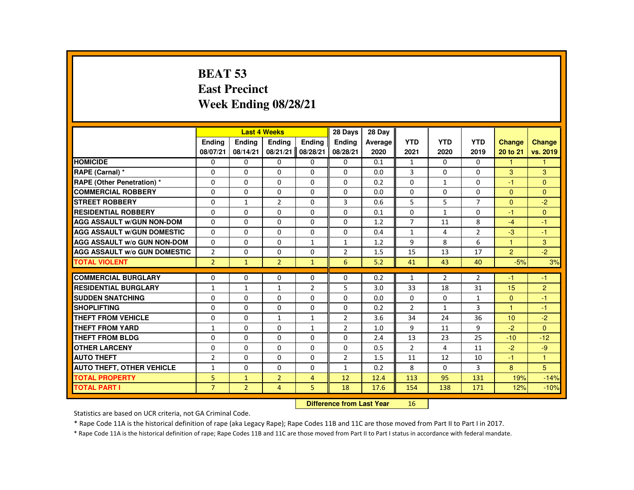# **BEAT 53 East PrecinctWeek Ending 08/28/21**

|                                     |                |                | <b>Last 4 Weeks</b> |                | 28 Days        | 28 Day  |                |                |                |                |                |
|-------------------------------------|----------------|----------------|---------------------|----------------|----------------|---------|----------------|----------------|----------------|----------------|----------------|
|                                     | <b>Endina</b>  | <b>Endina</b>  | <b>Endina</b>       | <b>Endina</b>  | <b>Endina</b>  | Average | <b>YTD</b>     | <b>YTD</b>     | <b>YTD</b>     | <b>Change</b>  | <b>Change</b>  |
|                                     | 08/07/21       | 08/14/21       | 08/21/21            | 08/28/21       | 08/28/21       | 2020    | 2021           | 2020           | 2019           | 20 to 21       | vs. 2019       |
| <b>HOMICIDE</b>                     | 0              | 0              | 0                   | 0              | 0              | 0.1     | $\mathbf{1}$   | 0              | 0              | $\mathbf{1}$   | 1              |
| RAPE (Carnal) *                     | $\Omega$       | $\Omega$       | $\Omega$            | $\Omega$       | $\Omega$       | 0.0     | 3              | 0              | $\Omega$       | 3              | 3              |
| <b>RAPE (Other Penetration) *</b>   | $\Omega$       | $\Omega$       | $\Omega$            | $\Omega$       | $\Omega$       | 0.2     | $\Omega$       | $\mathbf{1}$   | $\Omega$       | $-1$           | $\Omega$       |
| <b>COMMERCIAL ROBBERY</b>           | 0              | 0              | $\Omega$            | $\Omega$       | 0              | 0.0     | 0              | 0              | $\Omega$       | $\mathbf{0}$   | $\Omega$       |
| <b>STREET ROBBERY</b>               | $\Omega$       | $\mathbf{1}$   | $\overline{2}$      | $\Omega$       | 3              | 0.6     | 5              | 5              | $\overline{7}$ | $\Omega$       | $-2$           |
| <b>RESIDENTIAL ROBBERY</b>          | $\Omega$       | $\Omega$       | $\Omega$            | $\Omega$       | $\Omega$       | 0.1     | $\Omega$       | $\mathbf{1}$   | $\Omega$       | -1             | $\Omega$       |
| <b>AGG ASSAULT W/GUN NON-DOM</b>    | $\Omega$       | $\Omega$       | $\Omega$            | $\Omega$       | $\Omega$       | 1.2     | $\overline{7}$ | 11             | 8              | $-4$           | $-1$           |
| <b>AGG ASSAULT W/GUN DOMESTIC</b>   | $\Omega$       | $\Omega$       | $\Omega$            | $\Omega$       | $\Omega$       | 0.4     | $\mathbf{1}$   | 4              | $\overline{2}$ | -3             | $-1$           |
| <b>AGG ASSAULT W/o GUN NON-DOM</b>  | $\Omega$       | $\Omega$       | $\Omega$            | $\mathbf{1}$   | $\mathbf{1}$   | 1.2     | 9              | 8              | 6              | $\mathbf{1}$   | 3              |
| <b>AGG ASSAULT W/o GUN DOMESTIC</b> | $\overline{2}$ | $\Omega$       | $\Omega$            | $\Omega$       | $\overline{2}$ | 1.5     | 15             | 13             | 17             | $\overline{2}$ | $-2$           |
| <b>TOTAL VIOLENT</b>                | $\overline{2}$ | $\mathbf{1}$   | $\overline{2}$      | $\mathbf{1}$   | 6              | 5.2     | 41             | 43             | 40             | $-5%$          | 3%             |
|                                     |                |                |                     |                |                |         |                |                |                |                |                |
| <b>COMMERCIAL BURGLARY</b>          | $\Omega$       | $\Omega$       | $\Omega$            | $\Omega$       | $\Omega$       | 0.2     | $\mathbf{1}$   | $\overline{2}$ | $\overline{2}$ | -1             | $-1$           |
| <b>RESIDENTIAL BURGLARY</b>         | $\mathbf{1}$   | $\mathbf{1}$   | 1                   | $\overline{2}$ | 5              | 3.0     | 33             | 18             | 31             | 15             | $\overline{2}$ |
| <b>SUDDEN SNATCHING</b>             | $\Omega$       | $\Omega$       | $\Omega$            | $\Omega$       | $\Omega$       | 0.0     | $\Omega$       | $\Omega$       | $\mathbf{1}$   | $\Omega$       | $-1$           |
| <b>SHOPLIFTING</b>                  | $\Omega$       | $\Omega$       | $\Omega$            | $\Omega$       | $\Omega$       | 0.2     | $\overline{2}$ | $\mathbf{1}$   | 3              | $\overline{1}$ | $-1$           |
| THEFT FROM VEHICLE                  | $\Omega$       | $\Omega$       | $\mathbf{1}$        | $\mathbf{1}$   | $\overline{2}$ | 3.6     | 34             | 24             | 36             | 10             | $-2$           |
| <b>THEFT FROM YARD</b>              | $\mathbf{1}$   | $\Omega$       | $\Omega$            | $\mathbf{1}$   | $\overline{2}$ | 1.0     | 9              | 11             | 9              | $-2$           | $\Omega$       |
| <b>THEFT FROM BLDG</b>              | $\Omega$       | $\Omega$       | $\Omega$            | $\Omega$       | $\Omega$       | 2.4     | 13             | 23             | 25             | $-10$          | $-12$          |
| <b>OTHER LARCENY</b>                | $\Omega$       | $\Omega$       | $\Omega$            | $\Omega$       | $\Omega$       | 0.5     | $\overline{2}$ | 4              | 11             | $-2$           | $-9$           |
| <b>AUTO THEFT</b>                   | $\overline{2}$ | $\Omega$       | $\Omega$            | $\Omega$       | $\overline{2}$ | 1.5     | 11             | 12             | 10             | -1             | 1              |
| <b>AUTO THEFT, OTHER VEHICLE</b>    | $\mathbf{1}$   | $\Omega$       | $\Omega$            | $\Omega$       | $\mathbf{1}$   | 0.2     | 8              | $\Omega$       | 3              | 8              | 5              |
| <b>TOTAL PROPERTY</b>               | 5              | $\mathbf{1}$   | $\overline{2}$      | $\overline{4}$ | 12             | 12.4    | 113            | 95             | 131            | 19%            | $-14%$         |
| <b>TOTAL PART I</b>                 | $\overline{7}$ | $\overline{2}$ | $\overline{4}$      | 5              | 18             | 17.6    | 154            | 138            | 171            | 12%            | $-10%$         |
|                                     |                |                |                     |                |                |         |                |                |                |                |                |

#### **Difference from Last Year**<sup>16</sup>

Statistics are based on UCR criteria, not GA Criminal Code.

\* Rape Code 11A is the historical definition of rape (aka Legacy Rape); Rape Codes 11B and 11C are those moved from Part II to Part I in 2017.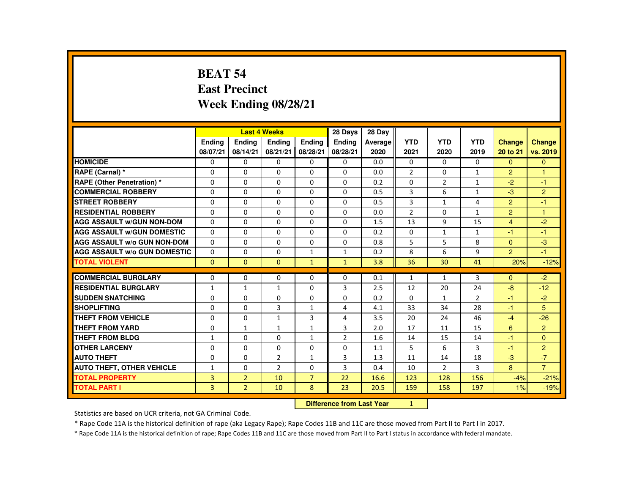# **BEAT 54 East PrecinctWeek Ending 08/28/21**

|                                     |              |                | <b>Last 4 Weeks</b> |                | 28 Days                          | 28 Day  |                |                |                |                |                |
|-------------------------------------|--------------|----------------|---------------------|----------------|----------------------------------|---------|----------------|----------------|----------------|----------------|----------------|
|                                     | Ending       | Ending         | Ending              | Ending         | Ending                           | Average | <b>YTD</b>     | <b>YTD</b>     | <b>YTD</b>     | <b>Change</b>  | Change         |
|                                     | 08/07/21     | 08/14/21       | 08/21/21            | 08/28/21       | 08/28/21                         | 2020    | 2021           | 2020           | 2019           | 20 to 21       | vs. 2019       |
| <b>HOMICIDE</b>                     | 0            | 0              | 0                   | 0              | 0                                | 0.0     | 0              | 0              | $\mathbf{0}$   | $\Omega$       | $\Omega$       |
| RAPE (Carnal) *                     | 0            | $\Omega$       | $\Omega$            | $\Omega$       | $\Omega$                         | 0.0     | $\overline{2}$ | $\Omega$       | $\mathbf{1}$   | 2              | $\mathbf{1}$   |
| RAPE (Other Penetration) *          | $\Omega$     | $\Omega$       | $\Omega$            | $\Omega$       | $\Omega$                         | 0.2     | $\Omega$       | 2              | $\mathbf{1}$   | $-2$           | $-1$           |
| <b>COMMERCIAL ROBBERY</b>           | $\Omega$     | $\Omega$       | $\Omega$            | $\Omega$       | $\Omega$                         | 0.5     | 3              | 6              | $\mathbf{1}$   | $-3$           | $\overline{2}$ |
| <b>STREET ROBBERY</b>               | $\Omega$     | $\Omega$       | $\Omega$            | $\Omega$       | $\Omega$                         | 0.5     | 3              | $\mathbf{1}$   | 4              | 2              | $-1$           |
| <b>RESIDENTIAL ROBBERY</b>          | $\Omega$     | $\Omega$       | $\Omega$            | $\Omega$       | $\Omega$                         | 0.0     | $\overline{2}$ | $\Omega$       | $\mathbf{1}$   | $\overline{2}$ | $\overline{1}$ |
| <b>AGG ASSAULT w/GUN NON-DOM</b>    | $\Omega$     | $\Omega$       | $\Omega$            | $\Omega$       | $\Omega$                         | 1.5     | 13             | 9              | 15             | $\overline{4}$ | $-2$           |
| <b>AGG ASSAULT W/GUN DOMESTIC</b>   | $\Omega$     | $\Omega$       | $\Omega$            | $\Omega$       | $\Omega$                         | 0.2     | $\Omega$       | $\mathbf{1}$   | $\mathbf{1}$   | $-1$           | $-1$           |
| <b>AGG ASSAULT W/o GUN NON-DOM</b>  | 0            | 0              | $\Omega$            | 0              | $\Omega$                         | 0.8     | 5              | 5              | 8              | $\Omega$       | $-3$           |
| <b>AGG ASSAULT W/o GUN DOMESTIC</b> | $\Omega$     | $\Omega$       | $\Omega$            | $\mathbf{1}$   | $\mathbf{1}$                     | 0.2     | 8              | 6              | 9              | 2              | $-1$           |
| <b>TOTAL VIOLENT</b>                | $\Omega$     | $\mathbf{0}$   | $\Omega$            | $\mathbf{1}$   | $\mathbf{1}$                     | 3.8     | 36             | 30             | 41             | 20%            | $-12%$         |
| <b>COMMERCIAL BURGLARY</b>          | $\Omega$     | 0              | $\Omega$            | $\Omega$       | $\Omega$                         | 0.1     | $\mathbf{1}$   | $\mathbf{1}$   | 3              | $\Omega$       | $-2$           |
| <b>RESIDENTIAL BURGLARY</b>         | $\mathbf{1}$ | $\mathbf{1}$   | $\mathbf{1}$        | $\Omega$       | 3                                | 2.5     | 12             | 20             | 24             | $-8$           | $-12$          |
| <b>SUDDEN SNATCHING</b>             | $\Omega$     | $\Omega$       | $\Omega$            | $\Omega$       | $\Omega$                         | 0.2     | $\Omega$       | $\mathbf{1}$   | $\overline{2}$ | $-1$           | $-2$           |
| <b>SHOPLIFTING</b>                  | $\Omega$     | $\Omega$       | $\overline{3}$      | $\mathbf{1}$   | 4                                | 4.1     | 33             | 34             | 28             | $-1$           | 5              |
| <b>THEFT FROM VEHICLE</b>           | 0            | 0              | $\mathbf{1}$        | 3              | 4                                | 3.5     | 20             | 24             | 46             | $-4$           | $-26$          |
| <b>THEFT FROM YARD</b>              | 0            | $\mathbf{1}$   | $\mathbf{1}$        | $\mathbf{1}$   | 3                                | 2.0     | 17             | 11             | 15             | 6              | $\overline{2}$ |
| <b>THEFT FROM BLDG</b>              | $\mathbf{1}$ | $\Omega$       | $\Omega$            | $\mathbf{1}$   | 2                                | 1.6     | 14             | 15             | 14             | $-1$           | $\Omega$       |
| <b>OTHER LARCENY</b>                | $\Omega$     | $\Omega$       | $\Omega$            | $\Omega$       | $\Omega$                         | 1.1     | 5              | 6              | 3              | $-1$           | $\overline{2}$ |
| <b>AUTO THEFT</b>                   | $\Omega$     | $\Omega$       | $\overline{2}$      | $\mathbf{1}$   | 3                                | 1.3     | 11             | 14             | 18             | $-3$           | $-7$           |
| <b>AUTO THEFT, OTHER VEHICLE</b>    | $\mathbf{1}$ | 0              | $\overline{2}$      | $\Omega$       | 3                                | 0.4     | 10             | $\overline{2}$ | 3              | 8              | $\overline{7}$ |
| <b>TOTAL PROPERTY</b>               | 3            | $\overline{2}$ | 10                  | $\overline{7}$ | 22                               | 16.6    | 123            | 128            | 156            | $-4%$          | $-21%$         |
| <b>TOTAL PART I</b>                 | 3            | $\overline{2}$ | 10                  | 8              | 23                               | 20.5    | 159            | 158            | 197            | 1%             | $-19%$         |
|                                     |              |                |                     |                | <b>Difference from Last Year</b> |         | 1              |                |                |                |                |

### **Difference from Last Year**

Statistics are based on UCR criteria, not GA Criminal Code.

\* Rape Code 11A is the historical definition of rape (aka Legacy Rape); Rape Codes 11B and 11C are those moved from Part II to Part I in 2017.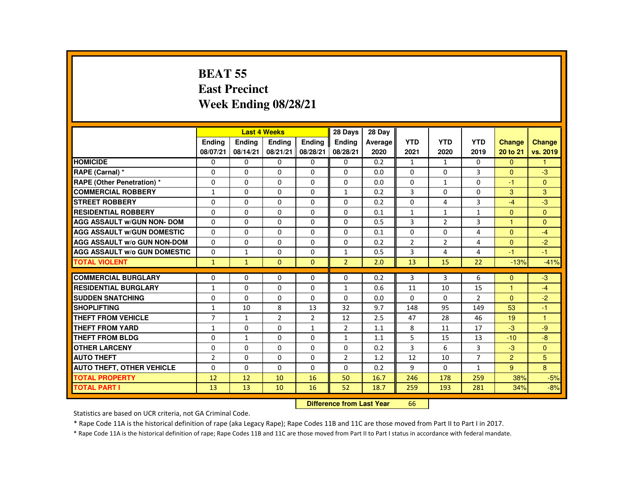# **BEAT 55 East PrecinctWeek Ending 08/28/21**

|                                     |               |               | <b>Last 4 Weeks</b> |                | 28 Days        | 28 Day  |                |                |                |                |              |
|-------------------------------------|---------------|---------------|---------------------|----------------|----------------|---------|----------------|----------------|----------------|----------------|--------------|
|                                     | <b>Endina</b> | <b>Endina</b> | <b>Endina</b>       | <b>Endina</b>  | <b>Endina</b>  | Average | <b>YTD</b>     | <b>YTD</b>     | <b>YTD</b>     | <b>Change</b>  | Change       |
|                                     | 08/07/21      | 08/14/21      | 08/21/21            | 08/28/21       | 08/28/21       | 2020    | 2021           | 2020           | 2019           | 20 to 21       | vs. 2019     |
| <b>HOMICIDE</b>                     | 0             | 0             | 0                   | 0              | 0              | 0.2     | $\mathbf{1}$   | $\mathbf{1}$   | 0              | $\mathbf{0}$   |              |
| RAPE (Carnal) *                     | $\Omega$      | $\Omega$      | $\Omega$            | $\Omega$       | $\Omega$       | 0.0     | 0              | $\Omega$       | 3              | $\Omega$       | -3           |
| <b>RAPE (Other Penetration) *</b>   | $\Omega$      | $\Omega$      | $\Omega$            | $\Omega$       | $\Omega$       | 0.0     | $\Omega$       | $\mathbf{1}$   | $\Omega$       | $-1$           | $\Omega$     |
| <b>COMMERCIAL ROBBERY</b>           | $\mathbf{1}$  | $\mathbf{0}$  | 0                   | 0              | $\mathbf{1}$   | 0.2     | 3              | 0              | 0              | 3              | 3            |
| <b>STREET ROBBERY</b>               | $\Omega$      | $\Omega$      | $\Omega$            | $\Omega$       | $\Omega$       | 0.2     | $\Omega$       | 4              | 3              | $-4$           | $-3$         |
| <b>RESIDENTIAL ROBBERY</b>          | $\Omega$      | $\Omega$      | $\Omega$            | $\Omega$       | $\Omega$       | 0.1     | $\mathbf{1}$   | $\mathbf{1}$   | $\mathbf{1}$   | $\Omega$       | $\mathbf{0}$ |
| <b>AGG ASSAULT w/GUN NON- DOM</b>   | $\Omega$      | $\Omega$      | $\Omega$            | $\Omega$       | $\Omega$       | 0.5     | 3              | $\overline{2}$ | 3              | $\mathbf{1}$   | $\Omega$     |
| <b>AGG ASSAULT W/GUN DOMESTIC</b>   | $\Omega$      | $\Omega$      | $\Omega$            | $\Omega$       | $\Omega$       | 0.1     | $\Omega$       | $\Omega$       | 4              | $\Omega$       | $-4$         |
| <b>AGG ASSAULT w/o GUN NON-DOM</b>  | $\Omega$      | $\Omega$      | $\Omega$            | $\Omega$       | $\Omega$       | 0.2     | $\overline{2}$ | $\overline{2}$ | 4              | $\Omega$       | $-2$         |
| <b>AGG ASSAULT w/o GUN DOMESTIC</b> | $\Omega$      | $\mathbf{1}$  | $\Omega$            | $\Omega$       | $\mathbf{1}$   | 0.5     | 3              | 4              | 4              | $-1$           | $-1$         |
| <b>TOTAL VIOLENT</b>                | $\mathbf{1}$  | $\mathbf{1}$  | $\Omega$            | $\Omega$       | $\overline{2}$ | 2.0     | 13             | 15             | 22             | $-13%$         | $-41%$       |
|                                     |               |               |                     |                |                |         |                |                |                |                |              |
| <b>COMMERCIAL BURGLARY</b>          | $\Omega$      | $\Omega$      | $\Omega$            | $\Omega$       | $\Omega$       | 0.2     | 3              | 3              | 6              | $\Omega$       | $-3$         |
| <b>RESIDENTIAL BURGLARY</b>         | $\mathbf{1}$  | $\mathbf{0}$  | 0                   | 0              | $\mathbf{1}$   | 0.6     | 11             | 10             | 15             | $\overline{1}$ | $-4$         |
| <b>SUDDEN SNATCHING</b>             | $\Omega$      | $\Omega$      | $\Omega$            | $\Omega$       | $\Omega$       | 0.0     | $\Omega$       | 0              | $\overline{2}$ | $\Omega$       | $-2$         |
| <b>SHOPLIFTING</b>                  | $\mathbf{1}$  | 10            | 8                   | 13             | 32             | 9.7     | 148            | 95             | 149            | 53             | $-1$         |
| <b>THEFT FROM VEHICLE</b>           | 7             | 1             | $\overline{2}$      | $\overline{2}$ | 12             | 2.5     | 47             | 28             | 46             | 19             | 1            |
| <b>THEFT FROM YARD</b>              | $\mathbf{1}$  | $\Omega$      | $\Omega$            | $\mathbf{1}$   | $\overline{2}$ | 1.1     | 8              | 11             | 17             | $-3$           | -9           |
| <b>THEFT FROM BLDG</b>              | $\Omega$      | $\mathbf{1}$  | $\Omega$            | $\Omega$       | $\mathbf{1}$   | 1.1     | 5              | 15             | 13             | $-10$          | $-8$         |
| <b>OTHER LARCENY</b>                | 0             | $\mathbf{0}$  | $\Omega$            | $\Omega$       | $\Omega$       | 0.2     | 3              | 6              | 3              | $-3$           | $\mathbf{0}$ |
| <b>AUTO THEFT</b>                   | 2             | $\Omega$      | $\Omega$            | $\Omega$       | $\overline{2}$ | 1.2     | 12             | 10             | $\overline{7}$ | $\overline{2}$ | 5            |
| <b>AUTO THEFT, OTHER VEHICLE</b>    | $\Omega$      | $\mathbf{0}$  | $\Omega$            | $\Omega$       | $\Omega$       | 0.2     | 9              | 0              | $\mathbf{1}$   | 9 <sup>°</sup> | 8            |
| <b>TOTAL PROPERTY</b>               | 12            | 12            | 10                  | 16             | 50             | 16.7    | 246            | 178            | 259            | 38%            | $-5%$        |
| TOTAL PART I                        | 13            | 13            | 10                  | 16             | 52             | 18.7    | 259            | 193            | 281            | 34%            | $-8%$        |

#### **Difference from Last Year**<sup>66</sup>

Statistics are based on UCR criteria, not GA Criminal Code.

\* Rape Code 11A is the historical definition of rape (aka Legacy Rape); Rape Codes 11B and 11C are those moved from Part II to Part I in 2017.